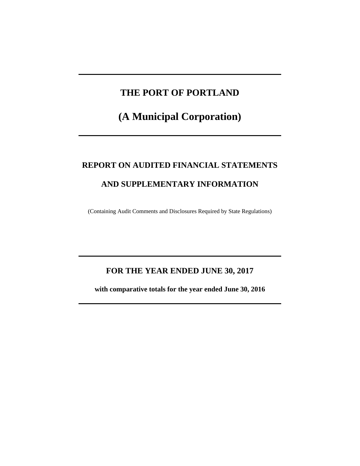## **(A Municipal Corporation)**

# **REPORT ON AUDITED FINANCIAL STATEMENTS AND SUPPLEMENTARY INFORMATION**

(Containing Audit Comments and Disclosures Required by State Regulations)

### **FOR THE YEAR ENDED JUNE 30, 2017**

**with comparative totals for the year ended June 30, 2016**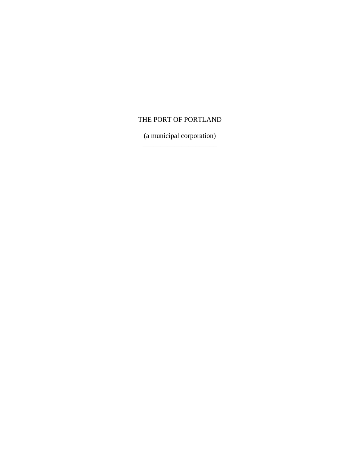(a municipal corporation) \_\_\_\_\_\_\_\_\_\_\_\_\_\_\_\_\_\_\_\_\_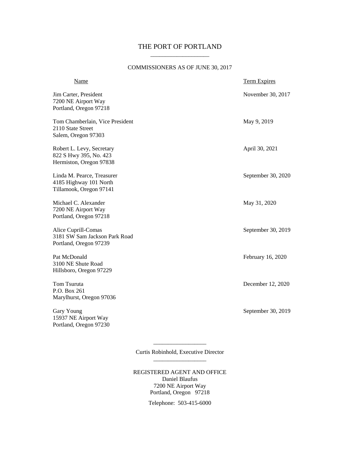#### COMMISSIONERS AS OF JUNE 30, 2017

| Name                                                                            | <b>Term Expires</b> |
|---------------------------------------------------------------------------------|---------------------|
| Jim Carter, President<br>7200 NE Airport Way<br>Portland, Oregon 97218          | November 30, 2017   |
| Tom Chamberlain, Vice President<br>2110 State Street<br>Salem, Oregon 97303     | May 9, 2019         |
| Robert L. Levy, Secretary<br>822 S Hwy 395, No. 423<br>Hermiston, Oregon 97838  | April 30, 2021      |
| Linda M. Pearce, Treasurer<br>4185 Highway 101 North<br>Tillamook, Oregon 97141 | September 30, 2020  |
| Michael C. Alexander<br>7200 NE Airport Way<br>Portland, Oregon 97218           | May 31, 2020        |
| Alice Cuprill-Comas<br>3181 SW Sam Jackson Park Road<br>Portland, Oregon 97239  | September 30, 2019  |
| Pat McDonald<br>3100 NE Shute Road<br>Hillsboro, Oregon 97229                   | February 16, 2020   |
| Tom Tsuruta<br>P.O. Box 261<br>Marylhurst, Oregon 97036                         | December 12, 2020   |
| Gary Young<br>15937 NE Airport Way<br>Portland, Oregon 97230                    | September 30, 2019  |

\_\_\_\_\_\_\_\_\_\_\_\_\_\_\_\_\_\_ Curtis Robinhold, Executive Director

 $\frac{1}{2}$ 

REGISTERED AGENT AND OFFICE Daniel Blaufus 7200 NE Airport Way Portland, Oregon 97218

Telephone: 503-415-6000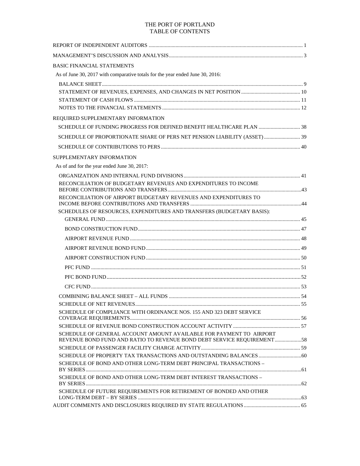#### THE PORT OF PORTLAND TABLE OF CONTENTS

| <b>BASIC FINANCIAL STATEMENTS</b>                                             |  |
|-------------------------------------------------------------------------------|--|
| As of June 30, 2017 with comparative totals for the year ended June 30, 2016: |  |
|                                                                               |  |
|                                                                               |  |
|                                                                               |  |
|                                                                               |  |
| REQUIRED SUPPLEMENTARY INFORMATION                                            |  |
| SCHEDULE OF FUNDING PROGRESS FOR DEFINED BENEFIT HEALTHCARE PLAN  38          |  |
| SCHEDULE OF PROPORTIONATE SHARE OF PERS NET PENSION LIABILITY (ASSET)  39     |  |
|                                                                               |  |
| SUPPLEMENTARY INFORMATION                                                     |  |
| As of and for the year ended June 30, 2017:                                   |  |
|                                                                               |  |
| RECONCILIATION OF BUDGETARY REVENUES AND EXPENDITURES TO INCOME               |  |
| RECONCILIATION OF AIRPORT BUDGETARY REVENUES AND EXPENDITURES TO              |  |
| SCHEDULES OF RESOURCES, EXPENDITURES AND TRANSFERS (BUDGETARY BASIS):         |  |
|                                                                               |  |
|                                                                               |  |
|                                                                               |  |
|                                                                               |  |
|                                                                               |  |
|                                                                               |  |
|                                                                               |  |
|                                                                               |  |
|                                                                               |  |
|                                                                               |  |
| SCHEDULE OF COMPLIANCE WITH ORDINANCE NOS. 155 AND 323 DEBT SERVICE           |  |
|                                                                               |  |
| SCHEDULE OF GENERAL ACCOUNT AMOUNT AVAILABLE FOR PAYMENT TO AIRPORT           |  |
| REVENUE BOND FUND AND RATIO TO REVENUE BOND DEBT SERVICE REQUIREMENT  58      |  |
|                                                                               |  |
|                                                                               |  |
| SCHEDULE OF BOND AND OTHER LONG-TERM DEBT PRINCIPAL TRANSACTIONS -            |  |
| SCHEDULE OF BOND AND OTHER LONG-TERM DEBT INTEREST TRANSACTIONS -             |  |
| SCHEDULE OF FUTURE REQUIREMENTS FOR RETIREMENT OF BONDED AND OTHER            |  |
|                                                                               |  |
|                                                                               |  |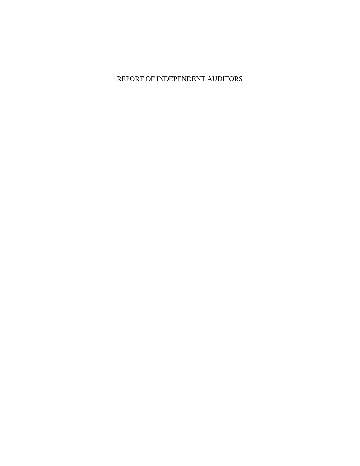## REPORT OF INDEPENDENT AUDITORS

\_\_\_\_\_\_\_\_\_\_\_\_\_\_\_\_\_\_\_\_\_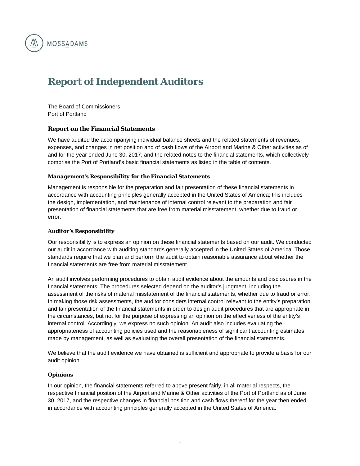

# **Report of Independent Auditors**

The Board of Commissioners Port of Portland

#### **Report on the Financial Statements**

We have audited the accompanying individual balance sheets and the related statements of revenues, expenses, and changes in net position and of cash flows of the Airport and Marine & Other activities as of and for the year ended June 30, 2017, and the related notes to the financial statements, which collectively comprise the Port of Portland's basic financial statements as listed in the table of contents.

#### *Management's Responsibility for the Financial Statements*

Management is responsible for the preparation and fair presentation of these financial statements in accordance with accounting principles generally accepted in the United States of America; this includes the design, implementation, and maintenance of internal control relevant to the preparation and fair presentation of financial statements that are free from material misstatement, whether due to fraud or error.

#### *Auditor's Responsibility*

Our responsibility is to express an opinion on these financial statements based on our audit. We conducted our audit in accordance with auditing standards generally accepted in the United States of America. Those standards require that we plan and perform the audit to obtain reasonable assurance about whether the financial statements are free from material misstatement.

An audit involves performing procedures to obtain audit evidence about the amounts and disclosures in the financial statements. The procedures selected depend on the auditor's judgment, including the assessment of the risks of material misstatement of the financial statements, whether due to fraud or error. In making those risk assessments, the auditor considers internal control relevant to the entity's preparation and fair presentation of the financial statements in order to design audit procedures that are appropriate in the circumstances, but not for the purpose of expressing an opinion on the effectiveness of the entity's internal control. Accordingly, we express no such opinion. An audit also includes evaluating the appropriateness of accounting policies used and the reasonableness of significant accounting estimates made by management, as well as evaluating the overall presentation of the financial statements.

We believe that the audit evidence we have obtained is sufficient and appropriate to provide a basis for our audit opinion.

#### *Opinions*

In our opinion, the financial statements referred to above present fairly, in all material respects, the respective financial position of the Airport and Marine & Other activities of the Port of Portland as of June 30, 2017, and the respective changes in financial position and cash flows thereof for the year then ended in accordance with accounting principles generally accepted in the United States of America.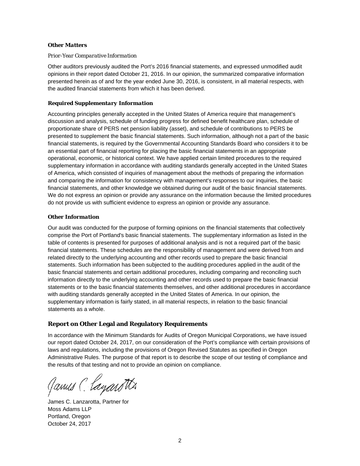#### *Other Matters*

#### *Prior-Year Comparative Information*

Other auditors previously audited the Port's 2016 financial statements, and expressed unmodified audit opinions in their report dated October 21, 2016. In our opinion, the summarized comparative information presented herein as of and for the year ended June 30, 2016, is consistent, in all material respects, with the audited financial statements from which it has been derived.

#### *Required Supplementary Information*

Accounting principles generally accepted in the United States of America require that management's discussion and analysis, schedule of funding progress for defined benefit healthcare plan, schedule of proportionate share of PERS net pension liability (asset), and schedule of contributions to PERS be presented to supplement the basic financial statements. Such information, although not a part of the basic financial statements, is required by the Governmental Accounting Standards Board who considers it to be an essential part of financial reporting for placing the basic financial statements in an appropriate operational, economic, or historical context. We have applied certain limited procedures to the required supplementary information in accordance with auditing standards generally accepted in the United States of America, which consisted of inquiries of management about the methods of preparing the information and comparing the information for consistency with management's responses to our inquiries, the basic financial statements, and other knowledge we obtained during our audit of the basic financial statements. We do not express an opinion or provide any assurance on the information because the limited procedures do not provide us with sufficient evidence to express an opinion or provide any assurance.

#### *Other Information*

Our audit was conducted for the purpose of forming opinions on the financial statements that collectively comprise the Port of Portland's basic financial statements. The supplementary information as listed in the table of contents is presented for purposes of additional analysis and is not a required part of the basic financial statements. These schedules are the responsibility of management and were derived from and related directly to the underlying accounting and other records used to prepare the basic financial statements. Such information has been subjected to the auditing procedures applied in the audit of the basic financial statements and certain additional procedures, including comparing and reconciling such information directly to the underlying accounting and other records used to prepare the basic financial statements or to the basic financial statements themselves, and other additional procedures in accordance with auditing standards generally accepted in the United States of America. In our opinion, the supplementary information is fairly stated, in all material respects, in relation to the basic financial statements as a whole.

#### **Report on Other Legal and Regulatory Requirements**

In accordance with the Minimum Standards for Audits of Oregon Municipal Corporations, we have issued our report dated October 24, 2017, on our consideration of the Port's compliance with certain provisions of laws and regulations, including the provisions of Oregon Revised Statutes as specified in Oregon Administrative Rules. The purpose of that report is to describe the scope of our testing of compliance and the results of that testing and not to provide an opinion on compliance.

James C. layarstta

James C. Lanzarotta, Partner for Moss Adams LLP Portland, Oregon October 24, 2017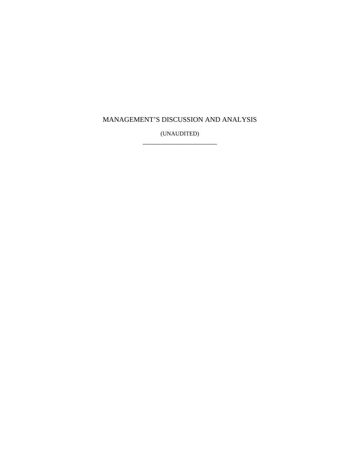MANAGEMENT'S DISCUSSION AND ANALYSIS

(UNAUDITED)  $\frac{1}{2}$  ,  $\frac{1}{2}$  ,  $\frac{1}{2}$  ,  $\frac{1}{2}$  ,  $\frac{1}{2}$  ,  $\frac{1}{2}$  ,  $\frac{1}{2}$  ,  $\frac{1}{2}$  ,  $\frac{1}{2}$  ,  $\frac{1}{2}$  ,  $\frac{1}{2}$  ,  $\frac{1}{2}$  ,  $\frac{1}{2}$  ,  $\frac{1}{2}$  ,  $\frac{1}{2}$  ,  $\frac{1}{2}$  ,  $\frac{1}{2}$  ,  $\frac{1}{2}$  ,  $\frac{1$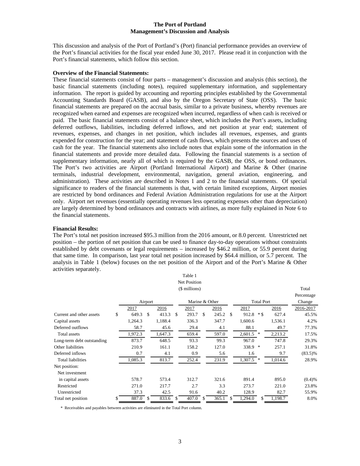This discussion and analysis of the Port of Portland's (Port) financial performance provides an overview of the Port's financial activities for the fiscal year ended June 30, 2017. Please read it in conjunction with the Port's financial statements, which follow this section.

#### **Overview of the Financial Statements:**

These financial statements consist of four parts – management's discussion and analysis (this section), the basic financial statements (including notes), required supplementary information, and supplementary information. The report is guided by accounting and reporting principles established by the Governmental Accounting Standards Board (GASB), and also by the Oregon Secretary of State (OSS). The basic financial statements are prepared on the accrual basis, similar to a private business, whereby revenues are recognized when earned and expenses are recognized when incurred, regardless of when cash is received or paid. The basic financial statements consist of a balance sheet, which includes the Port's assets, including deferred outflows, liabilities, including deferred inflows, and net position at year end; statement of revenues, expenses, and changes in net position, which includes all revenues, expenses, and grants expended for construction for the year; and statement of cash flows, which presents the sources and uses of cash for the year. The financial statements also include notes that explain some of the information in the financial statements and provide more detailed data. Following the financial statements is a section of supplementary information, nearly all of which is required by the GASB, the OSS, or bond ordinances. The Port's two activities are Airport (Portland International Airport) and Marine & Other (marine terminals, industrial development, environmental, navigation, general aviation, engineering, and administration). These activities are described in Notes 1 and 2 to the financial statements. Of special significance to readers of the financial statements is that, with certain limited exceptions, Airport monies are restricted by bond ordinances and Federal Aviation Administration regulations for use at the Airport only. Airport net revenues (essentially operating revenues less operating expenses other than depreciation) are largely determined by bond ordinances and contracts with airlines, as more fully explained in Note 6 to the financial statements.

#### **Financial Results:**

The Port's total net position increased \$95.3 million from the 2016 amount, or 8.0 percent. Unrestricted net position – the portion of net position that can be used to finance day-to-day operations without constraints established by debt covenants or legal requirements – increased by \$46.2 million, or 55.9 percent during that same time. In comparison, last year total net position increased by \$64.4 million, or 5.7 percent. The analysis in Table 1 (below) focuses on the net position of the Airport and of the Port's Marine & Other activities separately.

Table 1

|                            |             |         |         | 1 aviv 1       |    |       |     |             |                   |         |            |
|----------------------------|-------------|---------|---------|----------------|----|-------|-----|-------------|-------------------|---------|------------|
|                            |             |         |         | Net Position   |    |       |     |             |                   |         |            |
|                            |             |         |         | (\$ millions)  |    |       |     |             |                   |         | Total      |
|                            |             |         |         |                |    |       |     |             |                   |         | Percentage |
|                            |             | Airport |         | Marine & Other |    |       |     |             | <b>Total Port</b> |         | Change     |
|                            | 2017        |         | 2016    | 2017           |    | 2016  |     | 2017        |                   | 2016    | 2016-2017  |
| Current and other assets   | \$<br>649.3 | \$      | 413.3   | \$<br>293.7    | \$ | 245.2 | \$. | 912.8       | $*$ \$            | 627.4   | 45.5%      |
| Capital assets             | 1,264.3     |         | 1,188.4 | 336.3          |    | 347.7 |     | 1,600.6     |                   | 1,536.1 | 4.2%       |
| Deferred outflows          | 58.7        |         | 45.6    | 29.4           |    | 4.1   |     | 88.1        |                   | 49.7    | 77.3%      |
| Total assets               | 1,972.3     |         | 1,647.3 | 659.4          |    | 597.0 |     | $2,601.5$ * |                   | 2,213.2 | 17.5%      |
| Long-term debt outstanding | 873.7       |         | 648.5   | 93.3           |    | 99.3  |     | 967.0       |                   | 747.8   | 29.3%      |
| Other liabilities          | 210.9       |         | 161.1   | 158.2          |    | 127.0 |     | 338.9 *     |                   | 257.1   | 31.8%      |
| Deferred inflows           | 0.7         |         | 4.1     | 0.9            |    | 5.6   |     | 1.6         |                   | 9.7     | $(83.5)\%$ |
| Total liabilities          | 1,085.3     |         | 813.7   | 252.4          |    | 231.9 |     | $1,307.5$ * |                   | 1,014.6 | 28.9%      |
| Net position:              |             |         |         |                |    |       |     |             |                   |         |            |
| Net investment             |             |         |         |                |    |       |     |             |                   |         |            |
| in capital assets          | 578.7       |         | 573.4   | 312.7          |    | 321.6 |     | 891.4       |                   | 895.0   | (0.4)%     |
| Restricted                 | 271.0       |         | 217.7   | 2.7            |    | 3.3   |     | 273.7       |                   | 221.0   | 23.8%      |
| Unrestricted               | 37.3        |         | 42.5    | 91.6           |    | 40.2  |     | 128.9       |                   | 82.7    | 55.9%      |
| Total net position         | 887.0       |         | 833.6   | 407.0          | S  | 365.1 | \$. | 1,294.0     |                   | 1,198.7 | 8.0%       |
|                            |             |         |         |                |    |       |     |             |                   |         |            |

\* Receivables and payables between activities are eliminated in the Total Port column.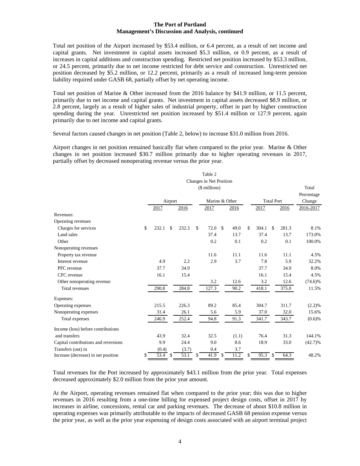Total net position of the Airport increased by \$53.4 million, or 6.4 percent, as a result of net income and capital grants. Net investment in capital assets increased \$5.3 million, or 0.9 percent, as a result of increases in capital additions and construction spending. Restricted net position increased by \$53.3 million, or 24.5 percent, primarily due to net income restricted for debt service and construction. Unrestricted net position decreased by \$5.2 million, or 12.2 percent, primarily as a result of increased long-term pension liability required under GASB 68, partially offset by net operating income.

Total net position of Marine & Other increased from the 2016 balance by \$41.9 million, or 11.5 percent, primarily due to net income and capital grants. Net investment in capital assets decreased \$8.9 million, or 2.8 percent, largely as a result of higher sales of industrial property, offset in part by higher construction spending during the year. Unrestricted net position increased by \$51.4 million or 127.9 percent, again primarily due to net income and capital grants.

Several factors caused changes in net position (Table 2, below) to increase \$31.0 million from 2016.

Airport changes in net position remained basically flat when compared to the prior year. Marine & Other changes in net position increased \$30.7 million primarily due to higher operating revenues in 2017, partially offset by decreased nonoperating revenue versus the prior year.

Table 2

|                                      | Changes in Net Position |       |         |       |               |                |    |       |     |       |                   |       |            |  |
|--------------------------------------|-------------------------|-------|---------|-------|---------------|----------------|----|-------|-----|-------|-------------------|-------|------------|--|
|                                      |                         |       |         |       |               | (\$ millions)  |    |       |     |       |                   |       | Total      |  |
|                                      |                         |       |         |       |               |                |    |       |     |       |                   |       | Percentage |  |
|                                      |                         |       | Airport |       |               | Marine & Other |    |       |     |       | <b>Total Port</b> |       | Change     |  |
|                                      |                         | 2017  |         | 2016  |               | 2017           |    | 2016  |     | 2017  |                   | 2016  | 2016-2017  |  |
| Revenues:                            |                         |       |         |       |               |                |    |       |     |       |                   |       |            |  |
| Operating revenues                   |                         |       |         |       |               |                |    |       |     |       |                   |       |            |  |
| Charges for services                 | \$                      | 232.1 | \$      | 232.3 | <sup>\$</sup> | 72.0           | \$ | 49.0  | \$. | 304.1 | \$.               | 281.3 | 8.1%       |  |
| Land sales                           |                         |       |         |       |               | 37.4           |    | 13.7  |     | 37.4  |                   | 13.7  | 173.0%     |  |
| Other                                |                         |       |         |       |               | 0.2            |    | 0.1   |     | 0.2   |                   | 0.1   | 100.0%     |  |
| Nonoperating revenues                |                         |       |         |       |               |                |    |       |     |       |                   |       |            |  |
| Property tax revenue                 |                         |       |         |       |               | 11.6           |    | 11.1  |     | 11.6  |                   | 11.1  | 4.5%       |  |
| Interest revenue                     |                         | 4.9   |         | 2.2   |               | 2.9            |    | 3.7   |     | 7.8   |                   | 5.9   | 32.2%      |  |
| PFC revenue                          |                         | 37.7  |         | 34.9  |               |                |    |       |     | 37.7  |                   | 34.9  | 8.0%       |  |
| CFC revenue                          |                         | 16.1  |         | 15.4  |               |                |    |       |     | 16.1  |                   | 15.4  | 4.5%       |  |
| Other nonoperating revenue           |                         |       |         |       |               | 3.2            |    | 12.6  |     | 3.2   |                   | 12.6  | $(74.6)\%$ |  |
| <b>Total revenues</b>                |                         | 290.8 |         | 284.8 |               | 127.3          |    | 90.2  |     | 418.1 |                   | 375.0 | 11.5%      |  |
| Expenses:                            |                         |       |         |       |               |                |    |       |     |       |                   |       |            |  |
| Operating expenses                   |                         | 215.5 |         | 226.3 |               | 89.2           |    | 85.4  |     | 304.7 |                   | 311.7 | (2.2)%     |  |
| Nonoperating expenses                |                         | 31.4  |         | 26.1  |               | 5.6            |    | 5.9   |     | 37.0  |                   | 32.0  | 15.6%      |  |
| Total expenses                       |                         | 246.9 |         | 252.4 |               | 94.8           |    | 91.3  |     | 341.7 |                   | 343.7 | (0.6)%     |  |
| Income (loss) before contributions   |                         |       |         |       |               |                |    |       |     |       |                   |       |            |  |
| and transfers                        |                         | 43.9  |         | 32.4  |               | 32.5           |    | (1.1) |     | 76.4  |                   | 31.3  | 144.1%     |  |
| Capital contributions and reversions |                         | 9.9   |         | 24.4  |               | 9.0            |    | 8.6   |     | 18.9  |                   | 33.0  | (42.7)%    |  |
| Transfers (out) in                   |                         | (0.4) |         | (3.7) |               | 0.4            |    | 3.7   |     |       |                   |       |            |  |
| Increase (decrease) in net position  |                         | 53.4  | \$      | 53.1  | \$            | 41.9           | \$ | 11.2  | \$. | 95.3  | \$                | 64.3  | 48.2%      |  |

Total revenues for the Port increased by approximately \$43.1 million from the prior year. Total expenses decreased approximately \$2.0 million from the prior year amount.

At the Airport, operating revenues remained flat when compared to the prior year; this was due to higher revenues in 2016 resulting from a one-time billing for expensed project design costs, offset in 2017 by increases in airline, concessions, rental car and parking revenues. The decrease of about \$10.8 million in operating expenses was primarily attributable to the impacts of decreased GASB 68 pension expense versus the prior year, as well as the prior year expensing of design costs associated with an airport terminal project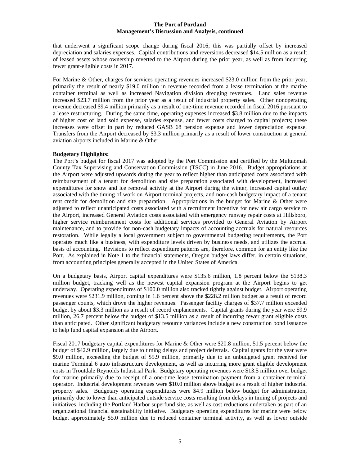that underwent a significant scope change during fiscal 2016; this was partially offset by increased depreciation and salaries expenses. Capital contributions and reversions decreased \$14.5 million as a result of leased assets whose ownership reverted to the Airport during the prior year, as well as from incurring fewer grant-eligible costs in 2017.

For Marine & Other, charges for services operating revenues increased \$23.0 million from the prior year, primarily the result of nearly \$19.0 million in revenue recorded from a lease termination at the marine container terminal as well as increased Navigation division dredging revenues. Land sales revenue increased \$23.7 million from the prior year as a result of industrial property sales. Other nonoperating revenue decreased \$9.4 million primarily as a result of one-time revenue recorded in fiscal 2016 pursuant to a lease restructuring. During the same time, operating expenses increased \$3.8 million due to the impacts of higher cost of land sold expense, salaries expense, and fewer costs charged to capital projects; these increases were offset in part by reduced GASB 68 pension expense and lower depreciation expense. Transfers from the Airport decreased by \$3.3 million primarily as a result of lower construction at general aviation airports included in Marine & Other.

#### **Budgetary Highlights:**

The Port's budget for fiscal 2017 was adopted by the Port Commission and certified by the Multnomah County Tax Supervising and Conservation Commission (TSCC) in June 2016. Budget appropriations at the Airport were adjusted upwards during the year to reflect higher than anticipated costs associated with reimbursement of a tenant for demolition and site preparation associated with development, increased expenditures for snow and ice removal activity at the Airport during the winter, increased capital outlay associated with the timing of work on Airport terminal projects, and non-cash budgetary impact of a tenant rent credit for demolition and site preparation. Appropriations in the budget for Marine & Other were adjusted to reflect unanticipated costs associated with a recruitment incentive for new air cargo service to the Airport, increased General Aviation costs associated with emergency runway repair costs at Hillsboro, higher service reimbursement costs for additional services provided to General Aviation by Airport maintenance, and to provide for non-cash budgetary impacts of accounting accruals for natural resources restoration. While legally a local government subject to governmental budgeting requirements, the Port operates much like a business, with expenditure levels driven by business needs, and utilizes the accrual basis of accounting. Revisions to reflect expenditure patterns are, therefore, common for an entity like the Port. As explained in Note 1 to the financial statements, Oregon budget laws differ, in certain situations, from accounting principles generally accepted in the United States of America.

On a budgetary basis, Airport capital expenditures were \$135.6 million, 1.8 percent below the \$138.3 million budget, tracking well as the newest capital expansion program at the Airport begins to get underway. Operating expenditures of \$100.0 million also tracked tightly against budget. Airport operating revenues were \$231.9 million, coming in 1.6 percent above the \$228.2 million budget as a result of record passenger counts, which drove the higher revenues. Passenger facility charges of \$37.7 million exceeded budget by about \$3.3 million as a result of record enplanements. Capital grants during the year were \$9.9 million, 26.7 percent below the budget of \$13.5 million as a result of incurring fewer grant eligible costs than anticipated. Other significant budgetary resource variances include a new construction bond issuance to help fund capital expansion at the Airport.

Fiscal 2017 budgetary capital expenditures for Marine & Other were \$20.8 million, 51.5 percent below the budget of \$42.9 million, largely due to timing delays and project deferrals. Capital grants for the year were \$9.0 million, exceeding the budget of \$5.9 million, primarily due to an unbudgeted grant received for marine Terminal 6 auto infrastructure development, as well as incurring more grant eligible development costs in Troutdale Reynolds Industrial Park. Budgetary operating revenues were \$13.5 million over budget for marine primarily due to receipt of a one-time lease termination payment from a container terminal operator. Industrial development revenues were \$10.0 million above budget as a result of higher industrial property sales. Budgetary operating expenditures were \$4.9 million below budget for administration, primarily due to lower than anticipated outside service costs resulting from delays in timing of projects and initiatives, including the Portland Harbor superfund site, as well as cost reductions undertaken as part of an organizational financial sustainability initiative. Budgetary operating expenditures for marine were below budget approximately \$5.0 million due to reduced container terminal activity, as well as lower outside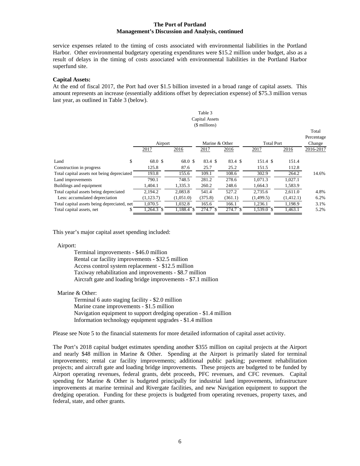service expenses related to the timing of costs associated with environmental liabilities in the Portland Harbor. Other environmental budgetary operating expenditures were \$15.2 million under budget, also as a result of delays in the timing of costs associated with environmental liabilities in the Portland Harbor superfund site.

#### **Capital Assets:**

At the end of fiscal 2017, the Port had over \$1.5 billion invested in a broad range of capital assets. This amount represents an increase (essentially additions offset by depreciation expense) of \$75.3 million versus last year, as outlined in Table 3 (below).

|                                             |               |            | Table 3<br><b>Capital Assets</b><br>(\$ millions) |                    |                   |            |                               |
|---------------------------------------------|---------------|------------|---------------------------------------------------|--------------------|-------------------|------------|-------------------------------|
|                                             | Airport       |            | Marine & Other                                    |                    | <b>Total Port</b> |            | Total<br>Percentage<br>Change |
|                                             | 2017          | 2016       | 2017                                              | 2016               | 2017              | 2016       | 2016-2017                     |
| Land                                        | \$<br>68.0 \$ | 68.0 \$    | 83.4 \$                                           | 83.4 \$            | 151.4 \$          | 151.4      |                               |
| Construction in progress                    | 125.8         | 87.6       | 25.7                                              | 25.2               | 151.5             | 112.8      |                               |
| Total capital assets not being depreciated  | 193.8         | 155.6      | 109.1                                             | 108.6              | 302.9             | 264.2      | 14.6%                         |
| Land improvements                           | 790.1         | 748.5      | 281.2                                             | 278.6              | 1,071.3           | 1,027.1    |                               |
| Buildings and equipment                     | 1,404.1       | 1,335.3    | 260.2                                             | 248.6              | 1,664.3           | 1,583.9    |                               |
| Total capital assets being depreciated      | 2,194.2       | 2,083.8    | 541.4                                             | 527.2              | 2,735.6           | 2,611.0    | 4.8%                          |
| Less: accumulated depreciation              | (1, 123.7)    | (1,051.0)  | (375.8)                                           | (361.1)            | (1,499.5)         | (1, 412.1) | 6.2%                          |
| Total capital assets being depreciated, net | 1,070.5       | 1,032.8    | 165.6                                             | 166.1              | 1,236.1           | 1,198.9    | 3.1%                          |
| Total capital assets, net                   | $.264.3$ \$   | 1,188.4 \$ | $274.7$ \$                                        | 274.7 <sup>3</sup> | $1,539.0$ \$      | 1,463.1    | 5.2%                          |
|                                             |               |            |                                                   |                    |                   |            |                               |

This year's major capital asset spending included:

#### Airport:

Terminal improvements - \$46.0 million Rental car facility improvements - \$32.5 million Access control system replacement - \$12.5 million Taxiway rehabilitation and improvements - \$8.7 million Aircraft gate and loading bridge improvements - \$7.1 million

#### Marine & Other:

Terminal 6 auto staging facility - \$2.0 million Marine crane improvements - \$1.5 million Navigation equipment to support dredging operation - \$1.4 million Information technology equipment upgrades - \$1.4 million

Please see Note 5 to the financial statements for more detailed information of capital asset activity.

The Port's 2018 capital budget estimates spending another \$355 million on capital projects at the Airport and nearly \$48 million in Marine & Other. Spending at the Airport is primarily slated for terminal improvements; rental car facility improvements; additional public parking; pavement rehabilitation projects; and aircraft gate and loading bridge improvements. These projects are budgeted to be funded by Airport operating revenues, federal grants, debt proceeds, PFC revenues, and CFC revenues. Capital spending for Marine & Other is budgeted principally for industrial land improvements, infrastructure improvements at marine terminal and Rivergate facilities, and new Navigation equipment to support the dredging operation. Funding for these projects is budgeted from operating revenues, property taxes, and federal, state, and other grants.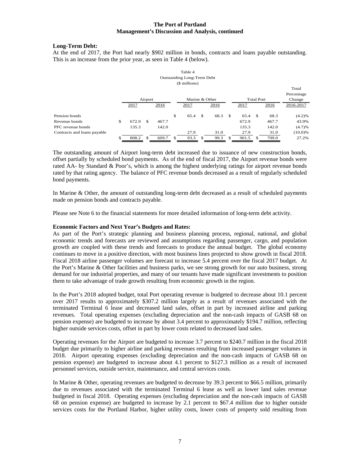#### **Long-Term Debt:**

At the end of 2017, the Port had nearly \$902 million in bonds, contracts and loans payable outstanding. This is an increase from the prior year, as seen in Table 4 (below).

|                             |                                                |     |       |    | Table 4<br>Outstanding Long-Term Debt<br>(\$ millions) |     |      |     |       |    |       |                               |
|-----------------------------|------------------------------------------------|-----|-------|----|--------------------------------------------------------|-----|------|-----|-------|----|-------|-------------------------------|
|                             | Marine & Other<br><b>Total Port</b><br>Airport |     |       |    |                                                        |     |      |     |       |    |       | Total<br>Percentage<br>Change |
|                             | 2017                                           |     | 2016  |    | 2017                                                   |     | 2016 |     | 2017  |    | 2016  | 2016-2017                     |
| Pension bonds               |                                                |     |       | \$ | 65.4                                                   | \$. | 68.3 | \$. | 65.4  | £. | 68.3  | (4.2)%                        |
| Revenue bonds               | \$<br>672.9                                    | \$. | 467.7 |    |                                                        |     |      |     | 672.9 |    | 467.7 | 43.9%                         |
| PFC revenue bonds           | 135.3                                          |     | 142.0 |    |                                                        |     |      |     | 135.3 |    | 142.0 | (4.7)%                        |
| Contracts and loans payable |                                                |     |       |    | 27.9                                                   |     | 31.0 |     | 27.9  |    | 31.0  | $(10.0)\%$                    |
|                             | \$<br>808.2                                    | \$  | 609.7 | \$ | 93.3                                                   | \$. | 99.3 | S.  | 901.5 | S  | 709.0 | 27.2%                         |

The outstanding amount of Airport long-term debt increased due to issuance of new construction bonds, offset partially by scheduled bond payments. As of the end of fiscal 2017, the Airport revenue bonds were rated AA- by Standard & Poor's, which is among the highest underlying ratings for airport revenue bonds rated by that rating agency. The balance of PFC revenue bonds decreased as a result of regularly scheduled bond payments.

In Marine & Other, the amount of outstanding long-term debt decreased as a result of scheduled payments made on pension bonds and contracts payable.

Please see Note 6 to the financial statements for more detailed information of long-term debt activity.

#### **Economic Factors and Next Year's Budgets and Rates:**

As part of the Port's strategic planning and business planning process, regional, national, and global economic trends and forecasts are reviewed and assumptions regarding passenger, cargo, and population growth are coupled with these trends and forecasts to produce the annual budget. The global economy continues to move in a positive direction, with most business lines projected to show growth in fiscal 2018. Fiscal 2018 airline passenger volumes are forecast to increase 5.4 percent over the fiscal 2017 budget. At the Port's Marine & Other facilities and business parks, we see strong growth for our auto business, strong demand for our industrial properties, and many of our tenants have made significant investments to position them to take advantage of trade growth resulting from economic growth in the region.

In the Port's 2018 adopted budget, total Port operating revenue is budgeted to decrease about 10.1 percent over 2017 results to approximately \$307.2 million largely as a result of revenues associated with the terminated Terminal 6 lease and decreased land sales, offset in part by increased airline and parking revenues. Total operating expenses (excluding depreciation and the non-cash impacts of GASB 68 on pension expense) are budgeted to increase by about 3.4 percent to approximately \$194.7 million, reflecting higher outside services costs, offset in part by lower costs related to decreased land sales.

Operating revenues for the Airport are budgeted to increase 3.7 percent to \$240.7 million in the fiscal 2018 budget due primarily to higher airline and parking revenues resulting from increased passenger volumes in 2018. Airport operating expenses (excluding depreciation and the non-cash impacts of GASB 68 on pension expense) are budgeted to increase about 4.1 percent to \$127.3 million as a result of increased personnel services, outside service, maintenance, and central services costs.

In Marine & Other, operating revenues are budgeted to decrease by 39.3 percent to \$66.5 million, primarily due to revenues associated with the terminated Terminal 6 lease as well as lower land sales revenue budgeted in fiscal 2018. Operating expenses (excluding depreciation and the non-cash impacts of GASB 68 on pension expense) are budgeted to increase by 2.1 percent to \$67.4 million due to higher outside services costs for the Portland Harbor, higher utility costs, lower costs of property sold resulting from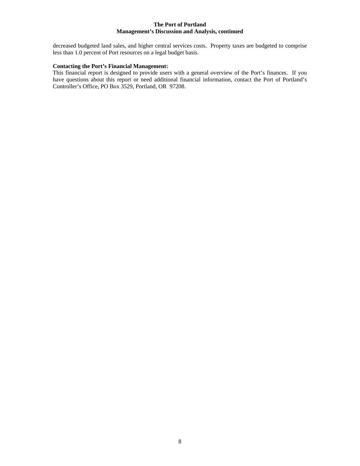decreased budgeted land sales, and higher central services costs. Property taxes are budgeted to comprise less than 1.0 percent of Port resources on a legal budget basis.

#### **Contacting the Port's Financial Management:**

This financial report is designed to provide users with a general overview of the Port's finances. If you have questions about this report or need additional financial information, contact the Port of Portland's Controller's Office, PO Box 3529, Portland, OR 97208.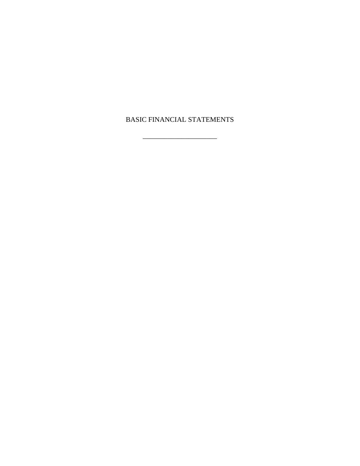### BASIC FINANCIAL STATEMENTS

\_\_\_\_\_\_\_\_\_\_\_\_\_\_\_\_\_\_\_\_\_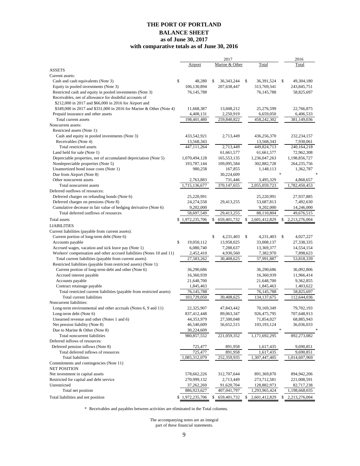#### **BALANCE SHEET**

#### **as of June 30, 2017**

**with comparative totals as of June 30, 2016** 

|                                                                                                          |                          | 2017               |                          |        | 2016                    |
|----------------------------------------------------------------------------------------------------------|--------------------------|--------------------|--------------------------|--------|-------------------------|
|                                                                                                          | Airport                  |                    | Total                    |        |                         |
| <b>ASSETS</b>                                                                                            |                          |                    |                          |        |                         |
| Current assets:                                                                                          |                          |                    |                          |        |                         |
| Cash and cash equivalents (Note 3)                                                                       | \$<br>48,280             | \$<br>36, 343, 244 | \$<br>36,391,524         | \$     | 49,304,180              |
| Equity in pooled investments (Note 3)                                                                    | 106,130,894              | 207,638,447        | 313,769,341              |        | 243,845,751             |
| Restricted cash and equity in pooled investments (Note 3)                                                | 76,145,788               |                    | 76, 145, 788             |        | 58,825,697              |
| Receivables, net of allowance for doubtful accounts of                                                   |                          |                    |                          |        |                         |
| \$212,000 in 2017 and \$66,000 in 2016 for Airport and                                                   |                          |                    |                          |        |                         |
| \$349,000 in 2017 and \$331,000 in 2016 for Marine & Other (Note 4)                                      | 11,668,387               | 13,608,212         | 25,276,599               |        | 22,766,875              |
| Prepaid insurance and other assets                                                                       | 4,408,131                | 2,250,919          | 6,659,050                |        | 6,406,533               |
| Total current assets                                                                                     | 198,401,480              | 259,840,822        | 458,242,302              |        | 381,149,036             |
| Noncurrent assets:                                                                                       |                          |                    |                          |        |                         |
| Restricted assets (Note 1):                                                                              |                          |                    |                          |        |                         |
| Cash and equity in pooled investments (Note 3)                                                           | 433,542,921              | 2,713,449          | 436,256,370              |        | 232, 234, 157           |
| Receivables (Note 4)                                                                                     | 13,568,343               |                    | 13,568,343               |        | 7,930,061               |
| Total restricted assets                                                                                  | 447,111,264              | 2,713,449          | 449,824,713              |        | 240, 164, 218           |
| Land held for sale (Note 1)                                                                              |                          | 61,661,577         | 61,661,577               |        | 72,962,308              |
| Depreciable properties, net of accumulated depreciation (Note 5)                                         | 1,070,494,128            | 165, 553, 135      | 1,236,047,263            |        | 1,198,856,727           |
| Nondepreciable properties (Note 5)                                                                       | 193,787,144              | 109,095,584        | 302,882,728              |        | 264,235,756             |
| Unamortized bond issue costs (Note 1)                                                                    | 980,258                  | 167,855            | 1,148,113                | *      | 1,362,787               |
| Due from Airport (Note 8)                                                                                |                          | 30,224,609         |                          |        |                         |
| Other noncurrent assets                                                                                  | 2,763,883                | 731,446            | 3,495,329                |        | 4,868,657               |
| Total noncurrent assets                                                                                  | 1,715,136,677            | 370,147,655        | 2,055,059,723            |        | 1,782,450,453           |
| Deferred outflows of resources:                                                                          | 25,220,991               |                    |                          |        |                         |
| Deferred charges on refunding bonds (Note 6)                                                             | 24,274,558               |                    | 25,220,991<br>53,687,813 |        | 27,937,885<br>7,492,630 |
| Deferred charges on pensions (Note 8)                                                                    |                          | 29,413,255         |                          |        |                         |
| Cumulative decrease in fair value of hedging derivative (Note 6)<br>Total deferred outflows of resources | 9,202,000<br>58,697,549  |                    | 9,202,000<br>88,110,804  |        | 14,246,000              |
|                                                                                                          |                          | 29,413,255         |                          |        | 49,676,515              |
| Total assets                                                                                             | \$1,972,235,706          | 659,401,732        | 2,601,412,829            |        | \$ 2,213,276,004        |
| <b>LIABILITIES</b>                                                                                       |                          |                    |                          |        |                         |
| Current liabilities (payable from current assets):                                                       |                          |                    |                          |        |                         |
| Current portion of long-term debt (Note 6)                                                               |                          | \$<br>4,231,403    | \$<br>4,231,403          | \$     | 4,027,227               |
| Accounts payable                                                                                         | \$<br>19,050,112         | 13,958,025         | 33,008,137               |        | 27,338,335              |
| Accrued wages, vacation and sick leave pay (Note 1)                                                      | 6,080,740                | 7,288,637          | 13,369,377               |        | 14,554,154              |
| Workers' compensation and other accrued liabilities (Notes 10 and 11)                                    | 2,452,410                | 4,930,560          | 7,382,970                |        | 7,898,623               |
| Total current liabilities (payable from current assets)                                                  | 27,583,262               | 30,408,625         | 57,991,887               |        | 53,818,339              |
| Restricted liabilities (payable from restricted assets) (Note 1):                                        |                          |                    |                          |        |                         |
| Current portion of long-term debt and other (Note 6)                                                     | 36,290,686               |                    | 36,290,686               |        | 36,092,806              |
| Accrued interest payable<br>Accounts payable                                                             | 16,360,939<br>21,648,700 |                    | 16,360,939               |        | 11,966,414              |
|                                                                                                          |                          |                    | 21,648,700<br>1,845,463  |        | 9,362,855               |
| Contract retainage payable<br>Total restricted current liabilities (payable from restricted assets)      | 1,845,463<br>76,145,788  |                    | 76,145,788               |        | 1,403,622<br>58,825,697 |
| Total current liabilities                                                                                | 103,729,050              | 30,408,625         | 134, 137, 675            |        | 112,644,036             |
| Noncurrent liabilities:                                                                                  |                          |                    |                          |        |                         |
| Long-term environmental and other accruals (Notes 6, 9 and 11)                                           | 22,325,907               | 47,843,442         | 70,169,349               |        | 79,702,193              |
| Long-term debt (Note 6)                                                                                  | 837,412,448              | 89,063,347         | 926, 475, 795            |        | 707,648,913             |
| Unearned revenue and other (Notes 1 and 6)                                                               | 44,353,979               | 27,500,048         | 71,854,027               |        | 68,885,943              |
| Net pension liability (Note 8)                                                                           | 46,540,609               | 56,652,515         | 103,193,124              |        | 36,036,033              |
| Due to Marine & Other (Note 8)                                                                           | 30,224,609               |                    |                          | $\ast$ |                         |
| Total noncurrent liabilities                                                                             | 980, 857, 552            | 221,059,352        | 1,171,692,295            |        | 892,273,082             |
| Deferred inflows of resources:                                                                           |                          |                    |                          |        |                         |
| Deferred pension inflows (Note 8)                                                                        | 725,477                  | 891,958            | 1,617,435                |        | 9,690,851               |
| Total deferred inflows of resources                                                                      | 725,477                  | 891,958            | 1,617,435                |        | 9,690,851               |
| Total liabilities                                                                                        | 1,085,312,079            | 252,359,935        | 1,307,447,405            |        | 1,014,607,969           |
| Commitments and contingencies (Note 11)                                                                  |                          |                    |                          |        |                         |
| <b>NET POSITION</b>                                                                                      |                          |                    |                          |        |                         |
| Net investment in capital assets                                                                         | 578,662,226              | 312,707,644        | 891, 369, 870            |        | 894,942,206             |
| Restricted for capital and debt service                                                                  | 270,999,132              | 2,713,449          | 273,712,581              |        | 221,008,591             |
| Unrestricted                                                                                             | 37,262,269               | 91,620,704         | 128,882,973              |        | 82,717,238              |
| Total net position                                                                                       | 886,923,627              | 407,041,797        | 1,293,965,424            |        | 1,198,668,035           |
| Total liabilities and net position                                                                       | \$1,972,235,706          | \$<br>659,401,732  | \$<br>2,601,412,829      | \$     | 2,213,276,004           |

\* Receivables and payables between activities are eliminated in the Total columns.

 The accompanying notes are an integral part of these financial statements.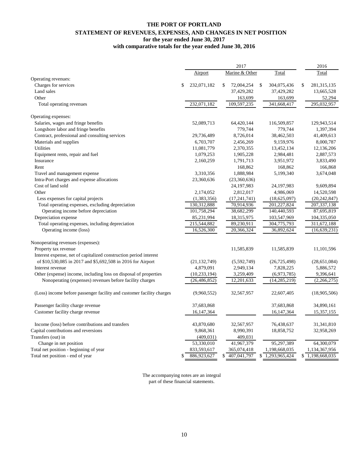#### **STATEMENT OF REVENUES, EXPENSES, AND CHANGES IN NET POSITION for the year ended June 30, 2017**

**with comparative totals for the year ended June 30, 2016** 

|                                                                       |                   | 2017              |                          | 2016                |  |
|-----------------------------------------------------------------------|-------------------|-------------------|--------------------------|---------------------|--|
|                                                                       | Airport           | Marine & Other    | Total                    | Total               |  |
| Operating revenues:                                                   |                   |                   |                          |                     |  |
| Charges for services                                                  | \$<br>232,071,182 | 72,004,254<br>\$  | \$<br>304,075,436        | \$<br>281, 315, 135 |  |
| Land sales                                                            |                   | 37,429,282        | 37,429,282               | 13,665,528          |  |
| Other                                                                 |                   | 163,699           | 163,699                  | 52,294              |  |
| Total operating revenues                                              | 232,071,182       | 109,597,235       | $\overline{341,668,417}$ | 295,032,957         |  |
| Operating expenses:                                                   |                   |                   |                          |                     |  |
| Salaries, wages and fringe benefits                                   | 52,089,713        | 64,420,144        | 116,509,857              | 129,943,514         |  |
| Longshore labor and fringe benefits                                   |                   | 779,744           | 779,744                  | 1,397,394           |  |
| Contract, professional and consulting services                        | 29,736,489        | 8,726,014         | 38,462,503               | 41,409,613          |  |
| Materials and supplies                                                | 6,703,707         | 2,456,269         | 9,159,976                | 8,000,787           |  |
| Utilities                                                             | 11,081,779        | 2,370,355         | 13,452,134               | 12,136,206          |  |
| Equipment rents, repair and fuel                                      | 1,079,253         | 1,905,228         | 2,984,481                | 2,887,573           |  |
| Insurance                                                             | 2,160,259         | 1,791,713         | 3,951,972                | 3,833,490           |  |
| Rent                                                                  |                   | 168,862           | 168,862                  | 166,868             |  |
| Travel and management expense                                         | 3,310,356         | 1,888,984         | 5,199,340                | 3,674,048           |  |
| Intra-Port charges and expense allocations                            | 23,360,636        | (23,360,636)      |                          |                     |  |
| Cost of land sold                                                     |                   | 24,197,983        | 24, 197, 983             | 9,609,894           |  |
| Other                                                                 | 2,174,052         | 2,812,017         | 4,986,069                | 14,520,598          |  |
| Less expenses for capital projects                                    | (1,383,356)       | (17, 241, 741)    | (18,625,097)             | (20, 242, 847)      |  |
| Total operating expenses, excluding depreciation                      | 130,312,888       | 70,914,936        | 201,227,824              | 207, 337, 138       |  |
| Operating income before depreciation                                  | 101,758,294       | 38,682,299        | 140,440,593              | 87,695,819          |  |
| Depreciation expense                                                  | 85,231,994        | 18,315,975        | 103,547,969              | 104,335,050         |  |
| Total operating expenses, including depreciation                      | 215,544,882       | 89,230,911        | 304,775,793              | 311,672,188         |  |
| Operating income (loss)                                               | 16,526,300        | 20,366,324        | 36,892,624               | (16, 639, 231)      |  |
| Nonoperating revenues (expenses):                                     |                   |                   |                          |                     |  |
| Property tax revenue                                                  |                   | 11,585,839        | 11,585,839               | 11,101,596          |  |
| Interest expense, net of capitalized construction period interest     |                   |                   |                          |                     |  |
| of \$10,530,085 in 2017 and \$5,692,508 in 2016 for Airport           | (21, 132, 749)    | (5,592,749)       | (26, 725, 498)           | (28,651,084)        |  |
| Interest revenue                                                      | 4,879,091         | 2,949,134         | 7,828,225                | 5,886,572           |  |
| Other (expense) income, including loss on disposal of properties      | (10, 233, 194)    | 3,259,409         | (6,973,785)              | 9,396,641           |  |
| Nonoperating (expenses) revenues before facility charges              | (26, 486, 852)    | 12,201,633        | (14, 285, 219)           | (2,266,275)         |  |
| (Loss) income before passenger facility and customer facility charges | (9,960,552)       | 32,567,957        | 22,607,405               | (18,905,506)        |  |
| Passenger facility charge revenue                                     | 37,683,868        |                   | 37,683,868               | 34,890,161          |  |
| Customer facility charge revenue                                      | 16, 147, 364      |                   | 16, 147, 364             | 15,357,155          |  |
| Income (loss) before contributions and transfers                      | 43,870,680        | 32,567,957        | 76,438,637               | 31, 341, 810        |  |
| Capital contributions and reversions                                  | 9,868,361         | 8,990,391         | 18,858,752               | 32,958,269          |  |
| Transfers (out) in                                                    | (409, 031)        | 409,031           |                          |                     |  |
| Change in net position                                                | 53,330,010        | 41,967,379        | 95,297,389               | 64,300,079          |  |
| Total net position - beginning of year                                | 833,593,617       | 365,074,418       | 1,198,668,035            | 1,134,367,956       |  |
| Total net position - end of year                                      | \$<br>886,923,627 | 407,041,797<br>\$ | \$<br>1,293,965,424      | \$1,198,668,035     |  |

The accompanying notes are an integral part of these financial statements.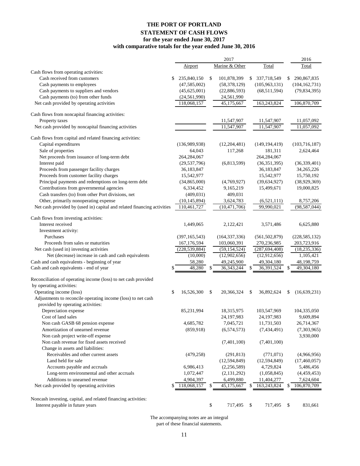#### **STATEMENT OF CASH FLOWS for the year ended June 30, 2017**

#### **with comparative totals for the year ended June 30, 2016**

|                                                                         |                         |               | 2017                     |     |                           |     | 2016                      |
|-------------------------------------------------------------------------|-------------------------|---------------|--------------------------|-----|---------------------------|-----|---------------------------|
|                                                                         | Airport                 |               | Marine & Other           |     | Total                     |     | Total                     |
| Cash flows from operating activities:                                   |                         |               |                          |     |                           |     |                           |
| Cash received from customers                                            | \$<br>235,840,150       | \$            | 101,878,399              | \$. | 337,718,549               | \$  | 290,867,835               |
| Cash payments to employees                                              | (47, 585, 002)          |               | (58, 378, 129)           |     | (105, 963, 131)           |     | (104, 162, 731)           |
| Cash payments to suppliers and vendors                                  | (45,625,001)            |               | (22,886,593)             |     | (68, 511, 594)            |     | (79, 834, 395)            |
| Cash payments (to) from other funds                                     | (24, 561, 990)          |               | 24,561,990               |     |                           |     |                           |
| Net cash provided by operating activities                               | 118,068,157             |               | 45,175,667               |     | 163,243,824               |     | 106,870,709               |
| Cash flows from noncapital financing activities:                        |                         |               |                          |     |                           |     |                           |
| Property taxes                                                          |                         |               | 11,547,907               |     | 11,547,907                |     | 11,057,092                |
| Net cash provided by noncapital financing activities                    |                         |               | 11,547,907               |     | 11,547,907                |     | 11,057,092                |
| Cash flows from capital and related financing activities:               |                         |               |                          |     |                           |     |                           |
| Capital expenditures                                                    | (136,989,938)           |               | (12, 204, 481)           |     | (149, 194, 419)           |     | (103, 716, 187)           |
| Sale of properties                                                      | 64,043                  |               | 117,268                  |     | 181,311                   |     | 2,624,464                 |
| Net proceeds from issuance of long-term debt                            | 264,284,067             |               |                          |     | 264,284,067               |     |                           |
| Interest paid                                                           | (29, 537, 796)          |               | (6,813,599)              |     | (36, 351, 395)            |     | (36,339,401)              |
| Proceeds from passenger facility charges                                | 36,183,847              |               |                          |     | 36,183,847                |     | 34, 265, 226              |
| Proceeds from customer facility charges                                 | 15,542,977              |               |                          |     | 15,542,977                |     | 15,750,192                |
| Principal payments and redemptions on long-term debt                    | (34,865,000)            |               | (4,769,927)              |     | (39, 634, 927)            |     | (38,929,369)              |
| Contributions from governmental agencies                                | 6,334,452               |               | 9,165,219                |     | 15,499,671                |     | 19,000,825                |
| Cash transfers (to) from other Port divisions, net                      | (409, 031)              |               | 409,031                  |     |                           |     |                           |
| Other, primarily nonoperating expense                                   | (10, 145, 894)          |               | 3,624,783                |     | (6,521,111)               |     | 8,757,206                 |
| Net cash provided by (used in) capital and related financing activities | 110,461,727             |               | (10, 471, 706)           |     | 99,990,021                |     | (98, 587, 044)            |
| Cash flows from investing activities:                                   |                         |               |                          |     |                           |     |                           |
| Interest received                                                       | 1,449,065               |               | 2,122,421                |     | 3,571,486                 |     | 6,625,880                 |
| Investment activity:                                                    |                         |               |                          |     |                           |     |                           |
| Purchases                                                               | (397, 165, 543)         |               | (164, 337, 336)          |     | (561, 502, 879)           |     | (228, 585, 132)           |
| Proceeds from sales or maturities                                       | 167,176,594             |               | 103,060,391              |     | 270,236,985               |     | 203,723,916               |
| Net cash (used in) investing activities                                 | (228, 539, 884)         |               | (59, 154, 524)           |     | (287, 694, 408)           |     | (18, 235, 336)            |
| Net (decrease) increase in cash and cash equivalents                    | (10,000)                |               | (12,902,656)             |     | (12, 912, 656)            |     | 1,105,421                 |
| Cash and cash equivalents - beginning of year                           | 58,280                  |               | 49,245,900               |     | 49,304,180                |     | 48,198,759                |
| Cash and cash equivalents - end of year                                 | \$<br>48,280            | $\mathcal{S}$ | 36, 343, 244             | \$  | 36,391,524                | \$. | 49,304,180                |
| Reconciliation of operating income (loss) to net cash provided          |                         |               |                          |     |                           |     |                           |
| by operating activities:                                                |                         |               |                          |     |                           |     |                           |
| Operating income (loss)                                                 | \$<br>16,526,300        | \$            | 20,366,324               | \$  | 36,892,624                | \$  | (16, 639, 231)            |
| Adjustments to reconcile operating income (loss) to net cash            |                         |               |                          |     |                           |     |                           |
| provided by operating activities:                                       |                         |               |                          |     |                           |     |                           |
| Depreciation expense                                                    | 85,231,994              |               | 18,315,975               |     | 103,547,969               |     | 104,335,050               |
| Cost of land sales                                                      |                         |               | 24,197,983               |     | 24, 197, 983              |     | 9,609,894                 |
|                                                                         |                         |               |                          |     |                           |     |                           |
| Non cash GASB 68 pension expense<br>Amortization of unearned revenue    | 4,685,782<br>(859, 918) |               | 7,045,721<br>(6,574,573) |     | 11,731,503<br>(7,434,491) |     | 26,714,367<br>(7,303,965) |
|                                                                         |                         |               |                          |     |                           |     | 3,930,000                 |
| Non cash project write-off expense                                      |                         |               |                          |     |                           |     |                           |
| Non cash revenue for fixed assets received                              |                         |               | (7,401,100)              |     | (7,401,100)               |     |                           |
| Change in assets and liabilities:                                       |                         |               |                          |     |                           |     |                           |
| Receivables and other current assets                                    | (479, 258)              |               | (291, 813)               |     | (771, 071)                |     | (4,966,956)               |
| Land held for sale                                                      |                         |               | (12, 594, 849)           |     | (12, 594, 849)            |     | (17,460,057)              |
| Accounts payable and accruals                                           | 6,986,413               |               | (2,256,589)              |     | 4,729,824                 |     | 5,486,456                 |
| Long-term environmental and other accruals                              | 1,072,447               |               | (2, 131, 292)            |     | (1,058,845)               |     | (4,459,453)               |
| Additions to unearned revenue                                           | 4,904,397               |               | 6,499,880                |     | 11,404,277                |     | 7,624,604                 |
| Net cash provided by operating activities                               | \$<br>118,068,157       | \$            | 45,175,667               | \$  | 163,243,824               | \$  | 106,870,709               |
| Noncash investing, capital, and related financing activities:           |                         |               |                          |     |                           |     |                           |

Interest payable in future years **117,495** \$ 717,495 \$ 717,495 \$ 831,661

 The accompanying notes are an integral part of these financial statements.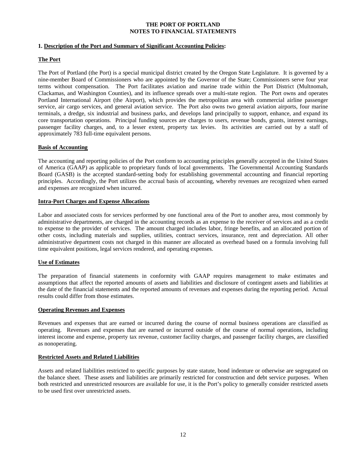#### **1. Description of the Port and Summary of Significant Accounting Policies:**

#### **The Port**

The Port of Portland (the Port) is a special municipal district created by the Oregon State Legislature. It is governed by a nine-member Board of Commissioners who are appointed by the Governor of the State; Commissioners serve four year terms without compensation. The Port facilitates aviation and marine trade within the Port District (Multnomah, Clackamas, and Washington Counties), and its influence spreads over a multi-state region. The Port owns and operates Portland International Airport (the Airport), which provides the metropolitan area with commercial airline passenger service, air cargo services, and general aviation service. The Port also owns two general aviation airports, four marine terminals, a dredge, six industrial and business parks, and develops land principally to support, enhance, and expand its core transportation operations. Principal funding sources are charges to users, revenue bonds, grants, interest earnings, passenger facility charges, and, to a lesser extent, property tax levies. Its activities are carried out by a staff of approximately 783 full-time equivalent persons.

#### **Basis of Accounting**

The accounting and reporting policies of the Port conform to accounting principles generally accepted in the United States of America (GAAP) as applicable to proprietary funds of local governments. The Governmental Accounting Standards Board (GASB) is the accepted standard-setting body for establishing governmental accounting and financial reporting principles. Accordingly, the Port utilizes the accrual basis of accounting, whereby revenues are recognized when earned and expenses are recognized when incurred.

#### **Intra-Port Charges and Expense Allocations**

Labor and associated costs for services performed by one functional area of the Port to another area, most commonly by administrative departments, are charged in the accounting records as an expense to the receiver of services and as a credit to expense to the provider of services. The amount charged includes labor, fringe benefits, and an allocated portion of other costs, including materials and supplies, utilities, contract services, insurance, rent and depreciation. All other administrative department costs not charged in this manner are allocated as overhead based on a formula involving full time equivalent positions, legal services rendered, and operating expenses.

#### **Use of Estimates**

The preparation of financial statements in conformity with GAAP requires management to make estimates and assumptions that affect the reported amounts of assets and liabilities and disclosure of contingent assets and liabilities at the date of the financial statements and the reported amounts of revenues and expenses during the reporting period. Actual results could differ from those estimates.

#### **Operating Revenues and Expenses**

Revenues and expenses that are earned or incurred during the course of normal business operations are classified as operating. Revenues and expenses that are earned or incurred outside of the course of normal operations, including interest income and expense, property tax revenue, customer facility charges, and passenger facility charges, are classified as nonoperating.

#### **Restricted Assets and Related Liabilities**

Assets and related liabilities restricted to specific purposes by state statute, bond indenture or otherwise are segregated on the balance sheet. These assets and liabilities are primarily restricted for construction and debt service purposes. When both restricted and unrestricted resources are available for use, it is the Port's policy to generally consider restricted assets to be used first over unrestricted assets.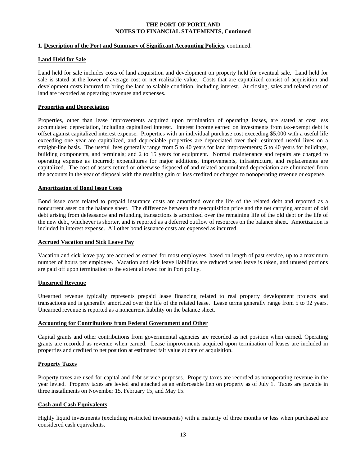#### **1. Description of the Port and Summary of Significant Accounting Policies,** continued:

#### **Land Held for Sale**

Land held for sale includes costs of land acquisition and development on property held for eventual sale. Land held for sale is stated at the lower of average cost or net realizable value. Costs that are capitalized consist of acquisition and development costs incurred to bring the land to salable condition, including interest. At closing, sales and related cost of land are recorded as operating revenues and expenses.

#### **Properties and Depreciation**

Properties, other than lease improvements acquired upon termination of operating leases, are stated at cost less accumulated depreciation, including capitalized interest. Interest income earned on investments from tax-exempt debt is offset against capitalized interest expense. Properties with an individual purchase cost exceeding \$5,000 with a useful life exceeding one year are capitalized, and depreciable properties are depreciated over their estimated useful lives on a straight-line basis. The useful lives generally range from 5 to 40 years for land improvements; 5 to 40 years for buildings, building components, and terminals; and 2 to 15 years for equipment. Normal maintenance and repairs are charged to operating expense as incurred; expenditures for major additions, improvements, infrastructure, and replacements are capitalized. The cost of assets retired or otherwise disposed of and related accumulated depreciation are eliminated from the accounts in the year of disposal with the resulting gain or loss credited or charged to nonoperating revenue or expense.

#### **Amortization of Bond Issue Costs**

Bond issue costs related to prepaid insurance costs are amortized over the life of the related debt and reported as a noncurrent asset on the balance sheet. The difference between the reacquisition price and the net carrying amount of old debt arising from defeasance and refunding transactions is amortized over the remaining life of the old debt or the life of the new debt, whichever is shorter, and is reported as a deferred outflow of resources on the balance sheet. Amortization is included in interest expense. All other bond issuance costs are expensed as incurred.

#### **Accrued Vacation and Sick Leave Pay**

Vacation and sick leave pay are accrued as earned for most employees, based on length of past service, up to a maximum number of hours per employee. Vacation and sick leave liabilities are reduced when leave is taken, and unused portions are paid off upon termination to the extent allowed for in Port policy.

#### **Unearned Revenue**

Unearned revenue typically represents prepaid lease financing related to real property development projects and transactions and is generally amortized over the life of the related lease. Lease terms generally range from 5 to 92 years. Unearned revenue is reported as a noncurrent liability on the balance sheet.

#### **Accounting for Contributions from Federal Government and Other**

Capital grants and other contributions from governmental agencies are recorded as net position when earned. Operating grants are recorded as revenue when earned. Lease improvements acquired upon termination of leases are included in properties and credited to net position at estimated fair value at date of acquisition.

#### **Property Taxes**

Property taxes are used for capital and debt service purposes. Property taxes are recorded as nonoperating revenue in the year levied. Property taxes are levied and attached as an enforceable lien on property as of July 1. Taxes are payable in three installments on November 15, February 15, and May 15.

#### **Cash and Cash Equivalents**

Highly liquid investments (excluding restricted investments) with a maturity of three months or less when purchased are considered cash equivalents.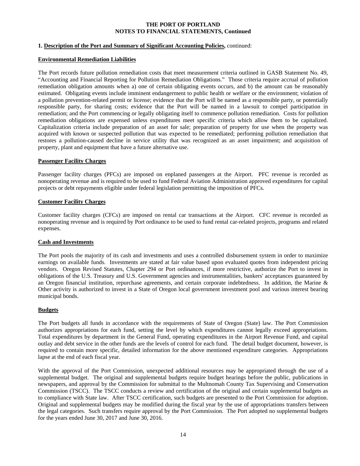#### **1. Description of the Port and Summary of Significant Accounting Policies,** continued:

#### **Environmental Remediation Liabilities**

The Port records future pollution remediation costs that meet measurement criteria outlined in GASB Statement No. 49, "Accounting and Financial Reporting for Pollution Remediation Obligations." Those criteria require accrual of pollution remediation obligation amounts when a) one of certain obligating events occurs, and b) the amount can be reasonably estimated. Obligating events include imminent endangerment to public health or welfare or the environment; violation of a pollution prevention-related permit or license; evidence that the Port will be named as a responsible party, or potentially responsible party, for sharing costs; evidence that the Port will be named in a lawsuit to compel participation in remediation; and the Port commencing or legally obligating itself to commence pollution remediation. Costs for pollution remediation obligations are expensed unless expenditures meet specific criteria which allow them to be capitalized. Capitalization criteria include preparation of an asset for sale; preparation of property for use when the property was acquired with known or suspected pollution that was expected to be remediated; performing pollution remediation that restores a pollution-caused decline in service utility that was recognized as an asset impairment; and acquisition of property, plant and equipment that have a future alternative use.

#### **Passenger Facility Charges**

Passenger facility charges (PFCs) are imposed on enplaned passengers at the Airport. PFC revenue is recorded as nonoperating revenue and is required to be used to fund Federal Aviation Administration approved expenditures for capital projects or debt repayments eligible under federal legislation permitting the imposition of PFCs.

#### **Customer Facility Charges**

Customer facility charges (CFCs) are imposed on rental car transactions at the Airport. CFC revenue is recorded as nonoperating revenue and is required by Port ordinance to be used to fund rental car-related projects, programs and related expenses.

#### **Cash and Investments**

The Port pools the majority of its cash and investments and uses a controlled disbursement system in order to maximize earnings on available funds. Investments are stated at fair value based upon evaluated quotes from independent pricing vendors. Oregon Revised Statutes, Chapter 294 or Port ordinances, if more restrictive, authorize the Port to invest in obligations of the U.S. Treasury and U.S. Government agencies and instrumentalities, bankers' acceptances guaranteed by an Oregon financial institution, repurchase agreements, and certain corporate indebtedness. In addition, the Marine & Other activity is authorized to invest in a State of Oregon local government investment pool and various interest bearing municipal bonds.

#### **Budgets**

The Port budgets all funds in accordance with the requirements of State of Oregon (State) law. The Port Commission authorizes appropriations for each fund, setting the level by which expenditures cannot legally exceed appropriations. Total expenditures by department in the General Fund, operating expenditures in the Airport Revenue Fund, and capital outlay and debt service in the other funds are the levels of control for each fund. The detail budget document, however, is required to contain more specific, detailed information for the above mentioned expenditure categories. Appropriations lapse at the end of each fiscal year.

With the approval of the Port Commission, unexpected additional resources may be appropriated through the use of a supplemental budget. The original and supplemental budgets require budget hearings before the public, publications in newspapers, and approval by the Commission for submittal to the Multnomah County Tax Supervising and Conservation Commission (TSCC). The TSCC conducts a review and certification of the original and certain supplemental budgets as to compliance with State law. After TSCC certification, such budgets are presented to the Port Commission for adoption. Original and supplemental budgets may be modified during the fiscal year by the use of appropriations transfers between the legal categories. Such transfers require approval by the Port Commission. The Port adopted no supplemental budgets for the years ended June 30, 2017 and June 30, 2016.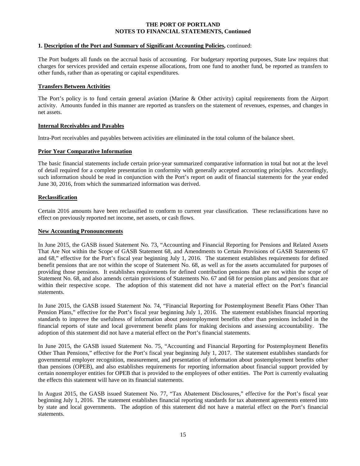#### **1. Description of the Port and Summary of Significant Accounting Policies,** continued:

The Port budgets all funds on the accrual basis of accounting. For budgetary reporting purposes, State law requires that charges for services provided and certain expense allocations, from one fund to another fund, be reported as transfers to other funds, rather than as operating or capital expenditures.

#### **Transfers Between Activities**

The Port's policy is to fund certain general aviation (Marine & Other activity) capital requirements from the Airport activity. Amounts funded in this manner are reported as transfers on the statement of revenues, expenses, and changes in net assets.

#### **Internal Receivables and Payables**

Intra-Port receivables and payables between activities are eliminated in the total column of the balance sheet.

#### **Prior Year Comparative Information**

The basic financial statements include certain prior-year summarized comparative information in total but not at the level of detail required for a complete presentation in conformity with generally accepted accounting principles. Accordingly, such information should be read in conjunction with the Port's report on audit of financial statements for the year ended June 30, 2016, from which the summarized information was derived.

#### **Reclassification**

Certain 2016 amounts have been reclassified to conform to current year classification. These reclassifications have no effect on previously reported net income, net assets, or cash flows.

#### **New Accounting Pronouncements**

In June 2015, the GASB issued Statement No. 73, "Accounting and Financial Reporting for Pensions and Related Assets That Are Not within the Scope of GASB Statement 68, and Amendments to Certain Provisions of GASB Statements 67 and 68," effective for the Port's fiscal year beginning July 1, 2016. The statement establishes requirements for defined benefit pensions that are not within the scope of Statement No. 68, as well as for the assets accumulated for purposes of providing those pensions. It establishes requirements for defined contribution pensions that are not within the scope of Statement No. 68, and also amends certain provisions of Statements No. 67 and 68 for pension plans and pensions that are within their respective scope. The adoption of this statement did not have a material effect on the Port's financial statements.

In June 2015, the GASB issued Statement No. 74, "Financial Reporting for Postemployment Benefit Plans Other Than Pension Plans," effective for the Port's fiscal year beginning July 1, 2016. The statement establishes financial reporting standards to improve the usefulness of information about postemployment benefits other than pensions included in the financial reports of state and local government benefit plans for making decisions and assessing accountability. The adoption of this statement did not have a material effect on the Port's financial statements.

In June 2015, the GASB issued Statement No. 75, "Accounting and Financial Reporting for Postemployment Benefits Other Than Pensions," effective for the Port's fiscal year beginning July 1, 2017. The statement establishes standards for governmental employer recognition, measurement, and presentation of information about postemployment benefits other than pensions (OPEB), and also establishes requirements for reporting information about financial support provided by certain nonemployer entities for OPEB that is provided to the employees of other entities. The Port is currently evaluating the effects this statement will have on its financial statements.

In August 2015, the GASB issued Statement No. 77, "Tax Abatement Disclosures," effective for the Port's fiscal year beginning July 1, 2016. The statement establishes financial reporting standards for tax abatement agreements entered into by state and local governments. The adoption of this statement did not have a material effect on the Port's financial statements.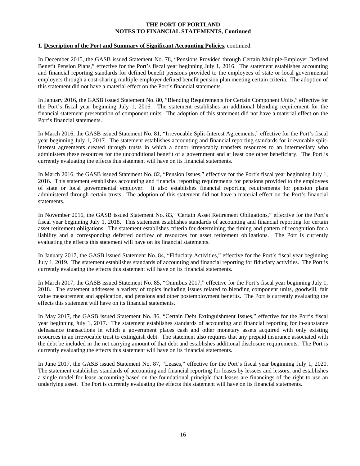#### **1. Description of the Port and Summary of Significant Accounting Policies,** continued:

In December 2015, the GASB issued Statement No. 78, "Pensions Provided through Certain Multiple-Employer Defined Benefit Pension Plans," effective for the Port's fiscal year beginning July 1, 2016. The statement establishes accounting and financial reporting standards for defined benefit pensions provided to the employees of state or local governmental employers through a cost-sharing multiple-employer defined benefit pension plan meeting certain criteria. The adoption of this statement did not have a material effect on the Port's financial statements.

In January 2016, the GASB issued Statement No. 80, "Blending Requirements for Certain Component Units," effective for the Port's fiscal year beginning July 1, 2016. The statement establishes an additional blending requirement for the financial statement presentation of component units. The adoption of this statement did not have a material effect on the Port's financial statements.

In March 2016, the GASB issued Statement No. 81, "Irrevocable Split-Interest Agreements," effective for the Port's fiscal year beginning July 1, 2017. The statement establishes accounting and financial reporting standards for irrevocable splitinterest agreements created through trusts in which a donor irrevocably transfers resources to an intermediary who administers these resources for the unconditional benefit of a government and at least one other beneficiary. The Port is currently evaluating the effects this statement will have on its financial statements.

In March 2016, the GASB issued Statement No. 82, "Pension Issues," effective for the Port's fiscal year beginning July 1, 2016. This statement establishes accounting and financial reporting requirements for pensions provided to the employees of state or local governmental employer. It also establishes financial reporting requirements for pension plans administered through certain trusts. The adoption of this statement did not have a material effect on the Port's financial statements.

In November 2016, the GASB issued Statement No. 83, "Certain Asset Retirement Obligations," effective for the Port's fiscal year beginning July 1, 2018. This statement establishes standards of accounting and financial reporting for certain asset retirement obligations. The statement establishes criteria for determining the timing and pattern of recognition for a liability and a corresponding deferred outflow of resources for asset retirement obligations. The Port is currently evaluating the effects this statement will have on its financial statements.

In January 2017, the GASB issued Statement No. 84, "Fiduciary Activities," effective for the Port's fiscal year beginning July 1, 2019. The statement establishes standards of accounting and financial reporting for fiduciary activities. The Port is currently evaluating the effects this statement will have on its financial statements.

In March 2017, the GASB issued Statement No. 85, "Omnibus 2017," effective for the Port's fiscal year beginning July 1, 2018. The statement addresses a variety of topics including issues related to blending component units, goodwill, fair value measurement and application, and pensions and other postemployment benefits. The Port is currently evaluating the effects this statement will have on its financial statements.

In May 2017, the GASB issued Statement No. 86, "Certain Debt Extinguishment Issues," effective for the Port's fiscal year beginning July 1, 2017. The statement establishes standards of accounting and financial reporting for in-substance defeasance transactions in which a government places cash and other monetary assets acquired with only existing resources in an irrevocable trust to extinguish debt. The statement also requires that any prepaid insurance associated with the debt be included in the net carrying amount of that debt and establishes additional disclosure requirements. The Port is currently evaluating the effects this statement will have on its financial statements.

In June 2017, the GASB issued Statement No. 87, "Leases," effective for the Port's fiscal year beginning July 1, 2020. The statement establishes standards of accounting and financial reporting for leases by lessees and lessors, and establishes a single model for lease accounting based on the foundational principle that leases are financings of the right to use an underlying asset. The Port is currently evaluating the effects this statement will have on its financial statements.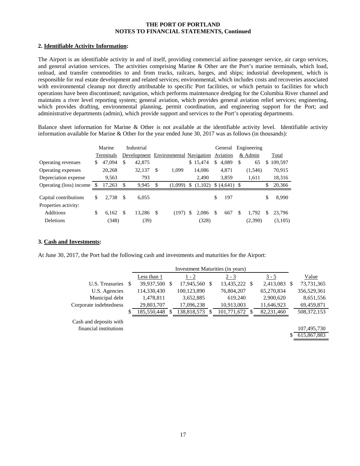#### **2. Identifiable Activity Information:**

The Airport is an identifiable activity in and of itself, providing commercial airline passenger service, air cargo services, and general aviation services. The activities comprising Marine & Other are the Port's marine terminals, which load, unload, and transfer commodities to and from trucks, railcars, barges, and ships; industrial development, which is responsible for real estate development and related services; environmental, which includes costs and recoveries associated with environmental cleanup not directly attributable to specific Port facilities, or which pertain to facilities for which operations have been discontinued; navigation, which performs maintenance dredging for the Columbia River channel and maintains a river level reporting system; general aviation, which provides general aviation relief services; engineering, which provides drafting, environmental planning, permit coordination, and engineering support for the Port; and administrative departments (admin), which provide support and services to the Port's operating departments.

Balance sheet information for Marine & Other is not available at the identifiable activity level. Identifiable activity information available for Marine & Other for the year ended June 30, 2017 was as follows (in thousands):

|                         |    | Marine    | Industrial   |      |                                      |    |          |     | General  |   | Engineering |     |         |
|-------------------------|----|-----------|--------------|------|--------------------------------------|----|----------|-----|----------|---|-------------|-----|---------|
|                         |    | Terminals |              |      | Development Environmental Navigation |    |          |     | Aviation |   | & Admin     |     | Total   |
| Operating revenues      | S. | 47,094    | \$<br>42,875 |      |                                      |    | \$15,474 | \$. | 4,089    | S | 65          | S   | 109,597 |
| Operating expenses      |    | 20,268    | 32,137       | -S   | 1,099                                |    | 14,086   |     | 4,871    |   | (1, 546)    |     | 70,915  |
| Depreciation expense    |    | 9,563     | 793          |      |                                      |    | 2.490    |     | 3,859    |   | 1,611       |     | 18,316  |
| Operating (loss) income | S. | 17,263    | \$<br>9,945  | \$.  | (1,099)                              | \$ | (1,102)  |     |          |   |             | \$  | 20,366  |
| Capital contributions   | \$ | 2,738     | \$<br>6,055  |      |                                      |    |          | S   | 197      |   |             | \$  | 8,990   |
| Properties activity:    |    |           |              |      |                                      |    |          |     |          |   |             |     |         |
| <b>Additions</b>        | \$ | 6,162     | \$<br>13.286 | - \$ | (197)                                |    | 2.086    | \$. | 667      | S | 1.792       | \$. | 23.796  |
| Deletions               |    | (348)     | (39)         |      |                                      |    | (328)    |     |          |   | (2,390)     |     | (3,105) |

#### **3. Cash and Investments:**

At June 30, 2017, the Port had the following cash and investments and maturities for the Airport:

|                        |          | Less than 1 |   | $1 - 2$       | $2 - 3$     |      | $3 - 5$    |   | Value         |
|------------------------|----------|-------------|---|---------------|-------------|------|------------|---|---------------|
| U.S. Treasuries        | <b>S</b> | 39,937,500  | S | 17,945,560 \$ | 13,435,222  | - \$ | 2,413,083  | S | 73,731,365    |
| U.S. Agencies          |          | 114,330,430 |   | 100,123,890   | 76,804,207  |      | 65,270,834 |   | 356,529,361   |
| Municipal debt         |          | 1,478,811   |   | 3,652,885     | 619.240     |      | 2,900,620  |   | 8,651,556     |
| Corporate indebtedness |          | 29,803,707  |   | 17,096,238    | 10,913,003  |      | 11,646,923 |   | 69,459,871    |
|                        | S        | 185,550,448 | S | 138,818,573   | 101,771,672 |      | 82,231,460 |   | 508, 372, 153 |
| Cash and deposits with |          |             |   |               |             |      |            |   |               |
| financial institutions |          |             |   |               |             |      |            |   | 107,495,730   |
|                        |          |             |   |               |             |      |            |   | 615,867,883   |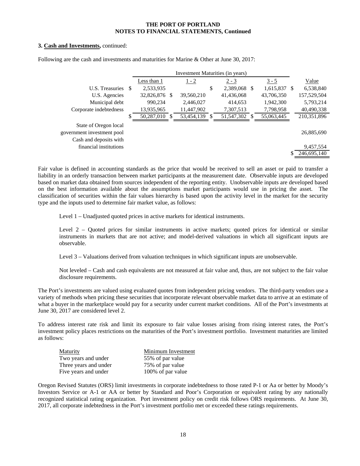#### **3. Cash and Investments,** continued:

|                                                     |     |               | Investment Maturities (in years) |            |    |              |  |            |               |             |  |  |  |  |
|-----------------------------------------------------|-----|---------------|----------------------------------|------------|----|--------------|--|------------|---------------|-------------|--|--|--|--|
|                                                     |     | Less than 1   |                                  | $1 - 2$    |    | $2 - 3$      |  | $3 - 5$    |               | Value       |  |  |  |  |
| U.S. Treasuries \$                                  |     | 2,533,935     |                                  |            | \$ | 2,389,068 \$ |  | 1,615,837  | <sup>\$</sup> | 6,538,840   |  |  |  |  |
| U.S. Agencies                                       |     | 32,826,876 \$ |                                  | 39,560,210 |    | 41,436,068   |  | 43,706,350 |               | 157,529,504 |  |  |  |  |
| Municipal debt                                      |     | 990.234       |                                  | 2.446.027  |    | 414,653      |  | 1,942,300  |               | 5,793,214   |  |  |  |  |
| Corporate indebtedness                              |     | 13,935,965    |                                  | 11,447,902 |    | 7,307,513    |  | 7,798,958  |               | 40,490,338  |  |  |  |  |
|                                                     | \$. | 50,287,010 \$ |                                  | 53,454,139 |    | 51,547,302   |  | 55,063,445 |               | 210,351,896 |  |  |  |  |
| State of Oregon local<br>government investment pool |     |               |                                  |            |    |              |  |            |               | 26,885,690  |  |  |  |  |
| Cash and deposits with                              |     |               |                                  |            |    |              |  |            |               |             |  |  |  |  |
|                                                     |     |               |                                  |            |    |              |  |            |               | 246,695,140 |  |  |  |  |
| financial institutions                              |     |               |                                  |            |    |              |  |            |               | 9,457,554   |  |  |  |  |

Following are the cash and investments and maturities for Marine & Other at June 30, 2017:

Fair value is defined in accounting standards as the price that would be received to sell an asset or paid to transfer a liability in an orderly transaction between market participants at the measurement date. Observable inputs are developed based on market data obtained from sources independent of the reporting entity. Unobservable inputs are developed based on the best information available about the assumptions market participants would use in pricing the asset. The classification of securities within the fair values hierarchy is based upon the activity level in the market for the security type and the inputs used to determine fair market value, as follows:

Level 1 – Unadjusted quoted prices in active markets for identical instruments.

Level 2 – Quoted prices for similar instruments in active markets; quoted prices for identical or similar instruments in markets that are not active; and model-derived valuations in which all significant inputs are observable.

Level 3 – Valuations derived from valuation techniques in which significant inputs are unobservable.

Not leveled – Cash and cash equivalents are not measured at fair value and, thus, are not subject to the fair value disclosure requirements.

The Port's investments are valued using evaluated quotes from independent pricing vendors. The third-party vendors use a variety of methods when pricing these securities that incorporate relevant observable market data to arrive at an estimate of what a buyer in the marketplace would pay for a security under current market conditions. All of the Port's investments at June 30, 2017 are considered level 2.

To address interest rate risk and limit its exposure to fair value losses arising from rising interest rates, the Port's investment policy places restrictions on the maturities of the Port's investment portfolio. Investment maturities are limited as follows:

| <b>Maturity</b>       | Minimum Investment |
|-----------------------|--------------------|
| Two years and under   | 55% of par value   |
| Three years and under | 75% of par value   |
| Five years and under  | 100% of par value  |

Oregon Revised Statutes (ORS) limit investments in corporate indebtedness to those rated P-1 or Aa or better by Moody's Investors Service or A-1 or AA or better by Standard and Poor's Corporation or equivalent rating by any nationally recognized statistical rating organization. Port investment policy on credit risk follows ORS requirements. At June 30, 2017, all corporate indebtedness in the Port's investment portfolio met or exceeded these ratings requirements.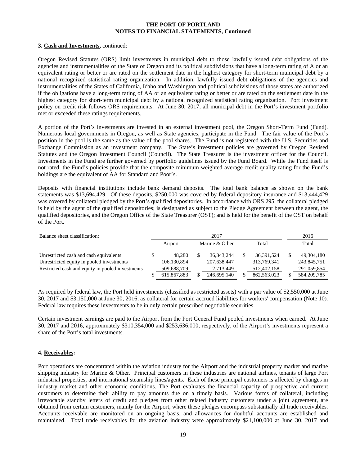#### **3. Cash and Investments,** continued:

Oregon Revised Statutes (ORS) limit investments in municipal debt to those lawfully issued debt obligations of the agencies and instrumentalities of the State of Oregon and its political subdivisions that have a long-term rating of A or an equivalent rating or better or are rated on the settlement date in the highest category for short-term municipal debt by a national recognized statistical rating organization. In addition, lawfully issued debt obligations of the agencies and instrumentalities of the States of California, Idaho and Washington and political subdivisions of those states are authorized if the obligations have a long-term rating of AA or an equivalent rating or better or are rated on the settlement date in the highest category for short-term municipal debt by a national recognized statistical rating organization. Port investment policy on credit risk follows ORS requirements. At June 30, 2017, all municipal debt in the Port's investment portfolio met or exceeded these ratings requirements.

A portion of the Port's investments are invested in an external investment pool, the Oregon Short-Term Fund (Fund). Numerous local governments in Oregon, as well as State agencies, participate in the Fund. The fair value of the Port's position in the pool is the same as the value of the pool shares. The Fund is not registered with the U.S. Securities and Exchange Commission as an investment company. The State's investment policies are governed by Oregon Revised Statutes and the Oregon Investment Council (Council). The State Treasurer is the investment officer for the Council. Investments in the Fund are further governed by portfolio guidelines issued by the Fund Board. While the Fund itself is not rated, the Fund's policies provide that the composite minimum weighted average credit quality rating for the Fund's holdings are the equivalent of AA for Standard and Poor's.

Deposits with financial institutions include bank demand deposits. The total bank balance as shown on the bank statements was \$13,694,429. Of these deposits, \$250,000 was covered by federal depository insurance and \$13,444,429 was covered by collateral pledged by the Port's qualified depositories. In accordance with ORS 295, the collateral pledged is held by the agent of the qualified depositories; is designated as subject to the Pledge Agreement between the agent, the qualified depositories, and the Oregon Office of the State Treasurer (OST); and is held for the benefit of the OST on behalf of the Port.

| Balance sheet classification:                    |               | 2017           |               | 2016          |
|--------------------------------------------------|---------------|----------------|---------------|---------------|
|                                                  | Airport       | Marine & Other | <b>Total</b>  | Total         |
| Unrestricted cash and cash equivalents           | 48.280        | 36.343.244     | 36.391.524    | 49,304,180    |
| Unrestricted equity in pooled investments        | 106, 130, 894 | 207,638,447    | 313,769,341   | 243,845,751   |
| Restricted cash and equity in pooled investments | 509,688,709   | 2,713,449      | 512,402,158   | 291,059,854   |
|                                                  | 615,867,883   | 246,695,140    | 862, 563, 023 | 584, 209, 785 |

As required by federal law, the Port held investments (classified as restricted assets) with a par value of \$2,550,000 at June 30, 2017 and \$3,150,000 at June 30, 2016, as collateral for certain accrued liabilities for workers' compensation (Note 10). Federal law requires these investments to be in only certain prescribed negotiable securities.

Certain investment earnings are paid to the Airport from the Port General Fund pooled investments when earned. At June 30, 2017 and 2016, approximately \$310,354,000 and \$253,636,000, respectively, of the Airport's investments represent a share of the Port's total investments.

#### **4. Receivables:**

Port operations are concentrated within the aviation industry for the Airport and the industrial property market and marine shipping industry for Marine & Other. Principal customers in these industries are national airlines, tenants of large Port industrial properties, and international steamship lines/agents. Each of these principal customers is affected by changes in industry market and other economic conditions. The Port evaluates the financial capacity of prospective and current customers to determine their ability to pay amounts due on a timely basis. Various forms of collateral, including irrevocable standby letters of credit and pledges from other related industry customers under a joint agreement, are obtained from certain customers, mainly for the Airport, where these pledges encompass substantially all trade receivables. Accounts receivable are monitored on an ongoing basis, and allowances for doubtful accounts are established and maintained. Total trade receivables for the aviation industry were approximately \$21,100,000 at June 30, 2017 and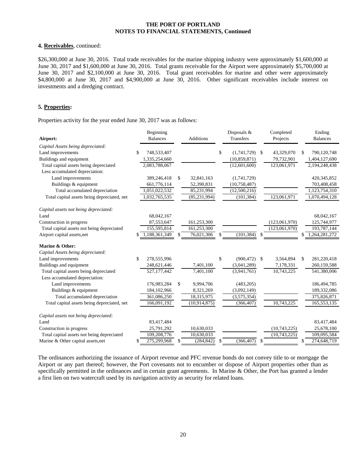#### **4. Receivables**, continued:

\$26,300,000 at June 30, 2016. Total trade receivables for the marine shipping industry were approximately \$1,600,000 at June 30, 2017 and \$1,600,000 at June 30, 2016. Total grants receivable for the Airport were approximately \$5,700,000 at June 30, 2017 and \$2,100,000 at June 30, 2016. Total grant receivables for marine and other were approximately \$4,800,000 at June 30, 2017 and \$4,900,000 at June 30, 2016. Other significant receivables include interest on investments and a dredging contract.

#### **5. Properties:**

Properties activity for the year ended June 30, 2017 was as follows:

|                                             |    | Beginning       |     |                  | Disposals &       |               | Completed     | Ending              |
|---------------------------------------------|----|-----------------|-----|------------------|-------------------|---------------|---------------|---------------------|
| Airport:                                    |    | <b>Balances</b> |     | <b>Additions</b> | <b>Transfers</b>  |               | Projects      | <b>Balances</b>     |
| Capital Assets being depreciated:           |    |                 |     |                  |                   |               |               |                     |
| Land improvements                           | \$ | 748,533,407     |     |                  | \$<br>(1,741,729) | $\mathbb{S}$  | 43,329,070    | \$<br>790,120,748   |
| Buildings and equipment                     |    | 1,335,254,660   |     |                  | (10, 859, 871)    |               | 79,732,901    | 1,404,127,690       |
| Total capital assets being depreciated      |    | 2,083,788,067   |     |                  | (12,601,600)      |               | 123,061,971   | 2,194,248,438       |
| Less accumulated depreciation:              |    |                 |     |                  |                   |               |               |                     |
| Land improvements                           |    | 389,246,418     | \$  | 32,841,163       | (1,741,729)       |               |               | 420, 345, 852       |
| Buildings & equipment                       |    | 661,776,114     |     | 52,390,831       | (10, 758, 487)    |               |               | 703,408,458         |
| Total accumulated depreciation              |    | 1,051,022,532   |     | 85,231,994       | (12,500,216)      |               |               | 1,123,754,310       |
| Total capital assets being depreciated, net |    | 1,032,765,535   |     | (85, 231, 994)   | (101, 384)        |               | 123,061,971   | 1,070,494,128       |
| Capital assets not being depreciated:       |    |                 |     |                  |                   |               |               |                     |
| Land                                        |    | 68,042,167      |     |                  |                   |               |               | 68,042,167          |
| Construction in progress                    |    | 87,553,647      |     | 161,253,300      |                   |               | (123,061,970) | 125,744,977         |
| Total capital assets not being depreciated  |    | 155,595,814     |     | 161,253,300      |                   |               | (123,061,970) | 193,787,144         |
| Airport capital assets, net                 | \$ | 1,188,361,349   | \$. | 76,021,306       | \$<br>(101, 384)  | \$            |               | \$<br>1,264,281,272 |
| Marine & Other:                             |    |                 |     |                  |                   |               |               |                     |
| Capital Assets being depreciated:           |    |                 |     |                  |                   |               |               |                     |
| Land improvements                           | \$ | 278,555,996     |     |                  | \$<br>(900, 472)  | <sup>\$</sup> | 3,564,894     | \$<br>281,220,418   |
| Buildings and equipment                     |    | 248,621,446     |     | 7,401,100        | (3,041,289)       |               | 7,178,331     | 260,159,588         |
| Total capital assets being depreciated      |    | 527,177,442     |     | 7,401,100        | (3,941,761)       |               | 10,743,225    | 541,380,006         |
| Less accumulated depreciation:              |    |                 |     |                  |                   |               |               |                     |
| Land improvements                           |    | 176,983,284     | \$  | 9,994,706        | (483, 205)        |               |               | 186,494,785         |
| Buildings & equipment                       |    | 184, 102, 966   |     | 8,321,269        | (3,092,149)       |               |               | 189,332,086         |
| Total accumulated depreciation              |    | 361,086,250     |     | 18,315,975       | (3,575,354)       |               |               | 375,826,871         |
| Total capital assets being depreciated, net |    | 166,091,192     |     | (10,914,875)     | (366, 407)        |               | 10,743,225    | 165, 553, 135       |
| Capital assets not being depreciated:       |    |                 |     |                  |                   |               |               |                     |
| Land                                        |    | 83,417,484      |     |                  |                   |               |               | 83,417,484          |
| Construction in progress                    |    | 25,791,292      |     | 10,630,033       |                   |               | (10,743,225)  | 25,678,100          |
| Total capital assets not being depreciated  |    | 109,208,776     |     | 10,630,033       |                   |               | (10,743,225)  | 109,095,584         |
| Marine & Other capital assets, net          | S  | 275,299,968     |     | (284, 842)       | (366, 407)        | \$            |               | 274,648,719         |

The ordinances authorizing the issuance of Airport revenue and PFC revenue bonds do not convey title to or mortgage the Airport or any part thereof; however, the Port covenants not to encumber or dispose of Airport properties other than as specifically permitted in the ordinances and in certain grant agreements. In Marine & Other, the Port has granted a lender a first lien on two watercraft used by its navigation activity as security for related loans.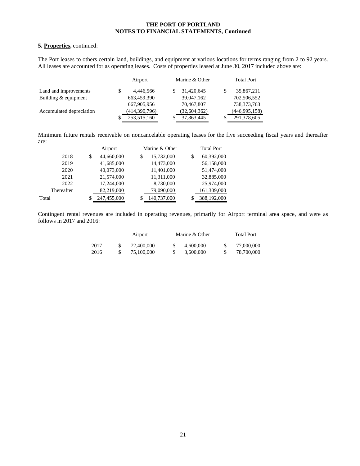#### **5. Properties,** continued:

The Port leases to others certain land, buildings, and equipment at various locations for terms ranging from 2 to 92 years. All leases are accounted for as operating leases. Costs of properties leased at June 30, 2017 included above are:

|                          | Airport       | Marine & Other | <b>Total Port</b> |
|--------------------------|---------------|----------------|-------------------|
| Land and improvements    | 4,446,566     | 31,420,645     | 35,867,211        |
| Building & equipment     | 663,459,390   | 39,047,162     | 702,506,552       |
|                          | 667,905,956   | 70,467,807     | 738, 373, 763     |
| Accumulated depreciation | (414,390,796) | (32, 604, 362) | (446, 995, 158)   |
|                          | 253,515,160   | 37,863,445     | 291,378,605       |

Minimum future rentals receivable on noncancelable operating leases for the five succeeding fiscal years and thereafter are:

|            |    | Airport     | Marine & Other    | <b>Total Port</b> |
|------------|----|-------------|-------------------|-------------------|
| 2018       | \$ | 44,660,000  | \$<br>15,732,000  | \$<br>60,392,000  |
| 2019       |    | 41,685,000  | 14,473,000        | 56,158,000        |
| 2020       |    | 40,073,000  | 11,401,000        | 51,474,000        |
| 2021       |    | 21,574,000  | 11,311,000        | 32,885,000        |
| 2022       |    | 17,244,000  | 8,730,000         | 25,974,000        |
| Thereafter |    | 82,219,000  | 79,090,000        | 161,309,000       |
| Total      | S  | 247,455,000 | \$<br>140,737,000 | \$<br>388,192,000 |
|            |    |             |                   |                   |

Contingent rental revenues are included in operating revenues, primarily for Airport terminal area space, and were as follows in 2017 and 2016:

|      | <b>Airport</b> | Marine & Other | <b>Total Port</b> |
|------|----------------|----------------|-------------------|
| 2017 | 72,400,000     | 4.600.000      | 77,000,000        |
| 2016 | 75,100,000     | 3,600,000      | 78,700,000        |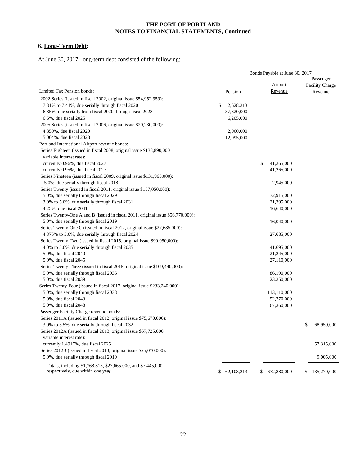#### **6. Long-Term Debt:**

At June 30, 2017, long-term debt consisted of the following:

|                                                                                 | Bonds Payable at June 30, 2017 |              |    |             |    |                        |
|---------------------------------------------------------------------------------|--------------------------------|--------------|----|-------------|----|------------------------|
|                                                                                 |                                |              |    |             |    | Passenger              |
|                                                                                 |                                |              |    | Airport     |    | <b>Facility Charge</b> |
| Limited Tax Pension bonds:                                                      |                                | Pension      |    | Revenue     |    | Revenue                |
| 2002 Series (issued in fiscal 2002, original issue \$54,952,959):               |                                |              |    |             |    |                        |
| 7.31% to 7.41%, due serially through fiscal 2020                                | \$                             | 2,628,213    |    |             |    |                        |
| 6.85%, due serially from fiscal 2020 through fiscal 2028                        |                                | 37,320,000   |    |             |    |                        |
| 6.6%, due fiscal 2025                                                           |                                | 6,205,000    |    |             |    |                        |
| 2005 Series (issued in fiscal 2006, original issue \$20,230,000):               |                                |              |    |             |    |                        |
| 4.859%, due fiscal 2020                                                         |                                | 2,960,000    |    |             |    |                        |
| 5.004%, due fiscal 2028                                                         |                                | 12,995,000   |    |             |    |                        |
| Portland International Airport revenue bonds:                                   |                                |              |    |             |    |                        |
| Series Eighteen (issued in fiscal 2008, original issue \$138,890,000            |                                |              |    |             |    |                        |
| variable interest rate):                                                        |                                |              |    |             |    |                        |
| currently 0.96%, due fiscal 2027                                                |                                |              | \$ | 41,265,000  |    |                        |
| currently 0.95%, due fiscal 2027                                                |                                |              |    | 41,265,000  |    |                        |
| Series Nineteen (issued in fiscal 2009, original issue \$131,965,000):          |                                |              |    |             |    |                        |
| 5.0%, due serially through fiscal 2018                                          |                                |              |    | 2,945,000   |    |                        |
| Series Twenty (issued in fiscal 2011, original issue \$157,050,000):            |                                |              |    |             |    |                        |
| 5.0%, due serially through fiscal 2029                                          |                                |              |    | 72,915,000  |    |                        |
| 3.0% to 5.0%, due serially through fiscal 2031                                  |                                |              |    | 21,395,000  |    |                        |
| 4.25%, due fiscal 2041                                                          |                                |              |    | 16,640,000  |    |                        |
| Series Twenty-One A and B (issued in fiscal 2011, original issue \$56,770,000): |                                |              |    |             |    |                        |
| 5.0%, due serially through fiscal 2019                                          |                                |              |    | 16,040,000  |    |                        |
| Series Twenty-One C (issued in fiscal 2012, original issue \$27,685,000):       |                                |              |    |             |    |                        |
| 4.375% to 5.0%, due serially through fiscal 2024                                |                                |              |    | 27,685,000  |    |                        |
| Series Twenty-Two (issued in fiscal 2015, original issue \$90,050,000):         |                                |              |    |             |    |                        |
| 4.0% to 5.0%, due serially through fiscal 2035                                  |                                |              |    | 41,695,000  |    |                        |
| 5.0%, due fiscal 2040                                                           |                                |              |    | 21,245,000  |    |                        |
| 5.0%, due fiscal 2045                                                           |                                |              |    | 27,110,000  |    |                        |
| Series Twenty-Three (issued in fiscal 2015, original issue \$109,440,000):      |                                |              |    |             |    |                        |
| 5.0%, due serially through fiscal 2036                                          |                                |              |    | 86,190,000  |    |                        |
| 5.0%, due fiscal 2039                                                           |                                |              |    | 23,250,000  |    |                        |
| Series Twenty-Four (issued in fiscal 2017, original issue \$233,240,000):       |                                |              |    |             |    |                        |
| 5.0%, due serially through fiscal 2038                                          |                                |              |    | 113,110,000 |    |                        |
| 5.0%, due fiscal 2043                                                           |                                |              |    | 52,770,000  |    |                        |
| 5.0%, due fiscal 2048                                                           |                                |              |    | 67,360,000  |    |                        |
| Passenger Facility Charge revenue bonds:                                        |                                |              |    |             |    |                        |
| Series $2011A$ (issued in fiscal $2012$ , original issue \$75,670,000):         |                                |              |    |             |    |                        |
| 3.0% to 5.5%, due serially through fiscal 2032                                  |                                |              |    |             | \$ | 68,950,000             |
| Series 2012A (issued in fiscal 2013, original issue \$57,725,000                |                                |              |    |             |    |                        |
| variable interest rate):                                                        |                                |              |    |             |    |                        |
| currently 1.4917%, due fiscal 2025                                              |                                |              |    |             |    | 57,315,000             |
| Series 2012B (issued in fiscal 2013, original issue \$25,070,000):              |                                |              |    |             |    |                        |
| 5.0%, due serially through fiscal 2019                                          |                                |              |    |             |    | 9,005,000              |
| Totals, including \$1,768,815, \$27,665,000, and \$7,445,000                    |                                |              |    |             |    |                        |
| respectively, due within one year                                               |                                | \$62,108,213 | \$ | 672,880,000 | \$ | 135,270,000            |
|                                                                                 |                                |              |    |             |    |                        |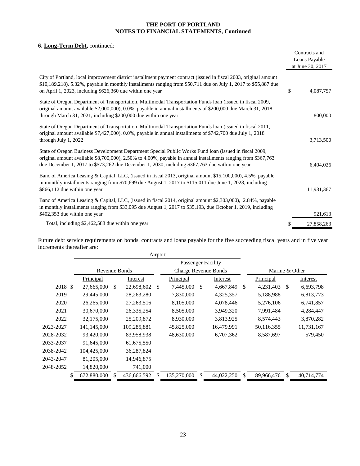#### **6. Long-Term Debt,** continued:

|                                                                                                                                                                                                                                                                                                                            | Contracts and<br>Loans Payable<br>at June 30, 2017 |
|----------------------------------------------------------------------------------------------------------------------------------------------------------------------------------------------------------------------------------------------------------------------------------------------------------------------------|----------------------------------------------------|
| City of Portland, local improvement district installment payment contract (issued in fiscal 2003, original amount<br>\$10,189,218), 5.32%, payable in monthly installments ranging from \$50,711 due on July 1, 2017 to \$55,887 due<br>on April 1, 2023, including \$626,360 due within one year                          | \$<br>4,087,757                                    |
| State of Oregon Department of Transportation, Multimodal Transportation Funds loan (issued in fiscal 2009,<br>original amount available \$2,000,000), 0.0%, payable in annual installments of \$200,000 due March 31, 2018<br>through March 31, 2021, including \$200,000 due within one year                              | 800,000                                            |
| State of Oregon Department of Transportation, Multimodal Transportation Funds loan (issued in fiscal 2011,<br>original amount available \$7,427,000), 0.0%, payable in annual installments of \$742,700 due July 1, 2018<br>through July 1, 2022                                                                           | 3,713,500                                          |
| State of Oregon Business Development Department Special Public Works Fund loan (issued in fiscal 2009,<br>original amount available \$8,700,000), 2.50% to 4.00%, payable in annual installments ranging from \$367,763<br>due December 1, 2017 to \$573,262 due December 1, 2030, including \$367,763 due within one year | 6,404,026                                          |
| Banc of America Leasing & Capital, LLC, (issued in fiscal 2013, original amount \$15,100,000), 4.5%, payable<br>in monthly installments ranging from \$70,699 due August 1, 2017 to \$115,011 due June 1, 2028, including<br>\$866,112 due within one year                                                                 | 11,931,367                                         |
| Banc of America Leasing & Capital, LLC, (issued in fiscal 2014, original amount \$2,303,000), 2.84%, payable<br>in monthly installments ranging from \$33,095 due August 1, 2017 to \$35,193, due October 1, 2019, including<br>\$402,353 due within one year                                                              | 921,613                                            |
| Total, including \$2,462,588 due within one year                                                                                                                                                                                                                                                                           | 27,858,263                                         |

Future debt service requirements on bonds, contracts and loans payable for the five succeeding fiscal years and in five year increments thereafter are:  $\lambda$ :

|           |             | Passenger Facility |               |                             |    |            |              |            |                |            |  |
|-----------|-------------|--------------------|---------------|-----------------------------|----|------------|--------------|------------|----------------|------------|--|
|           |             | Revenue Bonds      |               | <b>Charge Revenue Bonds</b> |    |            |              |            | Marine & Other |            |  |
|           | Principal   | Interest           |               | Principal                   |    | Interest   |              | Principal  |                | Interest   |  |
| 2018 \$   | 27,665,000  | \$<br>22,698,602   | <sup>\$</sup> | 7,445,000                   | \$ | 4,667,849  | $\mathbb{S}$ | 4,231,403  | \$             | 6,693,798  |  |
| 2019      | 29,445,000  | 28, 263, 280       |               | 7,830,000                   |    | 4,325,357  |              | 5,188,988  |                | 6,813,773  |  |
| 2020      | 26,265,000  | 27, 263, 516       |               | 8,105,000                   |    | 4,078,446  |              | 5,276,106  |                | 6,741,857  |  |
| 2021      | 30,670,000  | 26, 335, 254       |               | 8,505,000                   |    | 3,949,320  |              | 7,991,484  |                | 4,284,447  |  |
| 2022      | 32,175,000  | 25, 209, 872       |               | 8,930,000                   |    | 3,813,925  |              | 8,574,443  |                | 3,870,282  |  |
| 2023-2027 | 141,145,000 | 109,285,881        |               | 45,825,000                  |    | 16,479,991 |              | 50,116,355 |                | 11,731,167 |  |
| 2028-2032 | 93,420,000  | 83,958,938         |               | 48,630,000                  |    | 6,707,362  |              | 8,587,697  |                | 579,450    |  |
| 2033-2037 | 91,645,000  | 61,675,550         |               |                             |    |            |              |            |                |            |  |
| 2038-2042 | 104,425,000 | 36,287,824         |               |                             |    |            |              |            |                |            |  |
| 2043-2047 | 81,205,000  | 14,946,875         |               |                             |    |            |              |            |                |            |  |
| 2048-2052 | 14,820,000  | 741,000            |               |                             |    |            |              |            |                |            |  |
|           | 672,880,000 | 436,666,592<br>S   | S             | 135,270,000                 | \$ | 44,022,250 | S            | 89,966,476 | \$             | 40,714,774 |  |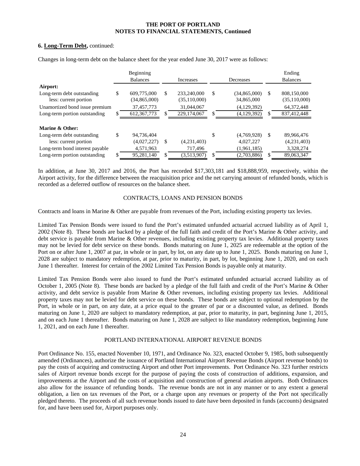#### **6. Long-Term Debt,** continued:

|                                                     |    | Beginning<br><b>Balances</b> |     | Increases                     |    | Decreases                  |     | Ending<br><b>Balances</b>   |
|-----------------------------------------------------|----|------------------------------|-----|-------------------------------|----|----------------------------|-----|-----------------------------|
| Airport:                                            |    |                              |     |                               |    |                            |     |                             |
| Long-term debt outstanding<br>less: current portion | \$ | 609,775,000<br>(34,865,000)  | \$. | 233,240,000<br>(35, 110, 000) | \$ | (34,865,000)<br>34,865,000 | S   | 808,150,000<br>(35,110,000) |
| Unamortized bond issue premium                      |    | 37,457,773                   |     | 31,044,067                    |    | (4,129,392)                |     | 64,372,448                  |
| Long-term portion outstanding                       |    | 612.367.773                  |     | 229,174,067                   | S  | (4,129,392)                |     | 837,412,448                 |
| Marine & Other:                                     |    |                              |     |                               |    |                            |     |                             |
| Long-term debt outstanding                          | S  | 94,736,404                   |     |                               | \$ | (4,769,928)                | \$. | 89,966,476                  |
| less: current portion                               |    | (4,027,227)                  | \$. | (4,231,403)                   |    | 4,027,227                  |     | (4,231,403)                 |
| Long-term bond interest payable                     |    | 4,571,963                    |     | 717,496                       |    | (1,961,185)                |     | 3,328,274                   |
| Long-term portion outstanding                       | ፍ  | 95,281,140                   |     | (3,513,907)                   |    | (2,703,886)                |     | 89,063,347                  |

Changes in long-term debt on the balance sheet for the year ended June 30, 2017 were as follows:

In addition, at June 30, 2017 and 2016, the Port has recorded \$17,303,181 and \$18,888,959, respectively, within the Airport activity, for the difference between the reacquisition price and the net carrying amount of refunded bonds, which is recorded as a deferred outflow of resources on the balance sheet.

#### CONTRACTS, LOANS AND PENSION BONDS

Contracts and loans in Marine & Other are payable from revenues of the Port, including existing property tax levies.

Limited Tax Pension Bonds were issued to fund the Port's estimated unfunded actuarial accrued liability as of April 1, 2002 (Note 8). These bonds are backed by a pledge of the full faith and credit of the Port's Marine & Other activity, and debt service is payable from Marine & Other revenues, including existing property tax levies. Additional property taxes may not be levied for debt service on these bonds. Bonds maturing on June 1, 2025 are redeemable at the option of the Port on or after June 1, 2007 at par, in whole or in part, by lot, on any date up to June 1, 2025. Bonds maturing on June 1, 2028 are subject to mandatory redemption, at par, prior to maturity, in part, by lot, beginning June 1, 2020, and on each June 1 thereafter. Interest for certain of the 2002 Limited Tax Pension Bonds is payable only at maturity.

Limited Tax Pension Bonds were also issued to fund the Port's estimated unfunded actuarial accrued liability as of October 1, 2005 (Note 8). These bonds are backed by a pledge of the full faith and credit of the Port's Marine & Other activity, and debt service is payable from Marine & Other revenues, including existing property tax levies. Additional property taxes may not be levied for debt service on these bonds. These bonds are subject to optional redemption by the Port, in whole or in part, on any date, at a price equal to the greater of par or a discounted value, as defined. Bonds maturing on June 1, 2020 are subject to mandatory redemption, at par, prior to maturity, in part, beginning June 1, 2015, and on each June 1 thereafter. Bonds maturing on June 1, 2028 are subject to like mandatory redemption, beginning June 1, 2021, and on each June 1 thereafter.

#### PORTLAND INTERNATIONAL AIRPORT REVENUE BONDS

Port Ordinance No. 155, enacted November 10, 1971, and Ordinance No. 323, enacted October 9, 1985, both subsequently amended (Ordinances), authorize the issuance of Portland International Airport Revenue Bonds (Airport revenue bonds) to pay the costs of acquiring and constructing Airport and other Port improvements. Port Ordinance No. 323 further restricts sales of Airport revenue bonds except for the purpose of paying the costs of construction of additions, expansion, and improvements at the Airport and the costs of acquisition and construction of general aviation airports. Both Ordinances also allow for the issuance of refunding bonds. The revenue bonds are not in any manner or to any extent a general obligation, a lien on tax revenues of the Port, or a charge upon any revenues or property of the Port not specifically pledged thereto. The proceeds of all such revenue bonds issued to date have been deposited in funds (accounts) designated for, and have been used for, Airport purposes only.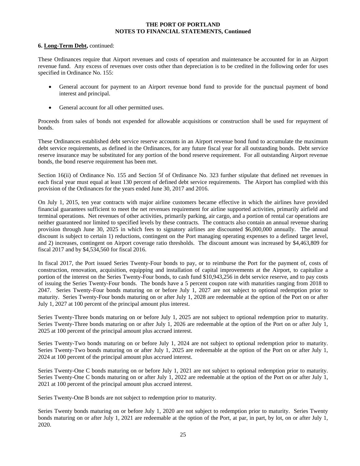#### **6. Long-Term Debt,** continued:

These Ordinances require that Airport revenues and costs of operation and maintenance be accounted for in an Airport revenue fund. Any excess of revenues over costs other than depreciation is to be credited in the following order for uses specified in Ordinance No. 155:

- General account for payment to an Airport revenue bond fund to provide for the punctual payment of bond interest and principal.
- General account for all other permitted uses.

Proceeds from sales of bonds not expended for allowable acquisitions or construction shall be used for repayment of bonds.

These Ordinances established debt service reserve accounts in an Airport revenue bond fund to accumulate the maximum debt service requirements, as defined in the Ordinances, for any future fiscal year for all outstanding bonds. Debt service reserve insurance may be substituted for any portion of the bond reserve requirement. For all outstanding Airport revenue bonds, the bond reserve requirement has been met.

Section 16(ii) of Ordinance No. 155 and Section 5f of Ordinance No. 323 further stipulate that defined net revenues in each fiscal year must equal at least 130 percent of defined debt service requirements. The Airport has complied with this provision of the Ordinances for the years ended June 30, 2017 and 2016.

On July 1, 2015, ten year contracts with major airline customers became effective in which the airlines have provided financial guarantees sufficient to meet the net revenues requirement for airline supported activities, primarily airfield and terminal operations. Net revenues of other activities, primarily parking, air cargo, and a portion of rental car operations are neither guaranteed nor limited to specified levels by these contracts. The contracts also contain an annual revenue sharing provision through June 30, 2025 in which fees to signatory airlines are discounted \$6,000,000 annually. The annual discount is subject to certain 1) reductions, contingent on the Port managing operating expenses to a defined target level, and 2) increases, contingent on Airport coverage ratio thresholds. The discount amount was increased by \$4,463,809 for fiscal 2017 and by \$4,534,560 for fiscal 2016.

In fiscal 2017, the Port issued Series Twenty-Four bonds to pay, or to reimburse the Port for the payment of, costs of construction, renovation, acquisition, equipping and installation of capital improvements at the Airport, to capitalize a portion of the interest on the Series Twenty-Four bonds, to cash fund \$10,943,256 in debt service reserve, and to pay costs of issuing the Series Twenty-Four bonds. The bonds have a 5 percent coupon rate with maturities ranging from 2018 to 2047. Series Twenty-Four bonds maturing on or before July 1, 2027 are not subject to optional redemption prior to maturity. Series Twenty-Four bonds maturing on or after July 1, 2028 are redeemable at the option of the Port on or after July 1, 2027 at 100 percent of the principal amount plus interest.

Series Twenty-Three bonds maturing on or before July 1, 2025 are not subject to optional redemption prior to maturity. Series Twenty-Three bonds maturing on or after July 1, 2026 are redeemable at the option of the Port on or after July 1, 2025 at 100 percent of the principal amount plus accrued interest.

Series Twenty-Two bonds maturing on or before July 1, 2024 are not subject to optional redemption prior to maturity. Series Twenty-Two bonds maturing on or after July 1, 2025 are redeemable at the option of the Port on or after July 1, 2024 at 100 percent of the principal amount plus accrued interest.

Series Twenty-One C bonds maturing on or before July 1, 2021 are not subject to optional redemption prior to maturity. Series Twenty-One C bonds maturing on or after July 1, 2022 are redeemable at the option of the Port on or after July 1, 2021 at 100 percent of the principal amount plus accrued interest.

Series Twenty-One B bonds are not subject to redemption prior to maturity.

Series Twenty bonds maturing on or before July 1, 2020 are not subject to redemption prior to maturity. Series Twenty bonds maturing on or after July 1, 2021 are redeemable at the option of the Port, at par, in part, by lot, on or after July 1, 2020.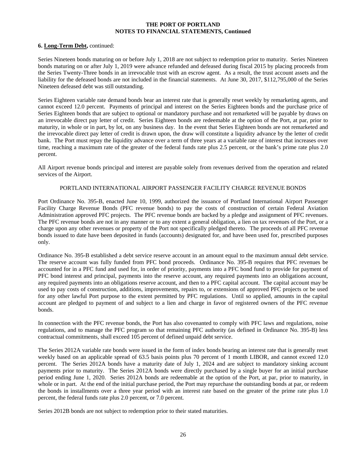#### **6. Long-Term Debt,** continued:

Series Nineteen bonds maturing on or before July 1, 2018 are not subject to redemption prior to maturity. Series Nineteen bonds maturing on or after July 1, 2019 were advance refunded and defeased during fiscal 2015 by placing proceeds from the Series Twenty-Three bonds in an irrevocable trust with an escrow agent. As a result, the trust account assets and the liability for the defeased bonds are not included in the financial statements. At June 30, 2017, \$112,795,000 of the Series Nineteen defeased debt was still outstanding.

Series Eighteen variable rate demand bonds bear an interest rate that is generally reset weekly by remarketing agents, and cannot exceed 12.0 percent. Payments of principal and interest on the Series Eighteen bonds and the purchase price of Series Eighteen bonds that are subject to optional or mandatory purchase and not remarketed will be payable by draws on an irrevocable direct pay letter of credit. Series Eighteen bonds are redeemable at the option of the Port, at par, prior to maturity, in whole or in part, by lot, on any business day. In the event that Series Eighteen bonds are not remarketed and the irrevocable direct pay letter of credit is drawn upon, the draw will constitute a liquidity advance by the letter of credit bank. The Port must repay the liquidity advance over a term of three years at a variable rate of interest that increases over time, reaching a maximum rate of the greater of the federal funds rate plus 2.5 percent, or the bank's prime rate plus 2.0 percent.

All Airport revenue bonds principal and interest are payable solely from revenues derived from the operation and related services of the Airport.

#### PORTLAND INTERNATIONAL AIRPORT PASSENGER FACILITY CHARGE REVENUE BONDS

Port Ordinance No. 395-B, enacted June 10, 1999, authorized the issuance of Portland International Airport Passenger Facility Charge Revenue Bonds (PFC revenue bonds) to pay the costs of construction of certain Federal Aviation Administration approved PFC projects. The PFC revenue bonds are backed by a pledge and assignment of PFC revenues. The PFC revenue bonds are not in any manner or to any extent a general obligation, a lien on tax revenues of the Port, or a charge upon any other revenues or property of the Port not specifically pledged thereto. The proceeds of all PFC revenue bonds issued to date have been deposited in funds (accounts) designated for, and have been used for, prescribed purposes only.

Ordinance No. 395-B established a debt service reserve account in an amount equal to the maximum annual debt service. The reserve account was fully funded from PFC bond proceeds. Ordinance No. 395-B requires that PFC revenues be accounted for in a PFC fund and used for, in order of priority, payments into a PFC bond fund to provide for payment of PFC bond interest and principal, payments into the reserve account, any required payments into an obligations account, any required payments into an obligations reserve account, and then to a PFC capital account. The capital account may be used to pay costs of construction, additions, improvements, repairs to, or extensions of approved PFC projects or be used for any other lawful Port purpose to the extent permitted by PFC regulations. Until so applied, amounts in the capital account are pledged to payment of and subject to a lien and charge in favor of registered owners of the PFC revenue bonds.

In connection with the PFC revenue bonds, the Port has also covenanted to comply with PFC laws and regulations, noise regulations, and to manage the PFC program so that remaining PFC authority (as defined in Ordinance No. 395-B) less contractual commitments, shall exceed 105 percent of defined unpaid debt service.

The Series 2012A variable rate bonds were issued in the form of index bonds bearing an interest rate that is generally reset weekly based on an applicable spread of 63.5 basis points plus 70 percent of 1 month LIBOR, and cannot exceed 12.0 percent. The Series 2012A bonds have a maturity date of July 1, 2024 and are subject to mandatory sinking account payments prior to maturity. The Series 2012A bonds were directly purchased by a single buyer for an initial purchase period ending June 1, 2020. Series 2012A bonds are redeemable at the option of the Port, at par, prior to maturity, in whole or in part. At the end of the initial purchase period, the Port may repurchase the outstanding bonds at par, or redeem the bonds in installments over a three year period with an interest rate based on the greater of the prime rate plus 1.0 percent, the federal funds rate plus 2.0 percent, or 7.0 percent.

Series 2012B bonds are not subject to redemption prior to their stated maturities.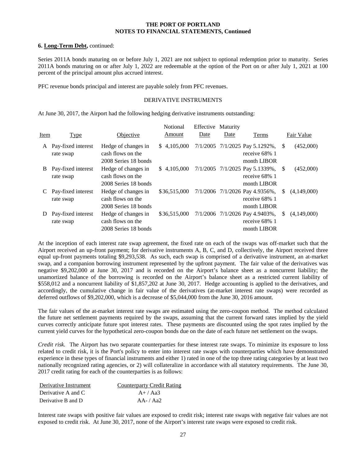#### **6. Long-Term Debt,** continued:

Series 2011A bonds maturing on or before July 1, 2021 are not subject to optional redemption prior to maturity. Series 2011A bonds maturing on or after July 1, 2022 are redeemable at the option of the Port on or after July 1, 2021 at 100 percent of the principal amount plus accrued interest.

PFC revenue bonds principal and interest are payable solely from PFC revenues.

#### DERIVATIVE INSTRUMENTS

At June 30, 2017, the Airport had the following hedging derivative instruments outstanding:

| Item | Type                            | Objective                                                        | Notional<br>Amount | Effective<br>Date | Maturity<br>Date | Terms                                                              |               | Fair Value  |
|------|---------------------------------|------------------------------------------------------------------|--------------------|-------------------|------------------|--------------------------------------------------------------------|---------------|-------------|
| A    | Pay-fixed interest<br>rate swap | Hedge of changes in<br>cash flows on the<br>2008 Series 18 bonds | \$4,105,000        |                   |                  | $7/1/2005$ $7/1/2025$ Pay 5.1292%,<br>receive 68% 1<br>month LIBOR | S             | (452,000)   |
| B    | Pay-fixed interest<br>rate swap | Hedge of changes in<br>cash flows on the<br>2008 Series 18 bonds | \$4,105,000        |                   |                  | 7/1/2005 7/1/2025 Pay 5.1339%,<br>receive 68% 1<br>month LIBOR     | <sup>\$</sup> | (452,000)   |
| C    | Pay-fixed interest<br>rate swap | Hedge of changes in<br>cash flows on the<br>2008 Series 18 bonds | \$36,515,000       |                   |                  | 7/1/2006 7/1/2026 Pay 4.9356%,<br>receive 68% 1<br>month LIBOR     | S.            | (4,149,000) |
| D    | Pay-fixed interest<br>rate swap | Hedge of changes in<br>cash flows on the<br>2008 Series 18 bonds | \$36,515,000       |                   |                  | 7/1/2006 7/1/2026 Pay 4.9403%,<br>receive 68% 1<br>month LIBOR     | S.            | (4,149,000) |

At the inception of each interest rate swap agreement, the fixed rate on each of the swaps was off-market such that the Airport received an up-front payment; for derivative instruments A, B, C, and D, collectively, the Airport received three equal up-front payments totaling \$9,293,538. As such, each swap is comprised of a derivative instrument, an at-market swap, and a companion borrowing instrument represented by the upfront payment. The fair value of the derivatives was negative \$9,202,000 at June 30, 2017 and is recorded on the Airport's balance sheet as a noncurrent liability; the unamortized balance of the borrowing is recorded on the Airport's balance sheet as a restricted current liability of \$558,012 and a noncurrent liability of \$1,857,202 at June 30, 2017. Hedge accounting is applied to the derivatives, and accordingly, the cumulative change in fair value of the derivatives (at-market interest rate swaps) were recorded as deferred outflows of \$9,202,000, which is a decrease of \$5,044,000 from the June 30, 2016 amount.

The fair values of the at-market interest rate swaps are estimated using the zero-coupon method. The method calculated the future net settlement payments required by the swaps, assuming that the current forward rates implied by the yield curves correctly anticipate future spot interest rates. These payments are discounted using the spot rates implied by the current yield curves for the hypothetical zero-coupon bonds due on the date of each future net settlement on the swaps.

*Credit risk.* The Airport has two separate counterparties for these interest rate swaps. To minimize its exposure to loss related to credit risk, it is the Port's policy to enter into interest rate swaps with counterparties which have demonstrated experience in these types of financial instruments and either 1) rated in one of the top three rating categories by at least two nationally recognized rating agencies, or 2) will collateralize in accordance with all statutory requirements. The June 30, 2017 credit rating for each of the counterparties is as follows:

| Derivative Instrument | <b>Counterparty Credit Rating</b> |
|-----------------------|-----------------------------------|
| Derivative A and C    | $A+ / Aa3$                        |
| Derivative B and D    | $AA$ - / $Aa2$                    |

Interest rate swaps with positive fair values are exposed to credit risk; interest rate swaps with negative fair values are not exposed to credit risk. At June 30, 2017, none of the Airport's interest rate swaps were exposed to credit risk.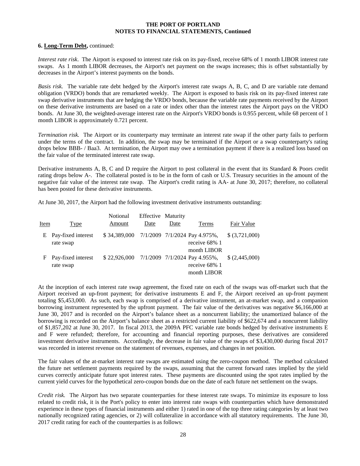#### **6. Long-Term Debt,** continued:

*Interest rate risk*. The Airport is exposed to interest rate risk on its pay-fixed, receive 68% of 1 month LIBOR interest rate swaps. As 1 month LIBOR decreases, the Airport's net payment on the swaps increases; this is offset substantially by decreases in the Airport's interest payments on the bonds.

*Basis risk.* The variable rate debt hedged by the Airport's interest rate swaps A, B, C, and D are variable rate demand obligation (VRDO) bonds that are remarketed weekly. The Airport is exposed to basis risk on its pay-fixed interest rate swap derivative instruments that are hedging the VRDO bonds, because the variable rate payments received by the Airport on these derivative instruments are based on a rate or index other than the interest rates the Airport pays on the VRDO bonds. At June 30, the weighted-average interest rate on the Airport's VRDO bonds is 0.955 percent, while 68 percent of 1 month LIBOR is approximately 0.721 percent.

*Termination risk.* The Airport or its counterparty may terminate an interest rate swap if the other party fails to perform under the terms of the contract. In addition, the swap may be terminated if the Airport or a swap counterparty's rating drops below BBB- / Baa3. At termination, the Airport may owe a termination payment if there is a realized loss based on the fair value of the terminated interest rate swap.

Derivative instruments A, B, C and D require the Airport to post collateral in the event that its Standard & Poors credit rating drops below A-. The collateral posted is to be in the form of cash or U.S. Treasury securities in the amount of the negative fair value of the interest rate swap. The Airport's credit rating is AA- at June 30, 2017; therefore, no collateral has been posted for these derivative instruments.

At June 30, 2017, the Airport had the following investment derivative instruments outstanding:

|      |                                 | Notional                                   | <b>Effective Maturity</b> |      |                              |                |
|------|---------------------------------|--------------------------------------------|---------------------------|------|------------------------------|----------------|
| Item | Type                            | Amount                                     | Date                      | Date | Terms                        | Fair Value     |
| Е    | Pay-fixed interest<br>rate swap | \$34,389,000 7/1/2009 7/1/2024 Pay 4.975%, |                           |      | receive 68% 1<br>month LIBOR | \$ (3,721,000) |
| F    | Pay-fixed interest<br>rate swap | \$22,926,000 7/1/2009 7/1/2024 Pay 4.955%, |                           |      | receive 68% 1<br>month LIBOR | (2,445,000)    |

At the inception of each interest rate swap agreement, the fixed rate on each of the swaps was off-market such that the Airport received an up-front payment; for derivative instruments E and F, the Airport received an up-front payment totaling \$5,453,000. As such, each swap is comprised of a derivative instrument, an at-market swap, and a companion borrowing instrument represented by the upfront payment. The fair value of the derivatives was negative \$6,166,000 at June 30, 2017 and is recorded on the Airport's balance sheet as a noncurrent liability; the unamortized balance of the borrowing is recorded on the Airport's balance sheet as a restricted current liability of \$622,674 and a noncurrent liability of \$1,857,202 at June 30, 2017. In fiscal 2013, the 2009A PFC variable rate bonds hedged by derivative instruments E and F were refunded; therefore, for accounting and financial reporting purposes, these derivatives are considered investment derivative instruments. Accordingly, the decrease in fair value of the swaps of \$3,430,000 during fiscal 2017 was recorded in interest revenue on the statement of revenues, expenses, and changes in net position.

The fair values of the at-market interest rate swaps are estimated using the zero-coupon method. The method calculated the future net settlement payments required by the swaps, assuming that the current forward rates implied by the yield curves correctly anticipate future spot interest rates. These payments are discounted using the spot rates implied by the current yield curves for the hypothetical zero-coupon bonds due on the date of each future net settlement on the swaps.

*Credit risk.* The Airport has two separate counterparties for these interest rate swaps. To minimize its exposure to loss related to credit risk, it is the Port's policy to enter into interest rate swaps with counterparties which have demonstrated experience in these types of financial instruments and either 1) rated in one of the top three rating categories by at least two nationally recognized rating agencies, or 2) will collateralize in accordance with all statutory requirements. The June 30, 2017 credit rating for each of the counterparties is as follows: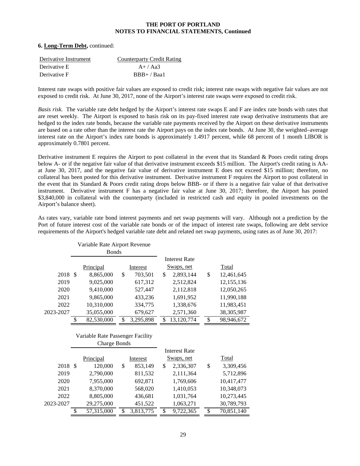#### **6. Long-Term Debt,** continued:

| Derivative Instrument | <b>Counterparty Credit Rating</b> |
|-----------------------|-----------------------------------|
| Derivative E          | $A+ / Aa3$                        |
| Derivative F          | $BBB+$ / Baa1                     |

Interest rate swaps with positive fair values are exposed to credit risk; interest rate swaps with negative fair values are not exposed to credit risk. At June 30, 2017, none of the Airport's interest rate swaps were exposed to credit risk.

*Basis risk.* The variable rate debt hedged by the Airport's interest rate swaps E and F are index rate bonds with rates that are reset weekly. The Airport is exposed to basis risk on its pay-fixed interest rate swap derivative instruments that are hedged to the index rate bonds, because the variable rate payments received by the Airport on these derivative instruments are based on a rate other than the interest rate the Airport pays on the index rate bonds. At June 30, the weighted–average interest rate on the Airport's index rate bonds is approximately 1.4917 percent, while 68 percent of 1 month LIBOR is approximately 0.7801 percent.

Derivative instrument E requires the Airport to post collateral in the event that its Standard & Poors credit rating drops below A- or if the negative fair value of that derivative instrument exceeds \$15 million. The Airport's credit rating is AAat June 30, 2017, and the negative fair value of derivative instrument E does not exceed \$15 million; therefore, no collateral has been posted for this derivative instrument. Derivative instrument F requires the Airport to post collateral in the event that its Standard & Poors credit rating drops below BBB- or if there is a negative fair value of that derivative instrument. Derivative instrument F has a negative fair value at June 30, 2017; therefore, the Airport has posted \$3,840,000 in collateral with the counterparty (included in restricted cash and equity in pooled investments on the Airport's balance sheet).

As rates vary, variable rate bond interest payments and net swap payments will vary. Although not a prediction by the Port of future interest cost of the variable rate bonds or of the impact of interest rate swaps, following are debt service requirements of the Airport's hedged variable rate debt and related net swap payments, using rates as of June 30, 2017:

|           | Variable Rate Airport Revenue |            |          |           |    |                      |     |              |
|-----------|-------------------------------|------------|----------|-----------|----|----------------------|-----|--------------|
|           | <b>Bonds</b>                  |            |          |           |    |                      |     |              |
|           |                               |            |          |           |    | <b>Interest Rate</b> |     |              |
|           | Principal                     |            | Interest |           |    | Swaps, net           |     | Total        |
| 2018      | - \$                          | 8,865,000  | \$       | 703,501   | \$ | 2,893,144            | \$  | 12,461,645   |
| 2019      |                               | 9,025,000  |          | 617,312   |    | 2,512,824            |     | 12,155,136   |
| 2020      |                               | 9,410,000  |          | 527,447   |    | 2,112,818            |     | 12,050,265   |
| 2021      |                               | 9,865,000  |          | 433,236   |    | 1,691,952            |     | 11,990,188   |
| 2022      |                               | 10,310,000 |          | 334,775   |    | 1,338,676            |     | 11,983,451   |
| 2023-2027 |                               | 35,055,000 |          | 679,627   |    | 2,571,360            |     | 38, 305, 987 |
|           | \$                            | 82,530,000 |          | 3,295,898 | S  | 13,120,774           | \$. | 98,946,672   |

|           |                     | Variable Rate Passenger Facility |          |           |            |                      |   |            |
|-----------|---------------------|----------------------------------|----------|-----------|------------|----------------------|---|------------|
|           | <b>Charge Bonds</b> |                                  |          |           |            |                      |   |            |
|           |                     |                                  |          |           |            | <b>Interest Rate</b> |   |            |
|           | Principal           |                                  | Interest |           | Swaps, net |                      |   | Total      |
| 2018 \$   |                     | 120,000                          | \$       | 853,149   | \$         | 2,336,307            | S | 3,309,456  |
| 2019      |                     | 2,790,000                        |          | 811,532   |            | 2,111,364            |   | 5,712,896  |
| 2020      |                     | 7,955,000                        |          | 692,871   |            | 1,769,606            |   | 10,417,477 |
| 2021      |                     | 8,370,000                        |          | 568,020   |            | 1,410,053            |   | 10,348,073 |
| 2022      |                     | 8,805,000                        |          | 436,681   |            | 1,031,764            |   | 10,273,445 |
| 2023-2027 |                     | 29,275,000                       |          | 451,522   |            | 1,063,271            |   | 30,789,793 |
|           |                     | 57,315,000                       |          | 3,813,775 | \$         | 9,722,365            | S | 70,851,140 |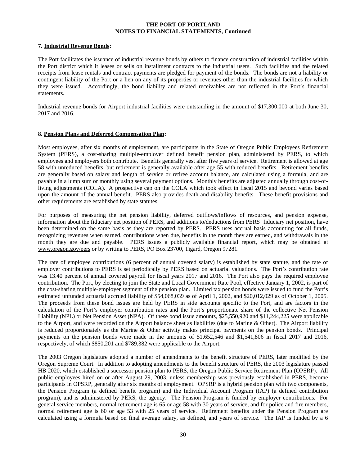#### **7. Industrial Revenue Bonds:**

The Port facilitates the issuance of industrial revenue bonds by others to finance construction of industrial facilities within the Port district which it leases or sells on installment contracts to the industrial users. Such facilities and the related receipts from lease rentals and contract payments are pledged for payment of the bonds. The bonds are not a liability or contingent liability of the Port or a lien on any of its properties or revenues other than the industrial facilities for which they were issued. Accordingly, the bond liability and related receivables are not reflected in the Port's financial statements.

Industrial revenue bonds for Airport industrial facilities were outstanding in the amount of \$17,300,000 at both June 30, 2017 and 2016.

### **8. Pension Plans and Deferred Compensation Plan:**

Most employees, after six months of employment, are participants in the State of Oregon Public Employees Retirement System (PERS), a cost-sharing multiple-employer defined benefit pension plan, administered by PERS, to which employees and employers both contribute. Benefits generally vest after five years of service. Retirement is allowed at age 58 with unreduced benefits, but retirement is generally available after age 55 with reduced benefits. Retirement benefits are generally based on salary and length of service or retiree account balance, are calculated using a formula, and are payable in a lump sum or monthly using several payment options. Monthly benefits are adjusted annually through cost-ofliving adjustments (COLA). A prospective cap on the COLA which took effect in fiscal 2015 and beyond varies based upon the amount of the annual benefit. PERS also provides death and disability benefits. These benefit provisions and other requirements are established by state statutes.

For purposes of measuring the net pension liability, deferred outflows/inflows of resources, and pension expense, information about the fiduciary net position of PERS, and additions to/deductions from PERS' fiduciary net position, have been determined on the same basis as they are reported by PERS. PERS uses accrual basis accounting for all funds, recognizing revenues when earned, contributions when due, benefits in the month they are earned, and withdrawals in the month they are due and payable. PERS issues a publicly available financial report, which may be obtained at www.oregon.gov/pers or by writing to PERS, PO Box 23700, Tigard, Oregon 97281.

The rate of employee contributions (6 percent of annual covered salary) is established by state statute, and the rate of employer contributions to PERS is set periodically by PERS based on actuarial valuations. The Port's contribution rate was 13.40 percent of annual covered payroll for fiscal years 2017 and 2016. The Port also pays the required employee contribution. The Port, by electing to join the State and Local Government Rate Pool, effective January 1, 2002, is part of the cost-sharing multiple-employer segment of the pension plan. Limited tax pension bonds were issued to fund the Port's estimated unfunded actuarial accrued liability of \$54,068,039 as of April 1, 2002, and \$20,012,029 as of October 1, 2005. The proceeds from these bond issues are held by PERS in side accounts specific to the Port, and are factors in the calculation of the Port's employer contribution rates and the Port's proportionate share of the collective Net Pension Liability (NPL) or Net Pension Asset (NPA). Of these bond issue amounts, \$25,550,920 and \$11,244,225 were applicable to the Airport, and were recorded on the Airport balance sheet as liabilities (due to Marine & Other). The Airport liability is reduced proportionately as the Marine & Other activity makes principal payments on the pension bonds. Principal payments on the pension bonds were made in the amounts of \$1,652,546 and \$1,541,806 in fiscal 2017 and 2016, respectively, of which \$850,201 and \$789,382 were applicable to the Airport.

The 2003 Oregon legislature adopted a number of amendments to the benefit structure of PERS, later modified by the Oregon Supreme Court. In addition to adopting amendments to the benefit structure of PERS, the 2003 legislature passed HB 2020, which established a successor pension plan to PERS, the Oregon Public Service Retirement Plan (OPSRP). All public employees hired on or after August 29, 2003, unless membership was previously established in PERS, become participants in OPSRP, generally after six months of employment. OPSRP is a hybrid pension plan with two components, the Pension Program (a defined benefit program) and the Individual Account Program (IAP) (a defined contribution program), and is administered by PERS, the agency. The Pension Program is funded by employer contributions. For general service members, normal retirement age is 65 or age 58 with 30 years of service, and for police and fire members, normal retirement age is 60 or age 53 with 25 years of service. Retirement benefits under the Pension Program are calculated using a formula based on final average salary, as defined, and years of service. The IAP is funded by a 6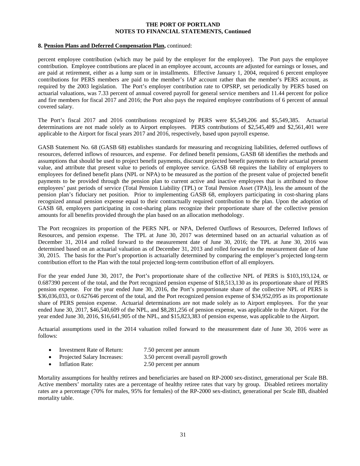#### **8. Pension Plans and Deferred Compensation Plan,** continued:

percent employee contribution (which may be paid by the employer for the employee). The Port pays the employee contribution. Employee contributions are placed in an employee account, accounts are adjusted for earnings or losses, and are paid at retirement, either as a lump sum or in installments. Effective January 1, 2004, required 6 percent employee contributions for PERS members are paid to the member's IAP account rather than the member's PERS account, as required by the 2003 legislation. The Port's employer contribution rate to OPSRP, set periodically by PERS based on actuarial valuations, was 7.33 percent of annual covered payroll for general service members and 11.44 percent for police and fire members for fiscal 2017 and 2016; the Port also pays the required employee contributions of 6 percent of annual covered salary.

The Port's fiscal 2017 and 2016 contributions recognized by PERS were \$5,549,206 and \$5,549,385. Actuarial determinations are not made solely as to Airport employees. PERS contributions of \$2,545,409 and \$2,561,401 were applicable to the Airport for fiscal years 2017 and 2016, respectively, based upon payroll expense.

GASB Statement No. 68 (GASB 68) establishes standards for measuring and recognizing liabilities, deferred outflows of resources, deferred inflows of resources, and expense. For defined benefit pensions, GASB 68 identifies the methods and assumptions that should be used to project benefit payments, discount projected benefit payments to their actuarial present value, and attribute that present value to periods of employee service. GASB 68 requires the liability of employers to employees for defined benefit plans (NPL or NPA) to be measured as the portion of the present value of projected benefit payments to be provided through the pension plan to current active and inactive employees that is attributed to those employees' past periods of service (Total Pension Liability (TPL) or Total Pension Asset (TPA)), less the amount of the pension plan's fiduciary net position. Prior to implementing GASB 68, employers participating in cost-sharing plans recognized annual pension expense equal to their contractually required contribution to the plan. Upon the adoption of GASB 68, employers participating in cost-sharing plans recognize their proportionate share of the collective pension amounts for all benefits provided through the plan based on an allocation methodology.

The Port recognizes its proportion of the PERS NPL or NPA, Deferred Outflows of Resources, Deferred Inflows of Resources, and pension expense. The TPL at June 30, 2017 was determined based on an actuarial valuation as of December 31, 2014 and rolled forward to the measurement date of June 30, 2016; the TPL at June 30, 2016 was determined based on an actuarial valuation as of December 31, 2013 and rolled forward to the measurement date of June 30, 2015. The basis for the Port's proportion is actuarially determined by comparing the employer's projected long-term contribution effort to the Plan with the total projected long-term contribution effort of all employers.

For the year ended June 30, 2017, the Port's proportionate share of the collective NPL of PERS is \$103,193,124, or 0.687390 percent of the total, and the Port recognized pension expense of \$18,513,130 as its proportionate share of PERS pension expense. For the year ended June 30, 2016, the Port's proportionate share of the collective NPL of PERS is \$36,036,033, or 0.627646 percent of the total, and the Port recognized pension expense of \$34,952,095 as its proportionate share of PERS pension expense. Actuarial determinations are not made solely as to Airport employees. For the year ended June 30, 2017, \$46,540,609 of the NPL, and \$8,281,256 of pension expense, was applicable to the Airport. For the year ended June 30, 2016, \$16,641,905 of the NPL, and \$15,823,383 of pension expense, was applicable to the Airport.

Actuarial assumptions used in the 2014 valuation rolled forward to the measurement date of June 30, 2016 were as follows:

| Investment Rate of Return: | 7.50 percent per annum |
|----------------------------|------------------------|
| .                          | $\sim$ $\sim$ $\sim$   |

- Projected Salary Increases: 3.50 percent overall payroll growth
- Inflation Rate: 2.50 percent per annum

Mortality assumptions for healthy retirees and beneficiaries are based on RP-2000 sex-distinct, generational per Scale BB. Active members' mortality rates are a percentage of healthy retiree rates that vary by group. Disabled retirees mortality rates are a percentage (70% for males, 95% for females) of the RP-2000 sex-distinct, generational per Scale BB, disabled mortality table.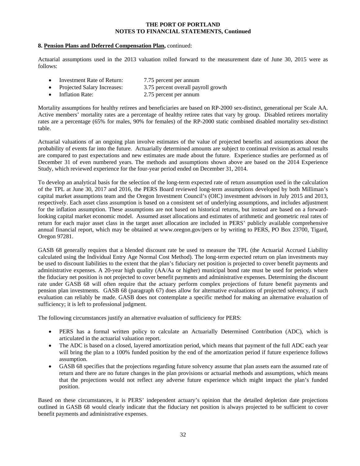#### **8. Pension Plans and Deferred Compensation Plan,** continued:

Actuarial assumptions used in the 2013 valuation rolled forward to the measurement date of June 30, 2015 were as follows:

- Investment Rate of Return: 7.75 percent per annum
- Projected Salary Increases: 3.75 percent overall payroll growth
- Inflation Rate: 2.75 percent per annum

Mortality assumptions for healthy retirees and beneficiaries are based on RP-2000 sex-distinct, generational per Scale AA. Active members' mortality rates are a percentage of healthy retiree rates that vary by group. Disabled retirees mortality rates are a percentage (65% for males, 90% for females) of the RP-2000 static combined disabled mortality sex-distinct table.

Actuarial valuations of an ongoing plan involve estimates of the value of projected benefits and assumptions about the probability of events far into the future. Actuarially determined amounts are subject to continual revision as actual results are compared to past expectations and new estimates are made about the future. Experience studies are performed as of December 31 of even numbered years. The methods and assumptions shown above are based on the 2014 Experience Study, which reviewed experience for the four-year period ended on December 31, 2014.

To develop an analytical basis for the selection of the long-term expected rate of return assumption used in the calculation of the TPL at June 30, 2017 and 2016, the PERS Board reviewed long-term assumptions developed by both Milliman's capital market assumptions team and the Oregon Investment Council's (OIC) investment advisors in July 2015 and 2013, respectively. Each asset class assumption is based on a consistent set of underlying assumptions, and includes adjustment for the inflation assumption. These assumptions are not based on historical returns, but instead are based on a forwardlooking capital market economic model. Assumed asset allocations and estimates of arithmetic and geometric real rates of return for each major asset class in the target asset allocation are included in PERS' publicly available comprehensive annual financial report, which may be obtained at www.oregon.gov/pers or by writing to PERS, PO Box 23700, Tigard, Oregon 97281.

GASB 68 generally requires that a blended discount rate be used to measure the TPL (the Actuarial Accrued Liability calculated using the Individual Entry Age Normal Cost Method). The long-term expected return on plan investments may be used to discount liabilities to the extent that the plan's fiduciary net position is projected to cover benefit payments and administrative expenses. A 20-year high quality (AA/Aa or higher) municipal bond rate must be used for periods where the fiduciary net position is not projected to cover benefit payments and administrative expenses. Determining the discount rate under GASB 68 will often require that the actuary perform complex projections of future benefit payments and pension plan investments. GASB 68 (paragraph 67) does allow for alternative evaluations of projected solvency, if such evaluation can reliably be made. GASB does not contemplate a specific method for making an alternative evaluation of sufficiency; it is left to professional judgment.

The following circumstances justify an alternative evaluation of sufficiency for PERS:

- PERS has a formal written policy to calculate an Actuarially Determined Contribution (ADC), which is articulated in the actuarial valuation report.
- The ADC is based on a closed, layered amortization period, which means that payment of the full ADC each year will bring the plan to a 100% funded position by the end of the amortization period if future experience follows assumption.
- GASB 68 specifies that the projections regarding future solvency assume that plan assets earn the assumed rate of return and there are no future changes in the plan provisions or actuarial methods and assumptions, which means that the projections would not reflect any adverse future experience which might impact the plan's funded position.

Based on these circumstances, it is PERS' independent actuary's opinion that the detailed depletion date projections outlined in GASB 68 would clearly indicate that the fiduciary net position is always projected to be sufficient to cover benefit payments and administrative expenses.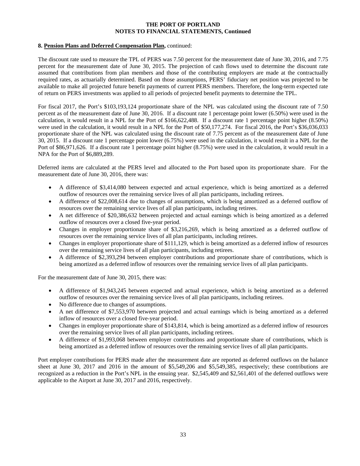### **8. Pension Plans and Deferred Compensation Plan,** continued:

The discount rate used to measure the TPL of PERS was 7.50 percent for the measurement date of June 30, 2016, and 7.75 percent for the measurement date of June 30, 2015. The projection of cash flows used to determine the discount rate assumed that contributions from plan members and those of the contributing employers are made at the contractually required rates, as actuarially determined. Based on those assumptions, PERS' fiduciary net position was projected to be available to make all projected future benefit payments of current PERS members. Therefore, the long-term expected rate of return on PERS investments was applied to all periods of projected benefit payments to determine the TPL.

For fiscal 2017, the Port's \$103,193,124 proportionate share of the NPL was calculated using the discount rate of 7.50 percent as of the measurement date of June 30, 2016. If a discount rate 1 percentage point lower (6.50%) were used in the calculation, it would result in a NPL for the Port of \$166,622,488. If a discount rate 1 percentage point higher (8.50%) were used in the calculation, it would result in a NPL for the Port of \$50,177,274. For fiscal 2016, the Port's \$36,036,033 proportionate share of the NPL was calculated using the discount rate of 7.75 percent as of the measurement date of June 30, 2015. If a discount rate 1 percentage point lower (6.75%) were used in the calculation, it would result in a NPL for the Port of \$86,971,626. If a discount rate 1 percentage point higher (8.75%) were used in the calculation, it would result in a NPA for the Port of \$6,889,289.

Deferred items are calculated at the PERS level and allocated to the Port based upon its proportionate share. For the measurement date of June 30, 2016, there was:

- A difference of \$3,414,080 between expected and actual experience, which is being amortized as a deferred outflow of resources over the remaining service lives of all plan participants, including retirees.
- A difference of \$22,008,614 due to changes of assumptions, which is being amortized as a deferred outflow of resources over the remaining service lives of all plan participants, including retirees.
- A net difference of \$20,386,632 between projected and actual earnings which is being amortized as a deferred outflow of resources over a closed five-year period.
- Changes in employer proportionate share of \$3,216,269, which is being amortized as a deferred outflow of resources over the remaining service lives of all plan participants, including retirees.
- Changes in employer proportionate share of \$111,129, which is being amortized as a deferred inflow of resources over the remaining service lives of all plan participants, including retirees.
- A difference of \$2,393,294 between employer contributions and proportionate share of contributions, which is being amortized as a deferred inflow of resources over the remaining service lives of all plan participants.

For the measurement date of June 30, 2015, there was:

- A difference of \$1,943,245 between expected and actual experience, which is being amortized as a deferred outflow of resources over the remaining service lives of all plan participants, including retirees.
- No difference due to changes of assumptions.
- A net difference of \$7,553,970 between projected and actual earnings which is being amortized as a deferred inflow of resources over a closed five-year period.
- Changes in employer proportionate share of \$143,814, which is being amortized as a deferred inflow of resources over the remaining service lives of all plan participants, including retirees.
- A difference of \$1,993,068 between employer contributions and proportionate share of contributions, which is being amortized as a deferred inflow of resources over the remaining service lives of all plan participants.

Port employer contributions for PERS made after the measurement date are reported as deferred outflows on the balance sheet at June 30, 2017 and 2016 in the amount of \$5,549,206 and \$5,549,385, respectively; these contributions are recognized as a reduction in the Port's NPL in the ensuing year. \$2,545,409 and \$2,561,401 of the deferred outflows were applicable to the Airport at June 30, 2017 and 2016, respectively.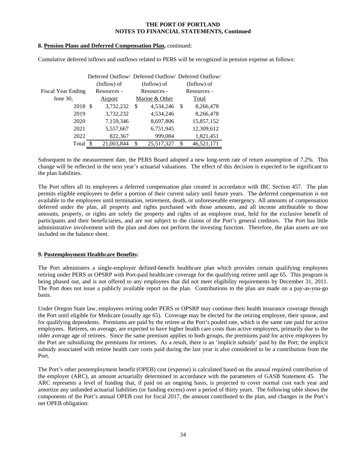#### **8. Pension Plans and Deferred Compensation Plan,** continued:

|                    |     | Deferred Outflow/ Deferred Outflow/ Deferred Outflow/ |   |                |             |            |  |  |
|--------------------|-----|-------------------------------------------------------|---|----------------|-------------|------------|--|--|
|                    |     | (Inflow) of                                           |   | (Inflow) of    | (Inflow) of |            |  |  |
| Fiscal Year Ending |     | Resources -                                           |   | Resources -    | Resources - |            |  |  |
| June $30$ ,        |     | Airport                                               |   | Marine & Other |             | Total      |  |  |
| 2018               | -S  | 3,732,232                                             | S | 4,534,246      | S           | 8,266,478  |  |  |
| 2019               |     | 3,732,232                                             |   | 4,534,246      |             | 8,266,478  |  |  |
| 2020               |     | 7,159,346                                             |   | 8,697,806      |             | 15,857,152 |  |  |
| 2021               |     | 5,557,667                                             |   | 6,751,945      |             | 12,309,612 |  |  |
| 2022               |     | 822,367                                               |   | 999,084        |             | 1,821,451  |  |  |
| Total              | -\$ | 21,003,844                                            | S | 25,517,327     |             | 46,521,171 |  |  |

Cumulative deferred inflows and outflows related to PERS will be recognized in pension expense as follows:

Subsequent to the measurement date, the PERS Board adopted a new long-term rate of return assumption of 7.2%. This change will be reflected in the next year's actuarial valuations. The effect of this decision is expected to be significant to the plan liabilities.

The Port offers all its employees a deferred compensation plan created in accordance with IRC Section 457. The plan permits eligible employees to defer a portion of their current salary until future years. The deferred compensation is not available to the employees until termination, retirement, death, or unforeseeable emergency. All amounts of compensation deferred under the plan, all property and rights purchased with those amounts, and all income attributable to those amounts, property, or rights are solely the property and rights of an employee trust, held for the exclusive benefit of participants and their beneficiaries, and are not subject to the claims of the Port's general creditors. The Port has little administrative involvement with the plan and does not perform the investing function. Therefore, the plan assets are not included on the balance sheet.

### **9. Postemployment Healthcare Benefits:**

The Port administers a single-employer defined-benefit healthcare plan which provides certain qualifying employees retiring under PERS or OPSRP with Port-paid healthcare coverage for the qualifying retiree until age 65. This program is being phased out, and is not offered to any employees that did not meet eligibility requirements by December 31, 2011. The Port does not issue a publicly available report on the plan. Contributions to the plan are made on a pay-as-you-go basis.

Under Oregon State law, employees retiring under PERS or OPSRP may continue their health insurance coverage through the Port until eligible for Medicare (usually age 65). Coverage may be elected for the retiring employee, their spouse, and for qualifying dependents. Premiums are paid by the retiree at the Port's pooled rate, which is the same rate paid for active employees. Retirees, on average, are expected to have higher health care costs than active employees, primarily due to the older average age of retirees. Since the same premium applies to both groups, the premiums paid for active employees by the Port are subsidizing the premiums for retirees. As a result, there is an 'implicit subsidy' paid by the Port; the implicit subsidy associated with retiree health care costs paid during the last year is also considered to be a contribution from the Port.

The Port's other postemployment benefit (OPEB) cost (expense) is calculated based on the annual required contribution of the employer (ARC), an amount actuarially determined in accordance with the parameters of GASB Statement 45. The ARC represents a level of funding that, if paid on an ongoing basis, is projected to cover normal cost each year and amortize any unfunded actuarial liabilities (or funding excess) over a period of thirty years. The following table shows the components of the Port's annual OPEB cost for fiscal 2017, the amount contributed to the plan, and changes in the Port's net OPEB obligation: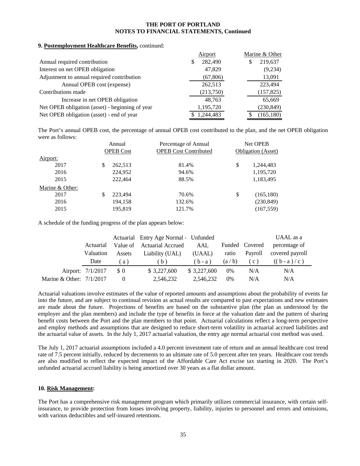### **9. Postemployment Healthcare Benefits,** continued:

|                                                 | Airport       | Marine & Other |
|-------------------------------------------------|---------------|----------------|
| Annual required contribution                    | 282,490<br>\$ | 219,637        |
| Interest on net OPEB obligation                 | 47,829        | (9,234)        |
| Adjustment to annual required contribution      | (67, 806)     | 13,091         |
| Annual OPEB cost (expense)                      | 262,513       | 223,494        |
| Contributions made                              | (213,750)     | (157, 825)     |
| Increase in net OPEB obligation                 | 48,763        | 65,669         |
| Net OPEB obligation (asset) - beginning of year | 1,195,720     | (230, 849)     |
| Net OPEB obligation (asset) - end of year       | 1,244,483     | (165, 180)     |

The Port's annual OPEB cost, the percentage of annual OPEB cost contributed to the plan, and the net OPEB obligation were as follows:

|                 |    | Annual           | Percentage of Annual         | Net OPEB |                           |  |  |  |
|-----------------|----|------------------|------------------------------|----------|---------------------------|--|--|--|
|                 |    | <b>OPEB Cost</b> | <b>OPEB Cost Contributed</b> |          | <b>Obligation</b> (Asset) |  |  |  |
| Airport:        |    |                  |                              |          |                           |  |  |  |
| 2017            | \$ | 262,513          | 81.4%                        | \$       | 1,244,483                 |  |  |  |
| 2016            |    | 224,952          | 94.6%                        |          | 1,195,720                 |  |  |  |
| 2015            |    | 222.464          | 88.5%                        |          | 1,183,495                 |  |  |  |
| Marine & Other: |    |                  |                              |          |                           |  |  |  |
| 2017            | S  | 223.494          | 70.6%                        | \$       | (165, 180)                |  |  |  |
| 2016            |    | 194,158          | 132.6%                       |          | (230, 849)                |  |  |  |
| 2015            |    | 195.819          | 121.7%                       |          | (167, 559)                |  |  |  |

A schedule of the funding progress of the plan appears below:

|                          |                   |          | Actuarial Entry Age Normal - Unfunded |             |       |                | UAAL as a       |
|--------------------------|-------------------|----------|---------------------------------------|-------------|-------|----------------|-----------------|
|                          | Actuarial         |          | Value of Actuarial Accrued            | AAL         |       | Funded Covered | percentage of   |
|                          | Valuation         | Assets   | Liability (UAL)                       | (UAAL)      | ratio | Pavroll        | covered payroll |
|                          | Date              | a)       | (b)                                   | $(b - a)$   | (a/b) | C)             | $((b-a)/c)$     |
|                          | Airport: 7/1/2017 | $\Omega$ | \$3,227,600                           | \$3,227,600 | $0\%$ | N/A            | N/A             |
| Marine & Other: 7/1/2017 |                   | $\theta$ | 2,546,232                             | 2,546,232   | 0%    | N/A            | N/A             |

Actuarial valuations involve estimates of the value of reported amounts and assumptions about the probability of events far into the future, and are subject to continual revision as actual results are compared to past expectations and new estimates are made about the future. Projections of benefits are based on the substantive plan (the plan as understood by the employer and the plan members) and include the type of benefits in force at the valuation date and the pattern of sharing benefit costs between the Port and the plan members to that point. Actuarial calculations reflect a long-term perspective and employ methods and assumptions that are designed to reduce short-term volatility in actuarial accrued liabilities and the actuarial value of assets. In the July 1, 2017 actuarial valuation, the entry age normal actuarial cost method was used.

The July 1, 2017 actuarial assumptions included a 4.0 percent investment rate of return and an annual healthcare cost trend rate of 7.5 percent initially, reduced by decrements to an ultimate rate of 5.0 percent after ten years. Healthcare cost trends are also modified to reflect the expected impact of the Affordable Care Act excise tax starting in 2020. The Port's unfunded actuarial accrued liability is being amortized over 30 years as a flat dollar amount.

### **10. Risk Management:**

The Port has a comprehensive risk management program which primarily utilizes commercial insurance, with certain selfinsurance, to provide protection from losses involving property, liability, injuries to personnel and errors and omissions, with various deductibles and self-insured retentions.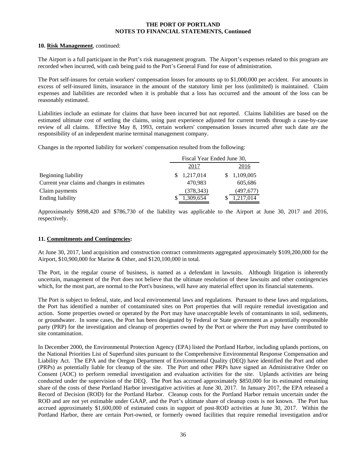#### **10. Risk Management**, continued:

The Airport is a full participant in the Port's risk management program. The Airport's expenses related to this program are recorded when incurred, with cash being paid to the Port's General Fund for ease of administration.

The Port self-insures for certain workers' compensation losses for amounts up to \$1,000,000 per accident. For amounts in excess of self-insured limits, insurance in the amount of the statutory limit per loss (unlimited) is maintained. Claim expenses and liabilities are recorded when it is probable that a loss has occurred and the amount of the loss can be reasonably estimated.

Liabilities include an estimate for claims that have been incurred but not reported. Claims liabilities are based on the estimated ultimate cost of settling the claims, using past experience adjusted for current trends through a case-by-case review of all claims. Effective May 8, 1993, certain workers' compensation losses incurred after such date are the responsibility of an independent marine terminal management company.

Changes in the reported liability for workers' compensation resulted from the following:

|                                              | Fiscal Year Ended June 30, |           |  |  |  |  |  |  |
|----------------------------------------------|----------------------------|-----------|--|--|--|--|--|--|
|                                              | 2017                       | 2016      |  |  |  |  |  |  |
| Beginning liability                          | 1,217,014                  | 1,109,005 |  |  |  |  |  |  |
| Current year claims and changes in estimates | 470.983                    | 605,686   |  |  |  |  |  |  |
| Claim payments                               | (378, 343)                 | (497,677) |  |  |  |  |  |  |
| Ending liability                             | 1,309,654                  | 1,217,014 |  |  |  |  |  |  |

Approximately \$998,420 and \$786,730 of the liability was applicable to the Airport at June 30, 2017 and 2016, respectively.

#### **11. Commitments and Contingencies:**

At June 30, 2017, land acquisition and construction contract commitments aggregated approximately \$109,200,000 for the Airport, \$10,900,000 for Marine & Other, and \$120,100,000 in total.

The Port, in the regular course of business, is named as a defendant in lawsuits. Although litigation is inherently uncertain, management of the Port does not believe that the ultimate resolution of these lawsuits and other contingencies which, for the most part, are normal to the Port's business, will have any material effect upon its financial statements.

The Port is subject to federal, state, and local environmental laws and regulations. Pursuant to these laws and regulations, the Port has identified a number of contaminated sites on Port properties that will require remedial investigation and action. Some properties owned or operated by the Port may have unacceptable levels of contaminants in soil, sediments, or groundwater. In some cases, the Port has been designated by Federal or State government as a potentially responsible party (PRP) for the investigation and cleanup of properties owned by the Port or where the Port may have contributed to site contamination.

In December 2000, the Environmental Protection Agency (EPA) listed the Portland Harbor, including uplands portions, on the National Priorities List of Superfund sites pursuant to the Comprehensive Environmental Response Compensation and Liability Act. The EPA and the Oregon Department of Environmental Quality (DEQ) have identified the Port and other (PRPs) as potentially liable for cleanup of the site. The Port and other PRPs have signed an Administrative Order on Consent (AOC) to perform remedial investigation and evaluation activities for the site. Uplands activities are being conducted under the supervision of the DEQ. The Port has accrued approximately \$850,000 for its estimated remaining share of the costs of these Portland Harbor investigative activities at June 30, 2017. In January 2017, the EPA released a Record of Decision (ROD) for the Portland Harbor. Cleanup costs for the Portland Harbor remain uncertain under the ROD and are not yet estimable under GAAP, and the Port's ultimate share of cleanup costs is not known. The Port has accrued approximately \$1,600,000 of estimated costs in support of post-ROD activities at June 30, 2017. Within the Portland Harbor, there are certain Port-owned, or formerly owned facilities that require remedial investigation and/or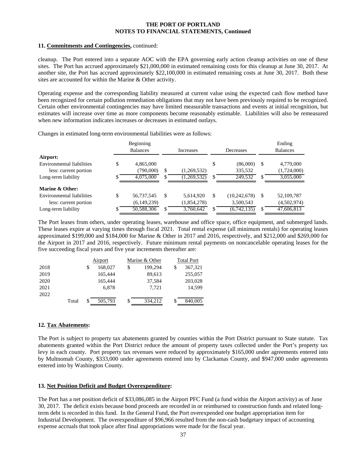#### **11. Commitments and Contingencies,** continued:

cleanup. The Port entered into a separate AOC with the EPA governing early action cleanup activities on one of these sites. The Port has accrued approximately \$21,000,000 in estimated remaining costs for this cleanup at June 30, 2017. At another site, the Port has accrued approximately \$22,100,000 in estimated remaining costs at June 30, 2017. Both these sites are accounted for within the Marine & Other activity.

Operating expense and the corresponding liability measured at current value using the expected cash flow method have been recognized for certain pollution remediation obligations that may not have been previously required to be recognized. Certain other environmental contingencies may have limited measurable transactions and events at initial recognition, but estimates will increase over time as more components become reasonably estimable. Liabilities will also be remeasured when new information indicates increases or decreases in estimated outlays.

Changes in estimated long-term environmental liabilities were as follows:

|                           |    | Beginning       |    |                  |    |                |     | Ending          |
|---------------------------|----|-----------------|----|------------------|----|----------------|-----|-----------------|
|                           |    | <b>Balances</b> |    | <b>Increases</b> |    | Decreases      |     | <b>Balances</b> |
| Airport:                  |    |                 |    |                  |    |                |     |                 |
| Environmental liabilities | \$ | 4,865,000       |    |                  | \$ | (86,000)       | S   | 4,779,000       |
| less: current portion     |    | (790,000)       | \$ | (1,269,532)      |    | 335,532        |     | (1,724,000)     |
| Long-term liability       | S  | 4.075.000       |    | (1,269,532)      |    | 249,532        |     | 3,055,000       |
| Marine & Other:           |    |                 |    |                  |    |                |     |                 |
| Environmental liabilities | \$ | 56,737,545      | \$ | 5.614.920        | S  | (10, 242, 678) | \$. | 52,109,787      |
| less: current portion     |    | (6, 149, 239)   |    | (1,854,278)      |    | 3,500,543      |     | (4,502,974)     |
| Long-term liability       | \$ | 50,588,306      | S. | 3,760,642        |    | (6,742,135)    |     | 47,606,813      |

The Port leases from others, under operating leases, warehouse and office space, office equipment, and submerged lands. These leases expire at varying times through fiscal 2021. Total rental expense (all minimum rentals) for operating leases approximated \$199,000 and \$184,000 for Marine & Other in 2017 and 2016, respectively, and \$212,000 and \$269,000 for the Airport in 2017 and 2016, respectively. Future minimum rental payments on noncancelable operating leases for the five succeeding fiscal years and five year increments thereafter are:

|      |       | Airport       | Marine & Other | <b>Total Port</b> |         |  |  |
|------|-------|---------------|----------------|-------------------|---------|--|--|
| 2018 |       | \$<br>168,027 | \$<br>199.294  | \$                | 367,321 |  |  |
| 2019 |       | 165,444       | 89,613         |                   | 255,057 |  |  |
| 2020 |       | 165,444       | 37,584         |                   | 203,028 |  |  |
| 2021 |       | 6,878         | 7.721          |                   | 14.599  |  |  |
| 2022 |       |               |                |                   |         |  |  |
|      | Total | \$<br>505,793 | \$<br>334,212  | \$                | 840,005 |  |  |
|      |       |               |                |                   |         |  |  |

### **12. Tax Abatements:**

The Port is subject to property tax abatements granted by counties within the Port District pursuant to State statute. Tax abatements granted within the Port District reduce the amount of property taxes collected under the Port's property tax levy in each county. Port property tax revenues were reduced by approximately \$165,000 under agreements entered into by Multnomah County, \$333,000 under agreements entered into by Clackamas County, and \$947,000 under agreements entered into by Washington County.

### **13. Net Position Deficit and Budget Overexpenditure:**

The Port has a net position deficit of \$33,086,085 in the Airport PFC Fund (a fund within the Airport activity) as of June 30, 2017. The deficit exists because bond proceeds are recorded in or reimbursed to construction funds and related longterm debt is recorded in this fund. In the General Fund, the Port overexpended one budget appropriation item for Industrial Development. The overexpenditure of \$96,966 resulted from the non-cash budgetary impact of accounting expense accruals that took place after final appropriations were made for the fiscal year.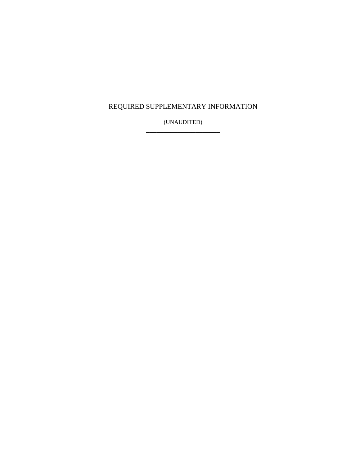# REQUIRED SUPPLEMENTARY INFORMATION

(UNAUDITED)

 $\overline{\phantom{a}}$  , where  $\overline{\phantom{a}}$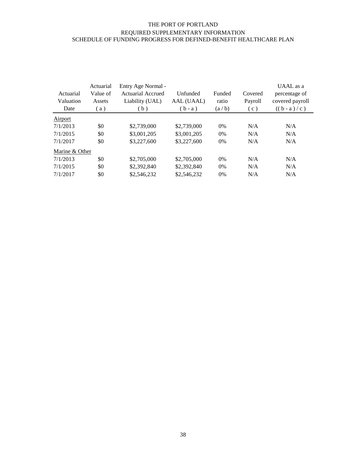# THE PORT OF PORTLAND REQUIRED SUPPLEMENTARY INFORMATION SCHEDULE OF FUNDING PROGRESS FOR DEFINED-BENEFIT HEALTHCARE PLAN

| Actuarial<br>Valuation<br>Date | Actuarial<br>Value of<br>Assets<br>a) | Entry Age Normal -<br>Actuarial Accrued<br>Liability (UAL)<br>(b) | Unfunded<br>AAL (UAAL)<br>$(b - a)$ | Funded<br>ratio<br>(a/b) | Covered<br>Payroll<br>(c) | UAAL as a<br>percentage of<br>covered payroll<br>$((b-a)/c)$ |
|--------------------------------|---------------------------------------|-------------------------------------------------------------------|-------------------------------------|--------------------------|---------------------------|--------------------------------------------------------------|
| <b>Airport</b>                 |                                       |                                                                   |                                     |                          |                           |                                                              |
| 7/1/2013                       | \$0                                   | \$2,739,000                                                       | \$2,739,000                         | 0%                       | N/A                       | N/A                                                          |
| 7/1/2015                       | \$0                                   | \$3,001,205                                                       | \$3,001,205                         | 0%                       | N/A                       | N/A                                                          |
| 7/1/2017                       | \$0                                   | \$3,227,600                                                       | \$3,227,600                         | 0%                       | N/A                       | N/A                                                          |
| Marine & Other                 |                                       |                                                                   |                                     |                          |                           |                                                              |
| 7/1/2013                       | \$0                                   | \$2,705,000                                                       | \$2,705,000                         | 0%                       | N/A                       | N/A                                                          |
| 7/1/2015                       | \$0                                   | \$2,392,840                                                       | \$2,392,840                         | $0\%$                    | N/A                       | N/A                                                          |
| 7/1/2017                       | \$0                                   | \$2,546,232                                                       | \$2,546,232                         | $0\%$                    | N/A                       | N/A                                                          |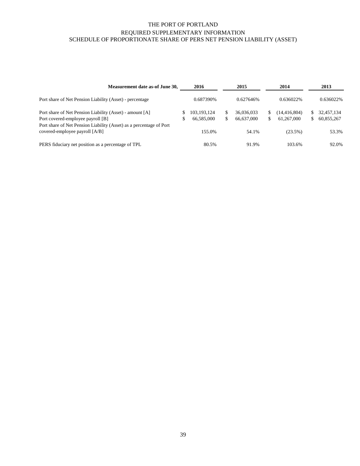# THE PORT OF PORTLAND REQUIRED SUPPLEMENTARY INFORMATION SCHEDULE OF PROPORTIONATE SHARE OF PERS NET PENSION LIABILITY (ASSET)

| Measurement date as-of June 30,                                                                       | 2016        |    | 2015       |   | 2014         |    | 2013       |
|-------------------------------------------------------------------------------------------------------|-------------|----|------------|---|--------------|----|------------|
| Port share of Net Pension Liability (Asset) - percentage                                              | 0.687390%   |    | 0.627646%  |   | 0.636022%    |    | 0.636022%  |
| Port share of Net Pension Liability (Asset) - amount [A]                                              | 103.193.124 | S. | 36,036,033 | S | (14.416.804) |    | 32,457,134 |
| Port covered-employee payroll [B]                                                                     | 66,585,000  | S. | 66.637,000 | S | 61,267,000   | S. | 60,855,267 |
| Port share of Net Pension Liability (Asset) as a percentage of Port<br>covered-employee payroll [A/B] | 155.0%      |    | 54.1%      |   | (23.5%)      |    | 53.3%      |
| PERS fiduciary net position as a percentage of TPL                                                    | 80.5%       |    | 91.9%      |   | 103.6%       |    | 92.0%      |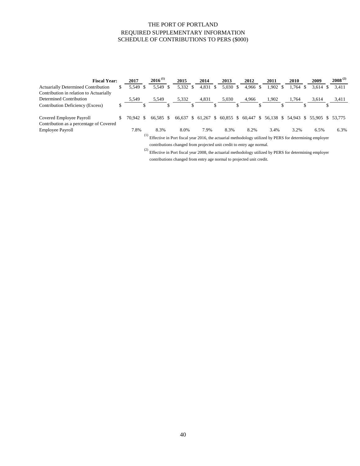# THE PORT OF PORTLAND REQUIRED SUPPLEMENTARY INFORMATION SCHEDULE OF CONTRIBUTIONS TO PERS (\$000)

| <b>Fiscal Year:</b>                        |                                                                                                                             | 2017      |  | $2016^{(1)}$ |  | 2015     |  | 2014     |  | 2013     | 2012                | 2011            | 2010  |      | 2009                                                                         | $2008^{(2)}$ |      |
|--------------------------------------------|-----------------------------------------------------------------------------------------------------------------------------|-----------|--|--------------|--|----------|--|----------|--|----------|---------------------|-----------------|-------|------|------------------------------------------------------------------------------|--------------|------|
| <b>Actuarially Determined Contribution</b> |                                                                                                                             | 5.549 \$  |  | 5.549 \$     |  | 5,332 \$ |  | 4,831 \$ |  | 5,030 \$ | $4.966 \text{ }$ \$ | $.902 \text{ }$ | 1,764 | - \$ | 3.614S                                                                       | 3.411        |      |
| Contribution in relation to Actuarially    |                                                                                                                             |           |  |              |  |          |  |          |  |          |                     |                 |       |      |                                                                              |              |      |
| Determined Contribution                    |                                                                                                                             | 5,549     |  | 5,549        |  | 5,332    |  | 4,831    |  | 5,030    | 4,966               | .902            | 1.764 |      | 3,614                                                                        | 3,411        |      |
| Contribution Deficiency (Excess)           |                                                                                                                             |           |  |              |  |          |  |          |  |          |                     |                 |       |      |                                                                              |              |      |
| Covered Employee Payroll                   |                                                                                                                             | 70.942 \$ |  | 66.585 \$    |  |          |  |          |  |          |                     |                 |       |      | 66,637 \$ 61,267 \$ 60,855 \$ 60,447 \$ 56,138 \$ 54,943 \$ 55,905 \$ 53,775 |              |      |
| Contribution as a percentage of Covered    |                                                                                                                             |           |  |              |  |          |  |          |  |          |                     |                 |       |      |                                                                              |              |      |
| <b>Employee Payroll</b>                    |                                                                                                                             | 7.8%      |  | 8.3%         |  | 8.0%     |  | 7.9%     |  | 8.3%     | 8.2%                | 3.4%            | 3.2%  |      | 6.5%                                                                         |              | 6.3% |
|                                            | $\left(1\right)$<br>Effective in Port fiscal year 2016, the actuarial methodology utilized by PERS for determining employer |           |  |              |  |          |  |          |  |          |                     |                 |       |      |                                                                              |              |      |

contributions changed from projected unit credit to entry age normal.

(2) Effective in Port fiscal year 2008, the actuarial methodology utilized by PERS for determining employer contributions changed from entry age normal to projected unit credit.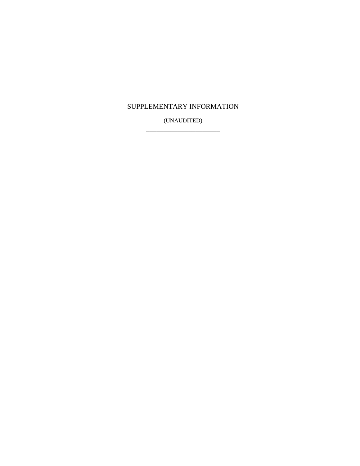# SUPPLEMENTARY INFORMATION

(UNAUDITED)  $\overline{\phantom{a}}$  , we can assume that the contract of  $\overline{\phantom{a}}$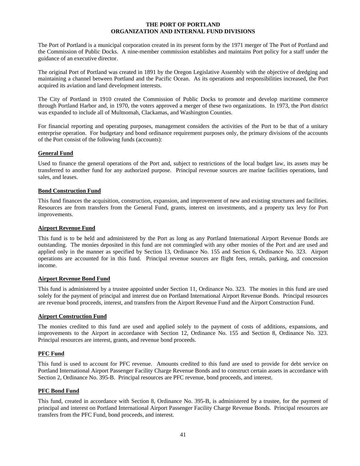#### **THE PORT OF PORTLAND ORGANIZATION AND INTERNAL FUND DIVISIONS**

The Port of Portland is a municipal corporation created in its present form by the 1971 merger of The Port of Portland and the Commission of Public Docks. A nine-member commission establishes and maintains Port policy for a staff under the guidance of an executive director.

The original Port of Portland was created in 1891 by the Oregon Legislative Assembly with the objective of dredging and maintaining a channel between Portland and the Pacific Ocean. As its operations and responsibilities increased, the Port acquired its aviation and land development interests.

The City of Portland in 1910 created the Commission of Public Docks to promote and develop maritime commerce through Portland Harbor and, in 1970, the voters approved a merger of these two organizations. In 1973, the Port district was expanded to include all of Multnomah, Clackamas, and Washington Counties.

For financial reporting and operating purposes, management considers the activities of the Port to be that of a unitary enterprise operation. For budgetary and bond ordinance requirement purposes only, the primary divisions of the accounts of the Port consist of the following funds (accounts):

### **General Fund**

Used to finance the general operations of the Port and, subject to restrictions of the local budget law, its assets may be transferred to another fund for any authorized purpose. Principal revenue sources are marine facilities operations, land sales, and leases.

#### **Bond Construction Fund**

This fund finances the acquisition, construction, expansion, and improvement of new and existing structures and facilities. Resources are from transfers from the General Fund, grants, interest on investments, and a property tax levy for Port improvements.

#### **Airport Revenue Fund**

This fund is to be held and administered by the Port as long as any Portland International Airport Revenue Bonds are outstanding. The monies deposited in this fund are not commingled with any other monies of the Port and are used and applied only in the manner as specified by Section 13, Ordinance No. 155 and Section 6, Ordinance No. 323. Airport operations are accounted for in this fund. Principal revenue sources are flight fees, rentals, parking, and concession income.

### **Airport Revenue Bond Fund**

This fund is administered by a trustee appointed under Section 11, Ordinance No. 323. The monies in this fund are used solely for the payment of principal and interest due on Portland International Airport Revenue Bonds. Principal resources are revenue bond proceeds, interest, and transfers from the Airport Revenue Fund and the Airport Construction Fund.

#### **Airport Construction Fund**

The monies credited to this fund are used and applied solely to the payment of costs of additions, expansions, and improvements to the Airport in accordance with Section 12, Ordinance No. 155 and Section 8, Ordinance No. 323. Principal resources are interest, grants, and revenue bond proceeds.

#### **PFC Fund**

This fund is used to account for PFC revenue. Amounts credited to this fund are used to provide for debt service on Portland International Airport Passenger Facility Charge Revenue Bonds and to construct certain assets in accordance with Section 2, Ordinance No. 395-B. Principal resources are PFC revenue, bond proceeds, and interest.

### **PFC Bond Fund**

This fund, created in accordance with Section 8, Ordinance No. 395-B, is administered by a trustee, for the payment of principal and interest on Portland International Airport Passenger Facility Charge Revenue Bonds. Principal resources are transfers from the PFC Fund, bond proceeds, and interest.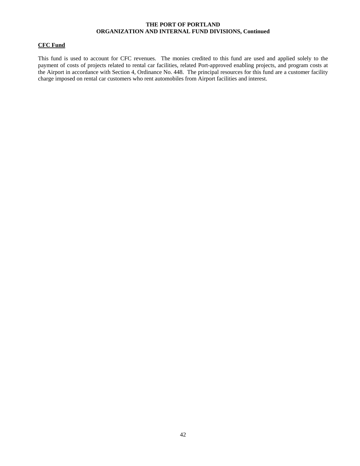### **THE PORT OF PORTLAND ORGANIZATION AND INTERNAL FUND DIVISIONS, Continued**

# **CFC Fund**

This fund is used to account for CFC revenues. The monies credited to this fund are used and applied solely to the payment of costs of projects related to rental car facilities, related Port-approved enabling projects, and program costs at the Airport in accordance with Section 4, Ordinance No. 448. The principal resources for this fund are a customer facility charge imposed on rental car customers who rent automobiles from Airport facilities and interest.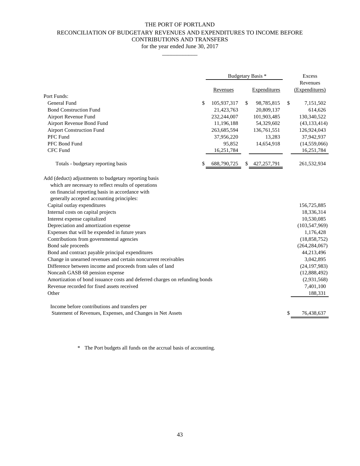# RECONCILIATION OF BUDGETARY REVENUES AND EXPENDITURES TO INCOME BEFORE CONTRIBUTIONS AND TRANSFERS

for the year ended June 30, 2017 \_\_\_\_\_\_\_\_\_\_\_\_

|                                                                                                                                                                  |                           | Budgetary Basis * | Excess                    |                            |
|------------------------------------------------------------------------------------------------------------------------------------------------------------------|---------------------------|-------------------|---------------------------|----------------------------|
|                                                                                                                                                                  | Revenues                  |                   | Expenditures              | Revenues<br>(Expenditures) |
| Port Funds:<br>General Fund                                                                                                                                      | \$                        | \$                |                           | \$                         |
| <b>Bond Construction Fund</b>                                                                                                                                    | 105,937,317<br>21,423,763 |                   | 98,785,815                | 7,151,502                  |
|                                                                                                                                                                  | 232,244,007               |                   | 20,809,137<br>101,903,485 | 614,626<br>130,340,522     |
| Airport Revenue Fund<br>Airport Revenue Bond Fund                                                                                                                |                           |                   |                           |                            |
| <b>Airport Construction Fund</b>                                                                                                                                 | 11,196,188<br>263,685,594 |                   | 54,329,602<br>136,761,551 | (43, 133, 414)             |
| PFC Fund                                                                                                                                                         |                           |                   |                           | 126,924,043                |
| PFC Bond Fund                                                                                                                                                    | 37,956,220                |                   | 13,283                    | 37,942,937                 |
|                                                                                                                                                                  | 95,852                    |                   | 14,654,918                | (14,559,066)               |
| CFC Fund                                                                                                                                                         | 16,251,784                |                   |                           | 16,251,784                 |
| Totals - budgetary reporting basis                                                                                                                               | \$<br>688,790,725         |                   | \$ 427,257,791            | 261,532,934                |
| Add (deduct) adjustments to budgetary reporting basis<br>which are necessary to reflect results of operations<br>on financial reporting basis in accordance with |                           |                   |                           |                            |
| generally accepted accounting principles:                                                                                                                        |                           |                   |                           |                            |
| Capital outlay expenditures                                                                                                                                      |                           |                   |                           | 156,725,885                |
| Internal costs on capital projects                                                                                                                               |                           |                   |                           | 18,336,314                 |
| Interest expense capitalized                                                                                                                                     |                           |                   |                           | 10,530,085                 |
| Depreciation and amortization expense                                                                                                                            |                           |                   |                           | (103, 547, 969)            |
| Expenses that will be expended in future years                                                                                                                   |                           |                   |                           | 1,176,428                  |
| Contributions from governmental agencies                                                                                                                         |                           |                   |                           | (18, 858, 752)             |
| Bond sale proceeds                                                                                                                                               |                           |                   |                           | (264, 284, 067)            |
| Bond and contract payable principal expenditures                                                                                                                 |                           |                   |                           | 44,213,496                 |
| Change in unearned revenues and certain noncurrent receivables                                                                                                   |                           |                   |                           | 3,042,895                  |
| Difference between income and proceeds from sales of land                                                                                                        |                           |                   |                           | (24, 197, 983)             |
| Noncash GASB 68 pension expense                                                                                                                                  |                           |                   |                           | (12,888,492)               |
| Amortization of bond issuance costs and deferred charges on refunding bonds                                                                                      |                           |                   |                           | (2,931,568)                |
| Revenue recorded for fixed assets received                                                                                                                       |                           |                   |                           | 7,401,100                  |
| Other                                                                                                                                                            |                           |                   |                           | 188,331                    |
| Income before contributions and transfers per                                                                                                                    |                           |                   |                           |                            |
| Statement of Revenues, Expenses, and Changes in Net Assets                                                                                                       |                           |                   |                           | \$<br>76,438,637           |

\* The Port budgets all funds on the accrual basis of accounting.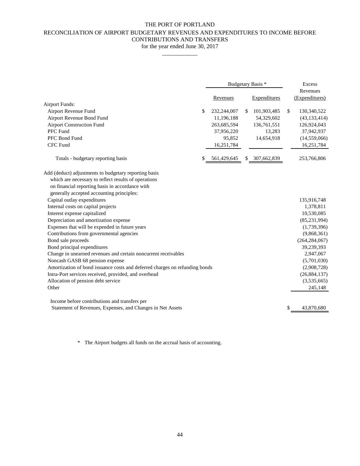# RECONCILIATION OF AIRPORT BUDGETARY REVENUES AND EXPENDITURES TO INCOME BEFORE CONTRIBUTIONS AND TRANSFERS

for the year ended June 30, 2017 \_\_\_\_\_\_\_\_\_\_\_\_

|                                                                             |                   |     | Budgetary Basis * | Excess                     |
|-----------------------------------------------------------------------------|-------------------|-----|-------------------|----------------------------|
|                                                                             | Revenues          |     | Expenditures      | Revenues<br>(Expenditures) |
| <b>Airport Funds:</b>                                                       |                   |     |                   |                            |
| Airport Revenue Fund                                                        | \$<br>232,244,007 | \$. | 101,903,485       | \$<br>130,340,522          |
| Airport Revenue Bond Fund                                                   | 11,196,188        |     | 54,329,602        | (43, 133, 414)             |
| <b>Airport Construction Fund</b>                                            | 263,685,594       |     | 136,761,551       | 126,924,043                |
| PFC Fund                                                                    | 37,956,220        |     | 13,283            | 37,942,937                 |
| PFC Bond Fund                                                               | 95,852            |     | 14,654,918        | (14, 559, 066)             |
| <b>CFC</b> Fund                                                             | 16,251,784        |     |                   | 16,251,784                 |
| Totals - budgetary reporting basis                                          | 561,429,645       |     | \$ 307,662,839    | 253,766,806                |
| Add (deduct) adjustments to budgetary reporting basis                       |                   |     |                   |                            |
| which are necessary to reflect results of operations                        |                   |     |                   |                            |
| on financial reporting basis in accordance with                             |                   |     |                   |                            |
| generally accepted accounting principles:                                   |                   |     |                   |                            |
| Capital outlay expenditures                                                 |                   |     |                   | 135,916,748                |
| Internal costs on capital projects                                          |                   |     |                   | 1,378,811                  |
| Interest expense capitalized                                                |                   |     |                   | 10,530,085                 |
| Depreciation and amortization expense                                       |                   |     |                   | (85, 231, 994)             |
| Expenses that will be expended in future years                              |                   |     |                   | (1,739,396)                |
| Contributions from governmental agencies                                    |                   |     |                   | (9,868,361)                |
| Bond sale proceeds                                                          |                   |     |                   | (264, 284, 067)            |
| Bond principal expenditures                                                 |                   |     |                   | 39,239,393                 |
| Change in unearned revenues and certain noncurrent receivables              |                   |     |                   | 2,947,067                  |
| Noncash GASB 68 pension expense                                             |                   |     |                   | (5,701,030)                |
| Amortization of bond issuance costs and deferred charges on refunding bonds |                   |     |                   | (2,908,728)                |
| Intra-Port services received, provided, and overhead                        |                   |     |                   | (26, 884, 137)             |
| Allocation of pension debt service                                          |                   |     |                   | (3,535,665)                |
| Other                                                                       |                   |     |                   | 245,148                    |
| Income before contributions and transfers per                               |                   |     |                   |                            |
| Statement of Revenues, Expenses, and Changes in Net Assets                  |                   |     |                   | \$<br>43,870,680           |

\* The Airport budgets all funds on the accrual basis of accounting.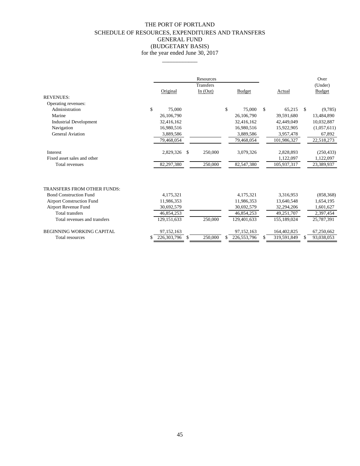# THE PORT OF PORTLAND SCHEDULE OF RESOURCES, EXPENDITURES AND TRANSFERS GENERAL FUND (BUDGETARY BASIS) for the year ended June 30, 2017 \_\_\_\_\_\_\_\_\_\_\_\_

|                                    |               |     | Resources  |               |                   |     | Over          |
|------------------------------------|---------------|-----|------------|---------------|-------------------|-----|---------------|
|                                    |               |     | Transfers  |               |                   |     | (Under)       |
|                                    | Original      |     | In $(Out)$ | <b>Budget</b> | Actual            |     | <b>Budget</b> |
| <b>REVENUES:</b>                   |               |     |            |               |                   |     |               |
| Operating revenues:                |               |     |            |               |                   |     |               |
| Administration                     | \$<br>75,000  |     |            | \$<br>75,000  | \$<br>65,215      | -\$ | (9,785)       |
| Marine                             | 26,106,790    |     |            | 26.106.790    | 39.591.680        |     | 13,484,890    |
| <b>Industrial Development</b>      | 32,416,162    |     |            | 32,416,162    | 42,449,049        |     | 10,032,887    |
| Navigation                         | 16,980,516    |     |            | 16,980,516    | 15,922,905        |     | (1,057,611)   |
| General Aviation                   | 3,889,586     |     |            | 3,889,586     | 3,957,478         |     | 67,892        |
|                                    | 79,468,054    |     |            | 79,468,054    | 101,986,327       |     | 22,518,273    |
| Interest                           | 2,829,326     | -\$ | 250,000    | 3,079,326     | 2,828,893         |     | (250, 433)    |
| Fixed asset sales and other        |               |     |            |               | 1,122,097         |     | 1,122,097     |
| Total revenues                     | 82,297,380    |     | 250,000    | 82,547,380    | 105,937,317       |     | 23,389,937    |
| <b>TRANSFERS FROM OTHER FUNDS:</b> |               |     |            |               |                   |     |               |
| <b>Bond Construction Fund</b>      | 4,175,321     |     |            | 4,175,321     | 3,316,953         |     | (858, 368)    |
| <b>Airport Construction Fund</b>   | 11,986,353    |     |            | 11,986,353    | 13,640,548        |     | 1,654,195     |
| Airport Revenue Fund               | 30,692,579    |     |            | 30,692,579    | 32,294,206        |     | 1,601,627     |
| <b>Total transfers</b>             | 46,854,253    |     |            | 46,854,253    | 49,251,707        |     | 2,397,454     |
| Total revenues and transfers       | 129, 151, 633 |     | 250,000    | 129,401,633   | 155,189,024       |     | 25,787,391    |
| BEGINNING WORKING CAPITAL          | 97,152,163    |     |            | 97,152,163    | 164,402,825       |     | 67,250,662    |
| Total resources                    | 226, 303, 796 | \$. | 250,000    | 226,553,796   | \$<br>319,591,849 |     | 93,038,053    |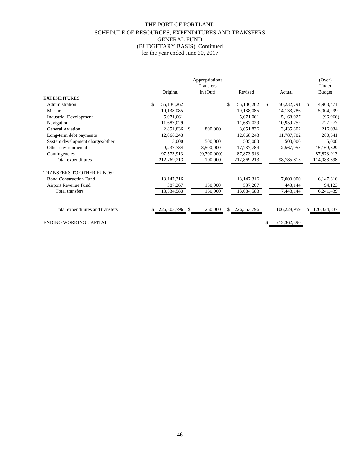# SCHEDULE OF RESOURCES, EXPENDITURES AND TRANSFERS GENERAL FUND

# (BUDGETARY BASIS), Continued

for the year ended June 30, 2017 \_\_\_\_\_\_\_\_\_\_\_\_

|                                  |                   |     | Appropriations |     |               |                   |     | (Over)        |
|----------------------------------|-------------------|-----|----------------|-----|---------------|-------------------|-----|---------------|
|                                  |                   |     | Transfers      |     |               |                   |     | Under         |
|                                  | Original          |     | In $(Out)$     |     | Revised       | Actual            |     | <b>Budget</b> |
| <b>EXPENDITURES:</b>             |                   |     |                |     |               |                   |     |               |
| Administration                   | \$<br>55,136,262  |     |                | \$  | 55,136,262    | \$<br>50,232,791  | \$. | 4,903,471     |
| Marine                           | 19,138,085        |     |                |     | 19,138,085    | 14, 133, 786      |     | 5,004,299     |
| <b>Industrial Development</b>    | 5,071,061         |     |                |     | 5,071,061     | 5,168,027         |     | (96,966)      |
| Navigation                       | 11,687,029        |     |                |     | 11,687,029    | 10,959,752        |     | 727,277       |
| General Aviation                 | 2,851,836 \$      |     | 800,000        |     | 3,651,836     | 3,435,802         |     | 216,034       |
| Long-term debt payments          | 12,068,243        |     |                |     | 12,068,243    | 11,787,702        |     | 280,541       |
| System development charges/other | 5,000             |     | 500,000        |     | 505,000       | 500,000           |     | 5,000         |
| Other environmental              | 9,237,784         |     | 8,500,000      |     | 17,737,784    | 2,567,955         |     | 15,169,829    |
| Contingencies                    | 97,573,913        |     | (9,700,000)    |     | 87,873,913    |                   |     | 87,873,913    |
| Total expenditures               | 212,769,213       |     | 100,000        |     | 212,869,213   | 98,785,815        |     | 114,083,398   |
| <b>TRANSFERS TO OTHER FUNDS:</b> |                   |     |                |     |               |                   |     |               |
| <b>Bond Construction Fund</b>    | 13,147,316        |     |                |     | 13,147,316    | 7,000,000         |     | 6,147,316     |
| Airport Revenue Fund             | 387,267           |     | 150,000        |     | 537,267       | 443,144           |     | 94,123        |
| Total transfers                  | 13,534,583        |     | 150,000        |     | 13,684,583    | 7,443,144         |     | 6,241,439     |
| Total expenditures and transfers | \$<br>226,303,796 | \$. | 250,000        | \$. | 226, 553, 796 | 106,228,959       |     | \$120,324,837 |
| <b>ENDING WORKING CAPITAL</b>    |                   |     |                |     |               | \$<br>213,362,890 |     |               |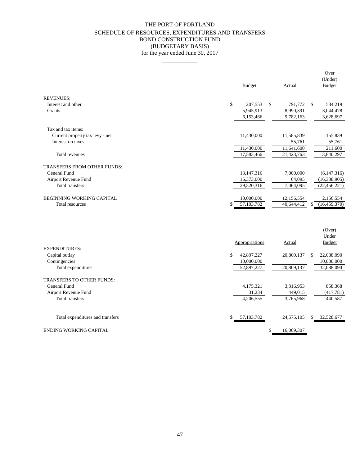# THE PORT OF PORTLAND SCHEDULE OF RESOURCES, EXPENDITURES AND TRANSFERS BOND CONSTRUCTION FUND (BUDGETARY BASIS) for the year ended June 30, 2017 \_\_\_\_\_\_\_\_\_\_\_\_

| <b>REVENUES:</b><br>$\mathcal{S}$<br>207,553<br>791,772<br>\$<br>584,219<br>Interest and other<br>$\mathbb{S}$<br>5,945,913<br>3,044,478<br>8,990,391<br>Grants<br>6,153,466<br>9,782,163<br>3,628,697<br>Tax and tax items:<br>11,430,000<br>155,839<br>11,585,839<br>Current property tax levy - net<br>Interest on taxes<br>55,761<br>55,761<br>11,430,000<br>11,641,600<br>211,600<br>17,583,466<br>21,423,763<br>3,840,297<br>Total revenues<br><b>TRANSFERS FROM OTHER FUNDS:</b><br>7,000,000<br>(6, 147, 316)<br>General Fund<br>13, 147, 316<br>Airport Revenue Fund<br>16,373,000<br>64,095<br>(16,308,905)<br>Total transfers<br>29,520,316<br>7,064,095<br>(22, 456, 221)<br><b>BEGINNING WORKING CAPITAL</b><br>10,000,000<br>12,156,554<br>2,156,554<br>57, 103, 782<br>(16, 459, 370)<br>40,644,412<br>Total resources<br>\$. | <b>Budget</b> | Actual | Over<br>(Under)<br><b>Budget</b> |
|----------------------------------------------------------------------------------------------------------------------------------------------------------------------------------------------------------------------------------------------------------------------------------------------------------------------------------------------------------------------------------------------------------------------------------------------------------------------------------------------------------------------------------------------------------------------------------------------------------------------------------------------------------------------------------------------------------------------------------------------------------------------------------------------------------------------------------------------|---------------|--------|----------------------------------|
|                                                                                                                                                                                                                                                                                                                                                                                                                                                                                                                                                                                                                                                                                                                                                                                                                                              |               |        |                                  |
|                                                                                                                                                                                                                                                                                                                                                                                                                                                                                                                                                                                                                                                                                                                                                                                                                                              |               |        |                                  |
|                                                                                                                                                                                                                                                                                                                                                                                                                                                                                                                                                                                                                                                                                                                                                                                                                                              |               |        |                                  |
|                                                                                                                                                                                                                                                                                                                                                                                                                                                                                                                                                                                                                                                                                                                                                                                                                                              |               |        |                                  |
|                                                                                                                                                                                                                                                                                                                                                                                                                                                                                                                                                                                                                                                                                                                                                                                                                                              |               |        |                                  |
|                                                                                                                                                                                                                                                                                                                                                                                                                                                                                                                                                                                                                                                                                                                                                                                                                                              |               |        |                                  |
|                                                                                                                                                                                                                                                                                                                                                                                                                                                                                                                                                                                                                                                                                                                                                                                                                                              |               |        |                                  |
|                                                                                                                                                                                                                                                                                                                                                                                                                                                                                                                                                                                                                                                                                                                                                                                                                                              |               |        |                                  |
|                                                                                                                                                                                                                                                                                                                                                                                                                                                                                                                                                                                                                                                                                                                                                                                                                                              |               |        |                                  |
|                                                                                                                                                                                                                                                                                                                                                                                                                                                                                                                                                                                                                                                                                                                                                                                                                                              |               |        |                                  |
|                                                                                                                                                                                                                                                                                                                                                                                                                                                                                                                                                                                                                                                                                                                                                                                                                                              |               |        |                                  |
|                                                                                                                                                                                                                                                                                                                                                                                                                                                                                                                                                                                                                                                                                                                                                                                                                                              |               |        |                                  |
|                                                                                                                                                                                                                                                                                                                                                                                                                                                                                                                                                                                                                                                                                                                                                                                                                                              |               |        |                                  |
|                                                                                                                                                                                                                                                                                                                                                                                                                                                                                                                                                                                                                                                                                                                                                                                                                                              |               |        |                                  |
|                                                                                                                                                                                                                                                                                                                                                                                                                                                                                                                                                                                                                                                                                                                                                                                                                                              |               |        |                                  |

|                                  |     | Appropriations | Actual           |     | Under<br><b>Budget</b> |
|----------------------------------|-----|----------------|------------------|-----|------------------------|
| <b>EXPENDITURES:</b>             |     |                |                  |     |                        |
| Capital outlay                   | \$  | 42,897,227     | 20,809,137       | \$. | 22,088,090             |
| Contingencies                    |     | 10,000,000     |                  |     | 10,000,000             |
| Total expenditures               |     | 52,897,227     | 20,809,137       |     | 32,088,090             |
| <b>TRANSFERS TO OTHER FUNDS:</b> |     |                |                  |     |                        |
| General Fund                     |     | 4,175,321      | 3,316,953        |     | 858,368                |
| Airport Revenue Fund             |     | 31,234         | 449,015          |     | (417,781)              |
| Total transfers                  |     | 4,206,555      | 3,765,968        |     | 440,587                |
|                                  |     |                |                  |     |                        |
| Total expenditures and transfers | \$. | 57, 103, 782   | 24,575,105       | S.  | 32,528,677             |
| <b>ENDING WORKING CAPITAL</b>    |     |                | \$<br>16,069,307 |     |                        |

(Over)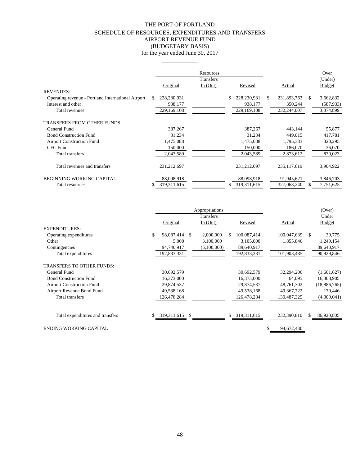# SCHEDULE OF RESOURCES, EXPENDITURES AND TRANSFERS AIRPORT REVENUE FUND (BUDGETARY BASIS)

for the year ended June 30, 2017 \_\_\_\_\_\_\_\_\_\_\_\_

|                                                    |               | Resources  |                    |                   |     | Over          |
|----------------------------------------------------|---------------|------------|--------------------|-------------------|-----|---------------|
|                                                    |               | Transfers  |                    |                   |     | (Under)       |
|                                                    | Original      | In $(Out)$ | Revised            | Actual            |     | <b>Budget</b> |
| <b>REVENUES:</b>                                   |               |            |                    |                   |     |               |
| Operating revenue - Portland International Airport | 228,230,931   |            | \$.<br>228,230,931 | \$<br>231,893,763 | \$. | 3,662,832     |
| Interest and other                                 | 938,177       |            | 938,177            | 350,244           |     | (587, 933)    |
| Total revenues                                     | 229, 169, 108 |            | 229, 169, 108      | 232,244,007       |     | 3,074,899     |
| <b>TRANSFERS FROM OTHER FUNDS:</b>                 |               |            |                    |                   |     |               |
| General Fund                                       | 387,267       |            | 387,267            | 443,144           |     | 55,877        |
| <b>Bond Construction Fund</b>                      | 31,234        |            | 31,234             | 449,015           |     | 417,781       |
| <b>Airport Construction Fund</b>                   | 1,475,088     |            | 1,475,088          | 1,795,383         |     | 320,295       |
| CFC Fund                                           | 150,000       |            | 150,000            | 186,070           |     | 36,070        |
| Total transfers                                    | 2,043,589     |            | 2,043,589          | 2,873,612         |     | 830,023       |
| Total revenues and transfers                       | 231,212,697   |            | 231,212,697        | 235,117,619       |     | 3,904,922     |
| BEGINNING WORKING CAPITAL                          | 88,098,918    |            | 88,098,918         | 91,945,621        |     | 3,846,703     |
| Total resources                                    | 319, 311, 615 |            | 319, 311, 615      | 327,063,240       |     | 7,751,625     |

|                                  |                  |    | Appropriations   |    |             |   |              |               | (Over)         |
|----------------------------------|------------------|----|------------------|----|-------------|---|--------------|---------------|----------------|
|                                  |                  |    | <b>Transfers</b> |    |             |   |              |               | Under          |
|                                  | Original         |    | In $(Out)$       |    | Revised     |   | Actual       |               | <b>Budget</b>  |
| <b>EXPENDITURES:</b>             |                  |    |                  |    |             |   |              |               |                |
| Operating expenditures           | \$<br>98,087,414 | -S | 2,000,000        |    | 100,087,414 |   | 100,047,639  | -S            | 39,775         |
| Other                            | 5,000            |    | 3,100,000        |    | 3,105,000   |   | 1,855,846    |               | 1,249,154      |
| Contingencies                    | 94,740,917       |    | (5,100,000)      |    | 89,640,917  |   |              |               | 89,640,917     |
| Total expenditures               | 192,833,331      |    |                  |    | 192,833,331 |   | 101,903,485  |               | 90,929,846     |
| <b>TRANSFERS TO OTHER FUNDS:</b> |                  |    |                  |    |             |   |              |               |                |
| General Fund                     | 30,692,579       |    |                  |    | 30,692,579  |   | 32,294,206   |               | (1,601,627)    |
| <b>Bond Construction Fund</b>    | 16,373,000       |    |                  |    | 16,373,000  |   | 64,095       |               | 16,308,905     |
| Airport Construction Fund        | 29,874,537       |    |                  |    | 29,874,537  |   | 48,761,302   |               | (18, 886, 765) |
| Airport Revenue Bond Fund        | 49,538,168       |    |                  |    | 49,538,168  |   | 49, 367, 722 |               | 170,446        |
| <b>Total transfers</b>           | 126,478,284      |    |                  |    | 126,478,284 |   | 130,487,325  |               | (4,009,041)    |
| Total expenditures and transfers | 319,311,615      | -S |                  | S. | 319,311,615 |   | 232,390,810  | <sup>\$</sup> | 86,920,805     |
| <b>ENDING WORKING CAPITAL</b>    |                  |    |                  |    |             | S | 94,672,430   |               |                |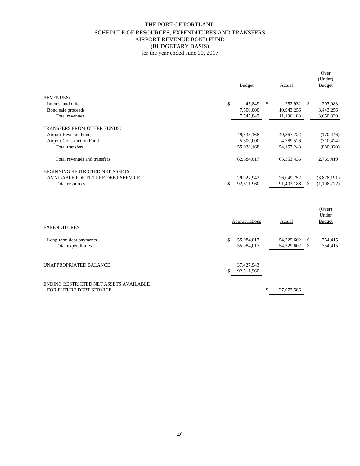# THE PORT OF PORTLAND SCHEDULE OF RESOURCES, EXPENDITURES AND TRANSFERS AIRPORT REVENUE BOND FUND (BUDGETARY BASIS) for the year ended June 30, 2017

\_\_\_\_\_\_\_\_\_\_\_\_

|                                          | <b>Budget</b>                  |              | Actual       |     | Over<br>(Under)<br><b>Budget</b> |
|------------------------------------------|--------------------------------|--------------|--------------|-----|----------------------------------|
| <b>REVENUES:</b>                         |                                |              |              |     |                                  |
| Interest and other                       | \$<br>45,849                   | $\mathbb{S}$ | 252,932      | -\$ | 207,083                          |
| Bond sale proceeds                       | 7,500,000                      |              | 10,943,256   |     | 3,443,256                        |
| <b>Total revenues</b>                    | 7,545,849                      |              | 11,196,188   |     | 3,650,339                        |
| <b>TRANSFERS FROM OTHER FUNDS:</b>       |                                |              |              |     |                                  |
| Airport Revenue Fund                     | 49,538,168                     |              | 49, 367, 722 |     | (170, 446)                       |
| <b>Airport Construction Fund</b>         | 5,500,000                      |              | 4,789,526    |     | (710, 474)                       |
| <b>Total transfers</b>                   | 55,038,168                     |              | 54,157,248   |     | (880,920)                        |
| Total revenues and transfers             | 62,584,017                     |              | 65,353,436   |     | 2,769,419                        |
| BEGINNING RESTRICTED NET ASSETS          |                                |              |              |     |                                  |
| <b>AVAILABLE FOR FUTURE DEBT SERVICE</b> | 29,927,943                     |              | 26,049,752   |     | (3,878,191)                      |
| Total resources                          | 92,511,960<br>\$               |              | 91,403,188   | \$  | (1, 108, 772)                    |
|                                          |                                |              |              |     |                                  |
|                                          |                                |              |              |     | (Over)                           |
|                                          |                                |              |              |     | Under                            |
| <b>EXPENDITURES:</b>                     | Appropriations                 |              | Actual       |     | <b>Budget</b>                    |
| Long-term debt payments                  | \$<br>55,084,017               |              | 54,329,602   | \$  | 754,415                          |
| Total expenditures                       | 55,084,017                     |              | 54,329,602   | \$  | 754,415                          |
|                                          |                                |              |              |     |                                  |
| <b>UNAPPROPRIATED BALANCE</b>            | 37,427,943<br>92.511.960<br>\$ |              |              |     |                                  |
| ENDING RESTRICTED NET ASSETS AVAILABLE   |                                |              |              |     |                                  |
| FOR FUTURE DEBT SERVICE                  |                                | \$           | 37,073,586   |     |                                  |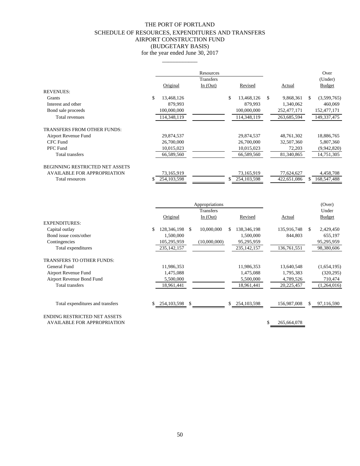# SCHEDULE OF RESOURCES, EXPENDITURES AND TRANSFERS AIRPORT CONSTRUCTION FUND (BUDGETARY BASIS)

for the year ended June 30, 2017 \_\_\_\_\_\_\_\_\_\_\_\_

|                                    |                  | Resources        |     |             |                 |   | Over          |
|------------------------------------|------------------|------------------|-----|-------------|-----------------|---|---------------|
|                                    |                  | <b>Transfers</b> |     |             |                 |   | (Under)       |
|                                    | Original         | In $(Out)$       |     | Revised     | Actual          |   | <b>Budget</b> |
| <b>REVENUES:</b>                   |                  |                  |     |             |                 |   |               |
| Grants                             | \$<br>13,468,126 |                  | \$. | 13,468,126  | \$<br>9,868,361 | S | (3,599,765)   |
| Interest and other                 | 879,993          |                  |     | 879,993     | 1,340,062       |   | 460,069       |
| Bond sale proceeds                 | 100,000,000      |                  |     | 100,000,000 | 252,477,171     |   | 152,477,171   |
| Total revenues                     | 114,348,119      |                  |     | 114,348,119 | 263,685,594     |   | 149, 337, 475 |
| <b>TRANSFERS FROM OTHER FUNDS:</b> |                  |                  |     |             |                 |   |               |
| Airport Revenue Fund               | 29,874,537       |                  |     | 29,874,537  | 48,761,302      |   | 18,886,765    |
| CFC Fund                           | 26,700,000       |                  |     | 26,700,000  | 32,507,360      |   | 5,807,360     |
| <b>PFC</b> Fund                    | 10,015,023       |                  |     | 10,015,023  | 72,203          |   | (9,942,820)   |
| Total transfers                    | 66,589,560       |                  |     | 66,589,560  | 81,340,865      |   | 14,751,305    |
| BEGINNING RESTRICTED NET ASSETS    |                  |                  |     |             |                 |   |               |
| <b>AVAILABLE FOR APPROPRIATION</b> | 73,165,919       |                  |     | 73,165,919  | 77,624,627      |   | 4,458,708     |
| Total resources                    | 254, 103, 598    |                  |     | 254,103,598 | 422,651,086     |   | 168,547,488   |

|                                     |     |               |               | Appropriations   |    |               |     |             |     | (Over)        |
|-------------------------------------|-----|---------------|---------------|------------------|----|---------------|-----|-------------|-----|---------------|
|                                     |     |               |               | <b>Transfers</b> |    |               |     |             |     | Under         |
|                                     |     | Original      |               | In $(Out)$       |    | Revised       |     | Actual      |     | <b>Budget</b> |
| <b>EXPENDITURES:</b>                |     |               |               |                  |    |               |     |             |     |               |
| Capital outlay                      | \$. | 128,346,198   | \$.           | 10,000,000       | S  | 138, 346, 198 |     | 135,916,748 | \$. | 2,429,450     |
| Bond issue costs/other              |     | 1,500,000     |               |                  |    | 1,500,000     |     | 844,803     |     | 655,197       |
| Contingencies                       |     | 105,295,959   |               | (10,000,000)     |    | 95,295,959    |     |             |     | 95,295,959    |
| Total expenditures                  |     | 235, 142, 157 |               |                  |    | 235, 142, 157 |     | 136,761,551 |     | 98,380,606    |
| <b>TRANSFERS TO OTHER FUNDS:</b>    |     |               |               |                  |    |               |     |             |     |               |
| General Fund                        |     | 11,986,353    |               |                  |    | 11,986,353    |     | 13,640,548  |     | (1,654,195)   |
| Airport Revenue Fund                |     | 1,475,088     |               |                  |    | 1,475,088     |     | 1,795,383   |     | (320, 295)    |
| Airport Revenue Bond Fund           |     | 5,500,000     |               |                  |    | 5,500,000     |     | 4,789,526   |     | 710,474       |
| Total transfers                     |     | 18,961,441    |               |                  |    | 18,961,441    |     | 20,225,457  |     | (1,264,016)   |
| Total expenditures and transfers    |     | 254, 103, 598 | <sup>\$</sup> |                  | \$ | 254, 103, 598 |     | 156,987,008 | \$  | 97,116,590    |
|                                     |     |               |               |                  |    |               |     |             |     |               |
| <b>ENDING RESTRICTED NET ASSETS</b> |     |               |               |                  |    |               |     |             |     |               |
| <b>AVAILABLE FOR APPROPRIATION</b>  |     |               |               |                  |    |               | \$. | 265,664,078 |     |               |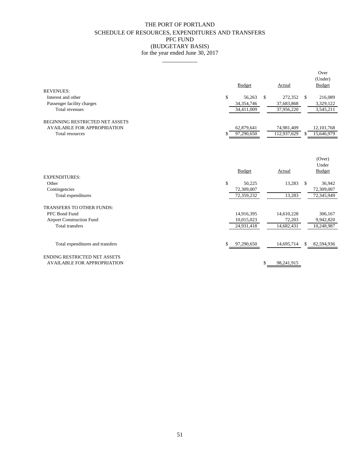# THE PORT OF PORTLAND SCHEDULE OF RESOURCES, EXPENDITURES AND TRANSFERS PFC FUND (BUDGETARY BASIS) for the year ended June 30, 2017 \_\_\_\_\_\_\_\_\_\_\_\_

|                                                                              |    | <b>Budget</b> | Actual        |      | Over<br>(Under)<br><b>Budget</b> |
|------------------------------------------------------------------------------|----|---------------|---------------|------|----------------------------------|
| <b>REVENUES:</b>                                                             |    |               |               |      |                                  |
| Interest and other                                                           | \$ | 56,263        | \$<br>272,352 | - \$ | 216,089                          |
| Passenger facility charges                                                   |    | 34, 354, 746  | 37,683,868    |      | 3,329,122                        |
| Total revenues                                                               |    | 34,411,009    | 37,956,220    |      | 3,545,211                        |
| <b>BEGINNING RESTRICTED NET ASSETS</b><br><b>AVAILABLE FOR APPROPRIATION</b> |    | 62,879,641    | 74,981,409    |      | 12, 101, 768                     |
| Total resources                                                              | S  | 97,290,650    | 112,937,629   | \$.  | 15,646,979                       |
|                                                                              |    |               |               |      | (Over)<br>Under                  |

|                                     | <b>Budget</b>    |        | Actual     |     | <b>Budget</b> |
|-------------------------------------|------------------|--------|------------|-----|---------------|
| <b>EXPENDITURES:</b>                |                  |        |            |     |               |
| Other                               | \$               | 50,225 | 13,283     | -S  | 36,942        |
| Contingencies                       | 72,309,007       |        |            |     | 72,309,007    |
| Total expenditures                  | 72,359,232       |        | 13,283     |     | 72,345,949    |
| <b>TRANSFERS TO OTHER FUNDS:</b>    |                  |        |            |     |               |
| PFC Bond Fund                       | 14,916,395       |        | 14,610,228 |     | 306,167       |
| <b>Airport Construction Fund</b>    | 10,015,023       |        | 72,203     |     | 9,942,820     |
| Total transfers                     | 24,931,418       |        | 14,682,431 |     | 10,248,987    |
|                                     |                  |        |            |     |               |
| Total expenditures and transfers    | \$<br>97,290,650 |        | 14,695,714 | \$. | 82,594,936    |
| <b>ENDING RESTRICTED NET ASSETS</b> |                  |        |            |     |               |
| <b>AVAILABLE FOR APPROPRIATION</b>  |                  | \$     | 98,241,915 |     |               |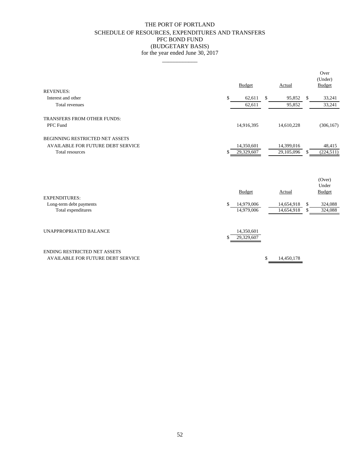# THE PORT OF PORTLAND SCHEDULE OF RESOURCES, EXPENDITURES AND TRANSFERS PFC BOND FUND (BUDGETARY BASIS) for the year ended June 30, 2017 \_\_\_\_\_\_\_\_\_\_\_\_

|                                          | <b>Budget</b>    |               | Actual                   | Over<br>(Under)<br><b>Budget</b> |
|------------------------------------------|------------------|---------------|--------------------------|----------------------------------|
| <b>REVENUES:</b>                         |                  |               |                          |                                  |
| Interest and other                       | \$<br>62,611     | $\mathcal{S}$ | 95,852                   | \$<br>33,241                     |
| <b>Total revenues</b>                    | 62,611           |               | 95,852                   | 33,241                           |
| <b>TRANSFERS FROM OTHER FUNDS:</b>       |                  |               |                          |                                  |
| PFC Fund                                 | 14,916,395       |               | 14,610,228               | (306, 167)                       |
| BEGINNING RESTRICTED NET ASSETS          |                  |               |                          |                                  |
| <b>AVAILABLE FOR FUTURE DEBT SERVICE</b> | 14,350,601       |               | 14,399,016               | 48,415                           |
| Total resources                          | \$<br>29,329,607 |               | 29,105,096               | \$<br>(224, 511)                 |
|                                          |                  |               |                          | (Over)                           |
|                                          |                  |               |                          | Under                            |
| <b>EXPENDITURES:</b>                     | <b>Budget</b>    |               | Actual                   | <b>Budget</b>                    |
| Long-term debt payments                  | \$<br>14,979,006 |               | 14,654,918               | \$<br>324,088                    |
| Total expenditures                       | 14,979,006       |               | $\overline{14,65}$ 4,918 | \$<br>324,088                    |
|                                          |                  |               |                          |                                  |
| UNAPPROPRIATED BALANCE                   | 14,350,601       |               |                          |                                  |
|                                          | \$<br>29,329,607 |               |                          |                                  |
| ENDING RESTRICTED NET ASSETS             |                  |               |                          |                                  |

AVAILABLE FOR FUTURE DEBT SERVICE \$ 14,450,178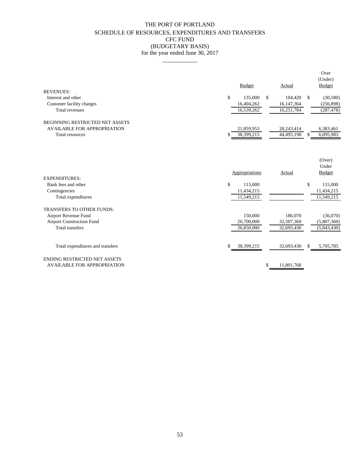## THE PORT OF PORTLAND SCHEDULE OF RESOURCES, EXPENDITURES AND TRANSFERS CFC FUND (BUDGETARY BASIS) for the year ended June 30, 2017 \_\_\_\_\_\_\_\_\_\_\_\_

|                                        | <b>Budget</b>  | Actual        |    | Over<br>(Under)<br><b>Budget</b> |
|----------------------------------------|----------------|---------------|----|----------------------------------|
| <b>REVENUES:</b>                       |                |               |    |                                  |
| Interest and other                     | \$.<br>135,000 | \$<br>104,420 | -S | (30, 580)                        |
| Customer facility charges              | 16,404,262     | 16,147,364    |    | (256, 898)                       |
| Total revenues                         | 16,539,262     | 16,251,784    |    | (287, 478)                       |
| <b>BEGINNING RESTRICTED NET ASSETS</b> |                |               |    |                                  |
| <b>AVAILABLE FOR APPROPRIATION</b>     | 21,859,953     | 28,243,414    |    | 6,383,461                        |
| Total resources                        | 38,399,215     | 44,495,198    | \$ | 6,095,983                        |
|                                        |                |               |    |                                  |
|                                        |                |               |    | (Over)<br>Under                  |
|                                        | Appropriations | Actual        |    | <b>Budget</b>                    |
| <b>EXPENDITURES:</b>                   |                |               |    |                                  |
| Bank fees and other                    | \$<br>115,000  |               | \$ | 115,000                          |
| Contingencies                          | 11,434,215     |               |    | 11,434,215                       |

Total expenditures  $\frac{11,549,215}{11,549,215}$ 

Total expenditures and transfers  $$38,399,215$   $$32,693,430$   $$5,705,785$ 

AVAILABLE FOR APPROPRIATION \$ 11,801,768

Airport Revenue Fund 150,000 186,070 (36,070) Airport Construction Fund<br>
Total transfers
<br>
Total transfers
<br>
26,800,000
<br>
26,850,000
<br>
26,850,000
<br>
26,850,000
<br>
26,850,000
<br>
26,850,000
<br>
26,850,000
<br>
26,850,000
<br>
26,843,430
<br>
26,843,430
<br>
26,93,430
<br>
26,93,430
<br>
26,93 Total transfers 26,850,000 32,693,430 (5,843,430)

TRANSFERS TO OTHER FUNDS:

ENDING RESTRICTED NET ASSETS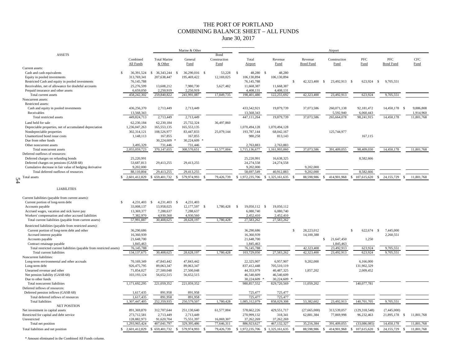#### THE PORT OF PORTLAND COMBINING BALANCE SHEET – ALL FUNDS June 30, 2017

|                                                                                                         |                            |                          | Marine & Other                |              |                                |                                         |                   | Airport                    |                   |                  |                   |
|---------------------------------------------------------------------------------------------------------|----------------------------|--------------------------|-------------------------------|--------------|--------------------------------|-----------------------------------------|-------------------|----------------------------|-------------------|------------------|-------------------|
| <b>ASSETS</b>                                                                                           |                            |                          |                               | Bond         |                                |                                         |                   |                            |                   |                  |                   |
|                                                                                                         | Combined                   | <b>Total Marine</b>      | General                       | Construction | Total                          | Revenue                                 | Revenue           | Construction               | PFC               | <b>PFC</b>       | <b>CFC</b>        |
|                                                                                                         | All Funds                  | & Other                  | Fund                          | Fund         | Airport                        | Fund                                    | <b>Bond Fund</b>  | Fund                       | Fund              | <b>Bond Fund</b> | Fund              |
| Current assets:                                                                                         |                            |                          |                               |              |                                |                                         |                   |                            |                   |                  |                   |
| Cash and cash equivalents                                                                               | \$.<br>36,391,524          | \$<br>36, 343, 244<br>-S | 36,290,016 \$                 | 53,228       | -\$<br>48,280 \$               | 48,280                                  |                   |                            |                   |                  |                   |
| Equity in pooled investments                                                                            | 313,769,341                | 207,638,447              | 195,469,422                   | 12,169,025   | 106,130,894                    | 106,130,894                             |                   |                            |                   |                  |                   |
| Restricted Cash and equity in pooled investments                                                        | 76,145,788                 |                          |                               |              | 76,145,788                     | $\mathbb{S}$                            | 42,323,400<br>- S | 23,492,913 \$              | 623,924           | - S<br>9,705,551 |                   |
| Receivables, net of allowance for doubtful accounts<br>Prepaid insurance and other assets               | 25,276,599<br>6,659,050    | 13,608,212<br>2,250,919  | 7,980,730<br>2,250,919        | 5,627,482    | 11,668,387<br>4,408,131        | 11,668,387<br>4,408,131                 |                   |                            |                   |                  |                   |
| Total current assets                                                                                    | 458,242,302                | 259,840,822              | 241,991,087                   | 17,849,735   | 198,401,480                    | 122,255,692                             | 42,323,400        | 23,492,913                 | 623,924           | 9,705,551        |                   |
| Noncurrent assets:                                                                                      |                            |                          |                               |              |                                |                                         |                   |                            |                   |                  |                   |
| Restricted assets:                                                                                      |                            |                          |                               |              |                                |                                         |                   |                            |                   |                  |                   |
| Cash and equity in pooled investments                                                                   | 436,256,370                | 2,713,449                | 2,713,449                     |              | 433,542,921                    | 19,879,739                              | 37,073,586        | 260,071,138                | 92,181,472        | 14,450,178       | 9,886,808<br>-8   |
| Receivables                                                                                             | 13,568,343                 |                          |                               |              | 13,568,343                     |                                         |                   | 5,592,940                  | 6,060,443         |                  | 1,914,960         |
| Total restricted assets                                                                                 | 449,824,713                | 2,713,449                | 2,713,449                     |              | 447,111,264                    | 19,879,739                              | 37,073,586        | 265,664,078                | 98,241,915        | 14,450,178       | 11,801,768        |
| Land held for sale                                                                                      | 62,230,184                 | 62,230,184               | 25,732,324                    | 36,497,860   |                                |                                         |                   |                            |                   |                  |                   |
| Depreciable properties, net of accumulated depreciation                                                 | 1,236,047,263              | 165,553,135              | 165,553,135                   |              | 1,070,494,128                  | 1,070,494,128                           |                   |                            |                   |                  |                   |
| Nondepreciable properties                                                                               | 302,314,121                | 108,526,977              | 83,447,833                    | 25,079,144   | 193,787,144                    | 68,042,167                              |                   | 125,744,977                |                   |                  |                   |
| Unamortized bond issue costs                                                                            | 1,148,113                  | 167,855                  | 167,855                       |              | 980,258                        | 813,143                                 |                   |                            | 167,115           |                  |                   |
| Due from other funds                                                                                    |                            | 30,224,609               | 30,224,609                    |              |                                |                                         |                   |                            |                   |                  |                   |
| Other noncurrent assets                                                                                 | 3,495,329                  | 731,446                  | 731,446                       |              | 2,763,883                      | 2,763,883                               |                   |                            |                   |                  |                   |
| Total noncurrent assets                                                                                 | 2,055,059,723              | 370, 147, 655            | 308,570,651                   | 61,577,004   | 1,715,136,677                  | 1,161,993,060                           | 37,073,586        | 391,409,055                | 98,409,030        | 14,450,178       | 11,801,768        |
| Deferred outflows of resources:                                                                         |                            |                          |                               |              |                                |                                         |                   |                            |                   |                  |                   |
| Deferred charges on refunding bonds                                                                     | 25,220,991                 |                          |                               |              | 25,220,991                     | 16,638,325                              |                   |                            | 8,582,666         |                  |                   |
| Deferred charges on pensions (GASB 68)                                                                  | 53,687,813                 | 29,413,255               | 29,413,255                    |              | 24,274,558                     | 24,274,558                              |                   |                            |                   |                  |                   |
| Cumulative decrease in fair value of hedging derivative                                                 | 9,202,000                  |                          |                               |              | 9,202,000                      |                                         | 9,202,000         |                            |                   |                  |                   |
| Total deferred outflows of resources                                                                    | 88.110.804                 | 29,413,255               | 29.413.255                    |              | 58,697,549                     | 40.912.883                              | 9,202,000         |                            | 8.582.666         |                  |                   |
| <b>Total</b> assets                                                                                     | 2,601,412,829<br>Ś.        | 659,401,732              | 579,974,993                   | 79,426,739   | 1,972,235,706                  | 1,325,161,635                           | 88,598,986        | 414,901,968                | 107,615,620<br>\$ | 24,155,729       | 11,801,768        |
| 54                                                                                                      |                            |                          |                               |              |                                |                                         |                   |                            |                   |                  |                   |
| <b>LIABILITIES</b>                                                                                      |                            |                          |                               |              |                                |                                         |                   |                            |                   |                  |                   |
| Current liabilities (payable from current assets):                                                      |                            |                          |                               |              |                                |                                         |                   |                            |                   |                  |                   |
| Current portion of long-term debt                                                                       | <sup>\$</sup><br>4,231,403 | 4,231,403<br>-\$<br>- S  | 4,231,403                     |              |                                |                                         |                   |                            |                   |                  |                   |
| Accounts payable                                                                                        | 33,008,137<br>13,369,377   | 13,958,025<br>7,288,637  | 12,177,597<br>-S<br>7,288,637 | 1,780,428    | 19,050,112<br>-\$<br>6,080,740 | <sup>S</sup><br>19,050,112<br>6,080,740 |                   |                            |                   |                  |                   |
| Accrued wages, vacation and sick leave pay<br>Workers' compensation and other accrued liabilities       | 7,382,970                  | 4,930,560                | 4,930,560                     |              | 2,452,410                      | 2.452.410                               |                   |                            |                   |                  |                   |
| Total current liabilities (payable from current assets)                                                 | 57,991,887                 | 30,408,625               | 28,628,197                    | 1,780,428    | 27,583,262                     | 27,583,262                              |                   |                            |                   |                  |                   |
|                                                                                                         |                            |                          |                               |              |                                |                                         |                   |                            |                   |                  |                   |
| Restricted liabilities (payable from restricted assets):<br>Current portion of long-term debt and other | 36,290,686                 |                          |                               |              | 36,290,686                     | $\mathcal{S}$                           | 28,223,012        |                            | S<br>622,674 \$   | 7,445,000        |                   |
| Accrued interest payable                                                                                | 16,360,939                 |                          |                               |              | 16,360,939                     |                                         | 14,100,388        |                            |                   | 2,260,551        |                   |
| Accounts payable                                                                                        | 21,648,700                 |                          |                               |              | 21,648,700                     |                                         |                   | $\mathbf{s}$<br>21,647,450 | 1,250             |                  |                   |
| Contract retainage payable                                                                              | 1,845,463                  |                          |                               |              | 1,845,463                      |                                         |                   | 1.845.463                  |                   |                  |                   |
| Total restricted current liabilities (payable from restricted assets)                                   | 76,145,788                 |                          |                               |              | 76,145,788                     |                                         | 42,323,400        | 23,492,913                 | 623,924           | 9,705,551        |                   |
| Total current liabilities                                                                               | 134, 137, 675              | 30,408,625               | 28,628,197                    | 1,780,428    | 103,729,050                    | 27,583,262                              | 42,323,400        | 23,492,913                 | 623,924           | 9,705,551        |                   |
| Noncurrent liabilities:                                                                                 |                            |                          |                               |              |                                |                                         |                   |                            |                   |                  |                   |
| Long-term environmental and other accruals                                                              | 70,169,349                 | 47,843,442               | 47,843,442                    |              | 22,325,907                     | 6,957,907                               | 9,202,000         |                            | 6,166,000         |                  |                   |
| Long-term debt                                                                                          | 926,475,795                | 89,063,347               | 89,063,347                    |              | 837,412,448                    | 705,510,119                             |                   |                            | 131,902,329       |                  |                   |
| Unearned revenue and other                                                                              | 71,854,027                 | 27,500,048               | 27,500,048                    |              | 44,353,979                     | 40,487,325                              | 1,857,202         |                            | 2,009,452         |                  |                   |
| Net pension liability (GASB 68)                                                                         | 103,193,124                | 56,652,515               | 56,652,515                    |              | 46,540,609                     | 46,540,609                              |                   |                            |                   |                  |                   |
| Due to other funds                                                                                      |                            |                          |                               |              | 30,224,609                     | 30,224,609                              |                   |                            |                   |                  |                   |
| Total noncurrent liabilities                                                                            | 1,171,692,295              | 221,059,352              | 221,059,352                   |              | 980,857,552                    | 829,720,569                             | 11,059,202        |                            | 140,077,781       |                  |                   |
| Deferred inflows of resources:                                                                          |                            |                          |                               |              |                                |                                         |                   |                            |                   |                  |                   |
| Deferred pension inflows (GASB 68)<br>Total deferred inflows of resources                               | 1,617,435<br>1,617,435     | 891,958<br>891,958       | 891,958<br>891.958            |              | 725,477<br>725,477             | 725,477<br>725,477                      |                   |                            |                   |                  |                   |
| <b>Total liabilities</b>                                                                                | 1,307,447,405              | 252,359,935              | 250,579,507                   | 1,780,428    | 1,085,312,079                  | 858,029,308                             | 53,382,602        | 23,492,913                 | 140,701,705       | 9,705,551        |                   |
| <b>NET POSITION</b>                                                                                     |                            |                          |                               |              |                                |                                         |                   |                            |                   |                  |                   |
| Net investment in capital assets                                                                        | 891,369,870                | 312,707,644              | 251,130,640                   | 61,577,004   | 578,662,226                    | 429,551,717                             | (27,665,000)      | 313,539,057                | (129, 318, 548)   | (7,445,000)      |                   |
| Restricted for capital and debt service                                                                 | 273,712,581                | 2,713,449                | 2,713,449                     |              | 270,999,132                    | 318,341                                 | 62,881,384        | 77,869,998                 | 96,232,463        | 21,895,178       | 11,801,768<br>- S |
| Unrestricted                                                                                            | 128,882,973                | 91,620,704               | 75,551,397                    | 16,069,307   | 37,262,269                     | 37,262,269                              |                   |                            |                   |                  |                   |
| Total net position                                                                                      | 1,293,965,424              | 407,041,797              | 329,395,486                   | 77,646,311   | 886,923,627                    | 467,132,327                             | 35,216,384        | 391,409,055                | (33,086,085)      | 14,450,178       | 11,801,768        |
| Total liabilities and net position                                                                      | 2,601,412,829<br>S.        | \$659,401,732<br>-S      | 579,974,993                   | 79,426,739   | \$1,972,235,706                | 1,325,161,635<br>-S                     | 88,598,986        | 414,901,968<br>S           | 107,615,620<br>s. | 24,155,729<br>-S | 11,801,768<br>-S  |
|                                                                                                         |                            |                          |                               |              |                                |                                         |                   |                            |                   |                  |                   |

\* Amount eliminated in the Combined All Funds column.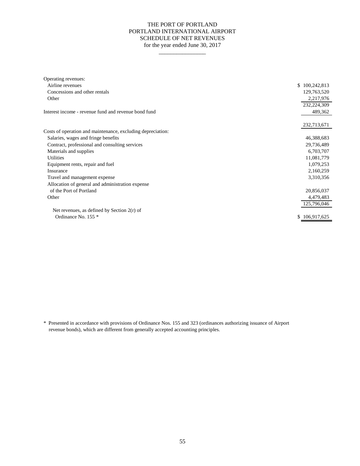### THE PORT OF PORTLAND PORTLAND INTERNATIONAL AIRPORT SCHEDULE OF NET REVENUES for the year ended June 30, 2017

\_\_\_\_\_\_\_\_\_\_\_\_\_\_\_\_

| Operating revenues:                                         |               |
|-------------------------------------------------------------|---------------|
| Airline revenues                                            | \$100,242,813 |
| Concessions and other rentals                               | 129,763,520   |
| Other                                                       | 2,217,976     |
|                                                             | 232, 224, 309 |
| Interest income - revenue fund and revenue bond fund        | 489,362       |
|                                                             |               |
|                                                             | 232,713,671   |
| Costs of operation and maintenance, excluding depreciation: |               |
| Salaries, wages and fringe benefits                         | 46,388,683    |
| Contract, professional and consulting services              | 29,736,489    |
| Materials and supplies                                      | 6,703,707     |
| <b>Utilities</b>                                            | 11,081,779    |
| Equipment rents, repair and fuel                            | 1,079,253     |
| Insurance                                                   | 2,160,259     |
| Travel and management expense                               | 3,310,356     |
| Allocation of general and administration expense            |               |
| of the Port of Portland                                     | 20,856,037    |
| Other                                                       | 4,479,483     |
|                                                             | 125,796,046   |
| Net revenues, as defined by Section $2(r)$ of               |               |
| Ordinance No. 155 *                                         | \$106,917,625 |

\* Presented in accordance with provisions of Ordinance Nos. 155 and 323 (ordinances authorizing issuance of Airport revenue bonds), which are different from generally accepted accounting principles.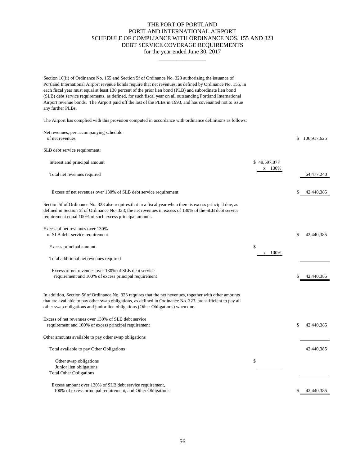# THE PORT OF PORTLAND PORTLAND INTERNATIONAL AIRPORT SCHEDULE OF COMPLIANCE WITH ORDINANCE NOS. 155 AND 323 DEBT SERVICE COVERAGE REQUIREMENTS

for the year ended June 30, 2017 \_\_\_\_\_\_\_\_\_\_\_\_\_\_\_\_

Section 16(ii) of Ordinance No. 155 and Section 5f of Ordinance No. 323 authorizing the issuance of Portland International Airport revenue bonds require that net revenues, as defined by Ordinance No. 155, in each fiscal year must equal at least 130 percent of the prior lien bond (PLB) and subordinate lien bond (SLB) debt service requirements, as defined, for such fiscal year on all outstanding Portland International Airport revenue bonds. The Airport paid off the last of the PLBs in 1993, and has covenanted not to issue any further PLBs.

The Airport has complied with this provision computed in accordance with ordinance definitions as follows:

| Net revenues, per accompanying schedule<br>of net revenues                                                                                                                                                                                                                                                   |              | \$ | 106,917,625 |
|--------------------------------------------------------------------------------------------------------------------------------------------------------------------------------------------------------------------------------------------------------------------------------------------------------------|--------------|----|-------------|
| SLB debt service requirement:                                                                                                                                                                                                                                                                                |              |    |             |
| Interest and principal amount                                                                                                                                                                                                                                                                                | \$49,597,877 |    |             |
| Total net revenues required                                                                                                                                                                                                                                                                                  | x 130%       |    | 64,477,240  |
| Excess of net revenues over 130% of SLB debt service requirement                                                                                                                                                                                                                                             |              | S  | 42,440,385  |
| Section 5f of Ordinance No. 323 also requires that in a fiscal year when there is excess principal due, as<br>defined in Section 5f of Ordinance No. 323, the net revenues in excess of 130% of the SLB debt service<br>requirement equal 100% of such excess principal amount.                              |              |    |             |
| Excess of net revenues over 130%                                                                                                                                                                                                                                                                             |              |    |             |
| of SLB debt service requirement                                                                                                                                                                                                                                                                              |              | S  | 42,440,385  |
| Excess principal amount                                                                                                                                                                                                                                                                                      | \$           |    |             |
| Total additional net revenues required                                                                                                                                                                                                                                                                       | x 100%       |    |             |
| Excess of net revenues over 130% of SLB debt service<br>requirement and 100% of excess principal requirement                                                                                                                                                                                                 |              |    | 42,440,385  |
| In addition, Section 5f of Ordinance No. 323 requires that the net nevenues, together with other amounts<br>that are available to pay other swap obligations, as defined in Ordinance No. 323, are sufficient to pay all<br>other swap obligations and junior lien obligations (Other Obligations) when due. |              |    |             |
| Excess of net revenues over 130% of SLB debt service<br>requirement and 100% of excess principal requirement                                                                                                                                                                                                 |              | \$ | 42,440,385  |
| Other amounts available to pay other swap obligations                                                                                                                                                                                                                                                        |              |    |             |
| Total available to pay Other Obligations                                                                                                                                                                                                                                                                     |              |    | 42,440,385  |
| Other swap obligations                                                                                                                                                                                                                                                                                       | \$           |    |             |
| Junior lien obligations                                                                                                                                                                                                                                                                                      |              |    |             |
| <b>Total Other Obligations</b>                                                                                                                                                                                                                                                                               |              |    |             |
| Excess amount over 130% of SLB debt service requirement,                                                                                                                                                                                                                                                     |              |    |             |
| 100% of excess principal requirement, and Other Obligations                                                                                                                                                                                                                                                  |              | \$ | 42,440,385  |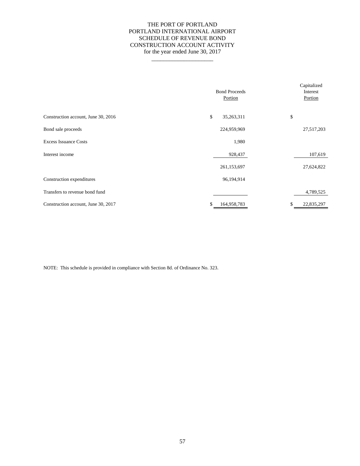### THE PORT OF PORTLAND PORTLAND INTERNATIONAL AIRPORT SCHEDULE OF REVENUE BOND CONSTRUCTION ACCOUNT ACTIVITY for the year ended June 30, 2017

\_\_\_\_\_\_\_\_\_\_\_\_\_\_\_\_\_\_\_\_\_

|                                     | <b>Bond Proceeds</b><br>Portion | Capitalized<br>Interest<br>Portion |
|-------------------------------------|---------------------------------|------------------------------------|
| Construction account, June 30, 2016 | \$<br>35,263,311                | \$                                 |
| Bond sale proceeds                  | 224,959,969                     | 27,517,203                         |
| <b>Excess Issuance Costs</b>        | 1,980                           |                                    |
| Interest income                     | 928,437                         | 107,619                            |
|                                     | 261,153,697                     | 27,624,822                         |
| Construction expenditures           | 96,194,914                      |                                    |
| Transfers to revenue bond fund      |                                 | 4,789,525                          |
| Construction account, June 30, 2017 | 164,958,783<br>\$               | 22,835,297                         |

NOTE: This schedule is provided in compliance with Section 8d. of Ordinance No. 323.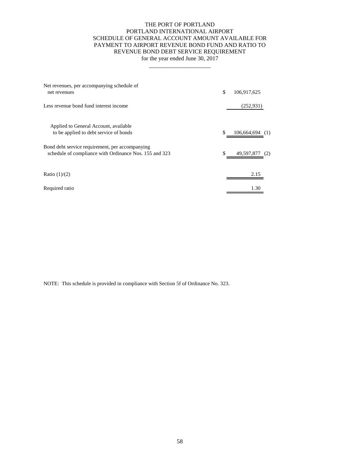### THE PORT OF PORTLAND PORTLAND INTERNATIONAL AIRPORT SCHEDULE OF GENERAL ACCOUNT AMOUNT AVAILABLE FOR PAYMENT TO AIRPORT REVENUE BOND FUND AND RATIO TO REVENUE BOND DEBT SERVICE REQUIREMENT for the year ended June 30, 2017

\_\_\_\_\_\_\_\_\_\_\_\_\_\_\_\_\_\_\_\_\_

| Net revenues, per accompanying schedule of<br>net revenues                                                | \$<br>106,917,625 |     |
|-----------------------------------------------------------------------------------------------------------|-------------------|-----|
| Less revenue bond fund interest income                                                                    | (252, 931)        |     |
| Applied to General Account, available<br>to be applied to debt service of bonds                           | \$<br>106,664,694 |     |
| Bond debt service requirement, per accompanying<br>schedule of compliance with Ordinance Nos. 155 and 323 | \$<br>49,597,877  | (2) |
| Ratio $(1)/(2)$                                                                                           | 2.15              |     |
| Required ratio                                                                                            | 1.30              |     |

NOTE: This schedule is provided in compliance with Section 5f of Ordinance No. 323.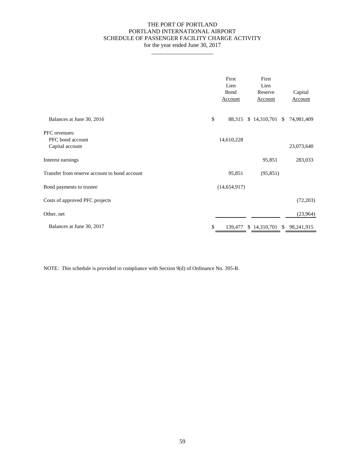### THE PORT OF PORTLAND PORTLAND INTERNATIONAL AIRPORT SCHEDULE OF PASSENGER FACILITY CHARGE ACTIVITY for the year ended June 30, 2017

\_\_\_\_\_\_\_\_\_\_\_\_\_\_\_\_\_\_\_\_\_

|                                                      | First<br>Lien<br>Bond<br><b>Account</b> | First<br>Lien<br>Reserve<br><b>Account</b> | Capital<br>Account         |
|------------------------------------------------------|-----------------------------------------|--------------------------------------------|----------------------------|
| Balances at June 30, 2016                            | \$<br>88,315                            | $$14,310,701$ \\$                          | 74,981,409                 |
| PFC revenues:<br>PFC bond account<br>Capital account | 14,610,228                              |                                            | 23,073,640                 |
| Interest earnings                                    |                                         | 95,851                                     | 283,033                    |
| Transfer from reserve account to bond account        | 95,851                                  | (95, 851)                                  |                            |
| Bond payments to trustee                             | (14, 654, 917)                          |                                            |                            |
| Costs of approved PFC projects                       |                                         |                                            | (72,203)                   |
| Other, net                                           |                                         |                                            | (23,964)                   |
| Balances at June 30, 2017                            | \$<br>139,477                           | \$14,310,701                               | 98,241,915<br>$\mathbb{S}$ |

NOTE: This schedule is provided in compliance with Section 9(d) of Ordinance No. 395-B.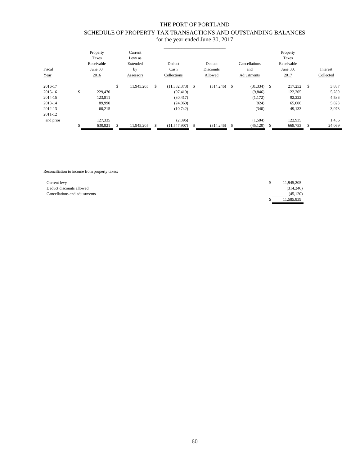# SCHEDULE OF PROPERTY TAX TRANSACTIONS AND OUTSTANDING BALANCES for the year ended June 30, 2017

| Fiscal<br>Year | Property<br>Taxes<br>Receivable<br>June 30,<br>2016 |         | Current<br>Levy as<br>Extended<br>by<br>Assessors | Deduct<br>Cash<br>Collections | Deduct<br><b>Discounts</b><br>Allowed | Cancellations<br>and<br>Adjustments | Property<br>Taxes<br>Receivable<br>June 30,<br>2017 |    | Interest<br>Collected |
|----------------|-----------------------------------------------------|---------|---------------------------------------------------|-------------------------------|---------------------------------------|-------------------------------------|-----------------------------------------------------|----|-----------------------|
| 2016-17        |                                                     |         | \$<br>11,945,205                                  | \$<br>$(11,382,373)$ \$       | (314, 246)                            | \$<br>$(31,334)$ \$                 | 217,252                                             | -S | 3,887                 |
| 2015-16        | \$                                                  | 229,470 |                                                   | (97, 419)                     |                                       | (9,846)                             | 122,205                                             |    | 5,289                 |
| 2014-15        |                                                     | 123,811 |                                                   | (30, 417)                     |                                       | (1,172)                             | 92,222                                              |    | 4,536                 |
| 2013-14        |                                                     | 89,990  |                                                   | (24,060)                      |                                       | (924)                               | 65,006                                              |    | 5,823                 |
| 2012-13        |                                                     | 60,215  |                                                   | (10,742)                      |                                       | (340)                               | 49,133                                              |    | 3,078                 |
| 2011-12        |                                                     |         |                                                   |                               |                                       |                                     |                                                     |    |                       |
| and prior      |                                                     | 127,335 |                                                   | (2,896)                       |                                       | (1,504)                             | 122,935                                             |    | 1,456                 |
|                |                                                     | 630,821 | 11,945,205                                        | (11,547,907)                  | (314, 246)                            | (45, 120)                           | 668,753                                             |    | 24,069                |

Reconciliation to income from property taxes:

| Current levy                  | 11.945.205 |
|-------------------------------|------------|
| Deduct discounts allowed      | (314, 246) |
| Cancellations and adjustments | (45, 120)  |
|                               | 11.585.839 |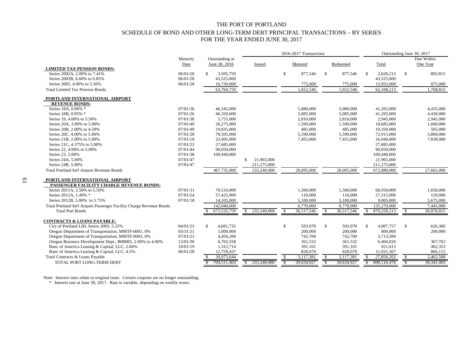#### SCHEDULE OF BOND AND OTHER LONG-TERM DEBT PRINCIPAL TRANSACTIONS – BY SERIES FOR THE YEAR ENDED JUNE 30, 2017

|                                                                      |          |              |                | 2016-2017 Transactions |             |                          |            |               |            |                    | Outstanding June 30, 2017 |               |            |  |  |
|----------------------------------------------------------------------|----------|--------------|----------------|------------------------|-------------|--------------------------|------------|---------------|------------|--------------------|---------------------------|---------------|------------|--|--|
|                                                                      | Maturity |              | Outstanding at |                        |             |                          |            |               |            |                    |                           |               | Due Within |  |  |
|                                                                      | Date     |              | June 30, 2016  |                        | Issued      |                          | Matured    |               | Redeemed   |                    | Total                     |               | One Year   |  |  |
| <b>LIMITED TAX PENSION BONDS:</b>                                    |          |              |                |                        |             |                          |            |               |            |                    |                           |               |            |  |  |
| Series 2002A, 2.00% to 7.41%                                         | 06/01/20 | \$           | 3,505,759      |                        |             | \$                       | 877,546    | \$            | 877,546    | -\$                | 2,628,213                 | $\mathbb{S}$  | 893,815    |  |  |
| Series 2002B, 6.60% to 6.85%                                         | 06/01/28 |              | 43,525,000     |                        |             |                          |            |               |            |                    | 43,525,000                |               |            |  |  |
| Series 2005, 4.00% to 5.50%                                          | 06/01/28 |              | 16,730,000     |                        |             |                          | 775,000    |               | 775,000    |                    | 15,955,000                |               | 875,000    |  |  |
| <b>Total Limited Tax Pension Bonds</b>                               |          |              | 63,760,759     |                        |             |                          | 1,652,546  |               | 1,652,546  |                    | 62,108,213                |               | 1,768,815  |  |  |
| PORTLAND INTERNATIONAL AIRPORT                                       |          |              |                |                        |             |                          |            |               |            |                    |                           |               |            |  |  |
| <b>REVENUE BONDS:</b>                                                |          |              |                |                        |             |                          |            |               |            |                    |                           |               |            |  |  |
| Series 18A, 0.96% *                                                  | 07/01/26 |              | 46,345,000     |                        |             |                          | 5,080,000  |               | 5,080,000  |                    | 41,265,000                |               | 4,435,000  |  |  |
| Series 18B, 0.95% *                                                  | 07/01/26 |              | 46,350,000     |                        |             |                          | 5,085,000  |               | 5,085,000  |                    | 41,265,000                |               | 4,430,000  |  |  |
| Series 19, 4.00% to 5.50%                                            | 07/01/38 |              | 5,755,000      |                        |             |                          | 2,810,000  |               | 2,810,000  |                    | 2,945,000                 |               | 2,945,000  |  |  |
| Series 20A, 3.00% to 5.00%                                           | 07/01/40 |              | 20,275,000     |                        |             |                          | 1,590,000  |               | 1,590,000  |                    | 18,685,000                |               | 1,660,000  |  |  |
| Series 20B, 2.00% to 4.50%                                           | 07/01/40 |              | 19,835,000     |                        |             |                          | 485,000    |               | 485,000    |                    | 19,350,000                |               | 505,000    |  |  |
| Series 20C, 4.00% to 5.00%                                           | 07/01/28 |              | 78,505,000     |                        |             |                          | 5,590,000  |               | 5,590,000  |                    | 72,915,000                |               | 5,860,000  |  |  |
| Series 21B, 2.00% to 5.00%                                           | 07/01/18 |              | 23,495,000     |                        |             |                          | 7,455,000  |               | 7,455,000  |                    | 16,040,000                |               | 7,830,000  |  |  |
| Series 21C, 4.375% to 5.00%                                          | 07/01/23 |              | 27,685,000     |                        |             |                          |            |               |            |                    | 27,685,000                |               |            |  |  |
| Series 22, 4.00% to 5.00%                                            | 07/01/44 |              | 90,050,000     |                        |             |                          |            |               |            |                    | 90,050,000                |               |            |  |  |
| Series 23, 5.00%                                                     | 07/01/38 |              | 109,440,000    |                        |             |                          |            |               |            |                    | 109,440,000               |               |            |  |  |
| Series 24A, 5.00%                                                    | 07/01/47 |              |                | \$                     | 21,965,000  |                          |            |               |            |                    | 21,965,000                |               |            |  |  |
| Series 24B, 5.00%                                                    | 07/01/47 |              |                |                        | 211,275,000 |                          |            |               |            |                    | 211,275,000               |               |            |  |  |
| Total Portland Int'l Airport Revenue Bonds                           |          |              | 467,735,000    |                        | 233,240,000 |                          | 28,095,000 |               | 28,095,000 |                    | 672,880,000               |               | 27,665,000 |  |  |
| PORTLAND INTERNATIONAL AIRPORT                                       |          |              |                |                        |             |                          |            |               |            |                    |                           |               |            |  |  |
| PASSENGER FACILITY CHARGE REVENUE BONDS:                             |          |              |                |                        |             |                          |            |               |            |                    |                           |               |            |  |  |
| Series 2011A, 2.50% to 5.50%                                         | 07/01/31 |              | 70,510,000     |                        |             |                          | 1,560,000  |               | 1,560,000  |                    | 68,950,000                |               | 1,650,000  |  |  |
| Series 2012A, 1.49% *                                                | 07/01/24 |              | 57,425,000     |                        |             |                          | 110,000    |               | 110,000    |                    | 57,315,000                |               | 120,000    |  |  |
| Series 2012B, 5,00% to 5,75%                                         | 07/01/18 |              | 14,105,000     |                        |             |                          | 5,100,000  |               | 5,100,000  |                    | 9,005,000                 |               | 5,675,000  |  |  |
| Total Portland Int'l Airport Passenger Facility Charge Revenue Bonds |          |              | 142,040,000    |                        |             |                          | 6,770,000  |               | 6,770,000  |                    | 135,270,000               |               | 7,445,000  |  |  |
| <b>Total Port Bonds</b>                                              |          |              | 673, 535, 759  | $\sqrt{s}$             | 233,240,000 | $\mathcal{S}$            | 36,517,546 | $\sqrt{3}$    | 36,517,546 | $\mathbf{\hat{S}}$ | 870,258,213               | $\mathbf S$   | 36,878,815 |  |  |
| <b>CONTRACTS &amp; LOANS PAYABLE:</b>                                |          |              |                |                        |             |                          |            |               |            |                    |                           |               |            |  |  |
| City of Portland LID, Series 2003, 5.32%                             | 04/01/23 | $\mathbb{S}$ | 4,681,735      |                        |             | \$                       | 593,978    | $\mathbb{S}$  | 593,978    | $\mathcal{S}$      | 4,087,757                 | <sup>\$</sup> | 626,360    |  |  |
| Oregon Department of Transportation, MMTF-0001, 0%                   | 03/31/21 |              | 1,000,000      |                        |             |                          | 200,000    |               | 200,000    |                    | 800,000                   |               | 200,000    |  |  |
| Oregon Department of Transportation, MMTF-0003, 0%                   | 07/01/23 |              | 4,456,200      |                        |             |                          | 742,700    |               | 742,700    |                    | 3,713,500                 |               |            |  |  |
| Oregon Business Development Dept., B08005, 2.00% to 4.00%            | 12/01/30 |              | 6,765,558      |                        |             |                          | 361,532    |               | 361,532    |                    | 6,404,026                 |               | 367,763    |  |  |
| Banc of America Leasing & Capital, LLC, 2.84%                        | 10/01/19 |              | 1,312,714      |                        |             |                          | 391,101    |               | 391,101    |                    | 921,613                   |               | 402,353    |  |  |
| Banc of America Leasing & Capital, LLC, 4.5%                         | 06/01/28 |              | 12,759,437     |                        |             |                          | 828,070    |               | 828,070    |                    | 11,931,367                |               | 866,112    |  |  |
| Total Contracts & Loans Payable                                      |          |              | 30,975,644     |                        |             | <sup>\$</sup>            | 3,117,381  | <sup>\$</sup> | 3,117,381  | <sup>\$</sup>      | 27,858,263                | S.            | 2,462,588  |  |  |
| TOTAL PORT LONG-TERM DEBT                                            |          |              | 704,511,403    | S                      | 233,240,000 | $\overline{\mathcal{S}}$ | 39,634,927 | -S            | 39,634,927 |                    | 898,116,476               |               | 39,341,403 |  |  |
|                                                                      |          |              |                |                        |             |                          |            |               |            |                    |                           |               |            |  |  |

Note: Interest rates relate to original issue. Certain coupons are no longer outstanding.

\* Interest rate at June 30, 2017. Rate is variable, depending on weekly resets.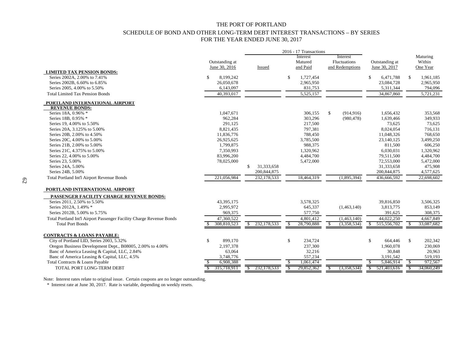#### SCHEDULE OF BOND AND OTHER LONG-TERM DEBT INTEREST TRANSACTIONS – BY SERIES FOR THE YEAR ENDED JUNE 30, 2017

| Interest<br>Interest<br>Maturing<br>Within<br>Outstanding at<br>Matured<br><b>Fluctuations</b><br>Outstanding at<br>and Paid<br>One Year<br>June 30, 2016<br>Issued<br>and Redemptions<br>June 30, 2017<br><b>LIMITED TAX PENSION BONDS:</b><br>Series 2002A, 2.00% to 7.41%<br>8,199,242<br>S.<br>1,727,454<br>6,471,788<br><sup>\$</sup><br>1,961,185<br><sup>\$</sup><br>\$.<br>Series 2002B, 6.60% to 6.85%<br>26,050,678<br>2,965,950<br>23,084,728<br>2,965,950<br>831,753<br>Series 2005, 4.00% to 5.50%<br>6,143,097<br>5,311,344<br>794,096<br>5,525,157<br>5,721,231<br><b>Total Limited Tax Pension Bonds</b><br>40,393,017<br>34,867,860<br>PORTLAND INTERNATIONAL AIRPORT<br><b>REVENUE BONDS:</b><br>1,047,671<br>306,155<br>$\mathbb{S}$<br>(914, 916)<br>Series 18A, 0.96% *<br>1,656,432<br>353,568<br>303,296<br>Series 18B, 0.95% *<br>962,284<br>(980, 478)<br>1,639,466<br>349,933<br>Series 19, 4.00% to 5.50%<br>291,125<br>217,500<br>73,625<br>73,625<br>797,381<br>8,024,054<br>Series 20A, 3.125% to 5.00%<br>8,821,435<br>716,131<br>11,836,776<br>788,450<br>11,048,326<br>768,650<br>Series 20B, 2.00% to 4.50%<br>3,785,500<br>3,499,250<br>Series 20C, 4.00% to 5.00%<br>26,925,625<br>23,140,125<br>1,799,875<br>988,375<br>811,500<br>606,250<br>Series 21B, 2.00% to 5.00%<br>7,350,993<br>1,320,962<br>6,030,031<br>Series 21C, 4.375% to 5.00%<br>1,320,962<br>Series 22, 4.00% to 5.00%<br>83,996,200<br>4,484,700<br>79,511,500<br>4,484,700<br>5,472,000<br>72,553,000<br>Series 23, 5.00%<br>78,025,000<br>5,472,000<br>31,333,658<br>\$<br>31,333,658<br>475,908<br>Series 24A, 5.00%<br>200,844,875<br>Series 24B, 5.00%<br>200,844,875<br>4,577,625<br>221,056,984<br>18,464,319<br>(1,895,394)<br><b>Total Portland Int'l Airport Revenue Bonds</b><br>232,178,533<br>436,666,592<br>22,698,602<br>PORTLAND INTERNATIONAL AIRPORT<br>PASSENGER FACILITY CHARGE REVENUE BONDS:<br>Series 2011, 2.50% to 5.50%<br>43,395,175<br>3,578,325<br>39,816,850<br>3,506,325<br>Series 2012A, 1.49% *<br>645,337<br>(1,463,140)<br>3,813,775<br>853,149<br>2,995,972<br>577,750<br>969,375<br>391,625<br>308,375<br>Series 2012B, 5.00% to 5.75%<br>47,360,522<br>4,801,412<br>(1,463,140)<br>44,022,250<br>4,667,849<br>Total Portland Int'l Airport Passenger Facility Charge Revenue Bonds<br>308,810,523<br>232,178,533<br>$\mathcal{S}$<br>$\sqrt{s}$<br>$\mathcal{S}$<br><b>Total Port Bonds</b><br>28,790,888<br>(3,358,534)<br>515,556,702<br>33,087,682<br>\$.<br>\$.<br>City of Portland LID, Series 2003, 5.32%<br>\$<br>\$<br>899,170<br>234,724<br>\$<br>664,446<br>\$<br>202,342<br>Oregon Business Development Dept., B08005, 2.00% to 4.00%<br>2,197,378<br>237,300<br>1,960,078<br>230,069<br>32,216<br>Banc of America Leasing & Capital, LLC, 2.84%<br>63,064<br>30,848<br>20,963<br>Banc of America Leasing & Capital, LLC, 4.5%<br>3,748,776<br>557,234<br>3,191,542<br>519.193<br><sup>\$</sup><br>972,567<br>Total Contracts & Loans Payable<br>6,908,388<br>1,061,474<br>\$<br>5,846,914<br>\$.<br>315,718,911<br>232,178,533<br>29,852,362<br>521,403,616<br>34,060,249<br>TOTAL PORT LONG-TERM DEBT<br>(3,358,534)<br>S<br>-S<br>-S<br>-S |                                       |  |  | 2016 - 17 Transactions |  |  |  |
|--------------------------------------------------------------------------------------------------------------------------------------------------------------------------------------------------------------------------------------------------------------------------------------------------------------------------------------------------------------------------------------------------------------------------------------------------------------------------------------------------------------------------------------------------------------------------------------------------------------------------------------------------------------------------------------------------------------------------------------------------------------------------------------------------------------------------------------------------------------------------------------------------------------------------------------------------------------------------------------------------------------------------------------------------------------------------------------------------------------------------------------------------------------------------------------------------------------------------------------------------------------------------------------------------------------------------------------------------------------------------------------------------------------------------------------------------------------------------------------------------------------------------------------------------------------------------------------------------------------------------------------------------------------------------------------------------------------------------------------------------------------------------------------------------------------------------------------------------------------------------------------------------------------------------------------------------------------------------------------------------------------------------------------------------------------------------------------------------------------------------------------------------------------------------------------------------------------------------------------------------------------------------------------------------------------------------------------------------------------------------------------------------------------------------------------------------------------------------------------------------------------------------------------------------------------------------------------------------------------------------------------------------------------------------------------------------------------------------------------------------------------------------------------------------------------------------------------------------------------------------------------------------------------------------------------------------------------------------------------------------------------------------------------------------------------------------------------------------------------------------------------------------------------------------------------------------------|---------------------------------------|--|--|------------------------|--|--|--|
|                                                                                                                                                                                                                                                                                                                                                                                                                                                                                                                                                                                                                                                                                                                                                                                                                                                                                                                                                                                                                                                                                                                                                                                                                                                                                                                                                                                                                                                                                                                                                                                                                                                                                                                                                                                                                                                                                                                                                                                                                                                                                                                                                                                                                                                                                                                                                                                                                                                                                                                                                                                                                                                                                                                                                                                                                                                                                                                                                                                                                                                                                                                                                                                                        |                                       |  |  |                        |  |  |  |
|                                                                                                                                                                                                                                                                                                                                                                                                                                                                                                                                                                                                                                                                                                                                                                                                                                                                                                                                                                                                                                                                                                                                                                                                                                                                                                                                                                                                                                                                                                                                                                                                                                                                                                                                                                                                                                                                                                                                                                                                                                                                                                                                                                                                                                                                                                                                                                                                                                                                                                                                                                                                                                                                                                                                                                                                                                                                                                                                                                                                                                                                                                                                                                                                        |                                       |  |  |                        |  |  |  |
|                                                                                                                                                                                                                                                                                                                                                                                                                                                                                                                                                                                                                                                                                                                                                                                                                                                                                                                                                                                                                                                                                                                                                                                                                                                                                                                                                                                                                                                                                                                                                                                                                                                                                                                                                                                                                                                                                                                                                                                                                                                                                                                                                                                                                                                                                                                                                                                                                                                                                                                                                                                                                                                                                                                                                                                                                                                                                                                                                                                                                                                                                                                                                                                                        |                                       |  |  |                        |  |  |  |
|                                                                                                                                                                                                                                                                                                                                                                                                                                                                                                                                                                                                                                                                                                                                                                                                                                                                                                                                                                                                                                                                                                                                                                                                                                                                                                                                                                                                                                                                                                                                                                                                                                                                                                                                                                                                                                                                                                                                                                                                                                                                                                                                                                                                                                                                                                                                                                                                                                                                                                                                                                                                                                                                                                                                                                                                                                                                                                                                                                                                                                                                                                                                                                                                        |                                       |  |  |                        |  |  |  |
|                                                                                                                                                                                                                                                                                                                                                                                                                                                                                                                                                                                                                                                                                                                                                                                                                                                                                                                                                                                                                                                                                                                                                                                                                                                                                                                                                                                                                                                                                                                                                                                                                                                                                                                                                                                                                                                                                                                                                                                                                                                                                                                                                                                                                                                                                                                                                                                                                                                                                                                                                                                                                                                                                                                                                                                                                                                                                                                                                                                                                                                                                                                                                                                                        |                                       |  |  |                        |  |  |  |
|                                                                                                                                                                                                                                                                                                                                                                                                                                                                                                                                                                                                                                                                                                                                                                                                                                                                                                                                                                                                                                                                                                                                                                                                                                                                                                                                                                                                                                                                                                                                                                                                                                                                                                                                                                                                                                                                                                                                                                                                                                                                                                                                                                                                                                                                                                                                                                                                                                                                                                                                                                                                                                                                                                                                                                                                                                                                                                                                                                                                                                                                                                                                                                                                        |                                       |  |  |                        |  |  |  |
|                                                                                                                                                                                                                                                                                                                                                                                                                                                                                                                                                                                                                                                                                                                                                                                                                                                                                                                                                                                                                                                                                                                                                                                                                                                                                                                                                                                                                                                                                                                                                                                                                                                                                                                                                                                                                                                                                                                                                                                                                                                                                                                                                                                                                                                                                                                                                                                                                                                                                                                                                                                                                                                                                                                                                                                                                                                                                                                                                                                                                                                                                                                                                                                                        |                                       |  |  |                        |  |  |  |
|                                                                                                                                                                                                                                                                                                                                                                                                                                                                                                                                                                                                                                                                                                                                                                                                                                                                                                                                                                                                                                                                                                                                                                                                                                                                                                                                                                                                                                                                                                                                                                                                                                                                                                                                                                                                                                                                                                                                                                                                                                                                                                                                                                                                                                                                                                                                                                                                                                                                                                                                                                                                                                                                                                                                                                                                                                                                                                                                                                                                                                                                                                                                                                                                        |                                       |  |  |                        |  |  |  |
|                                                                                                                                                                                                                                                                                                                                                                                                                                                                                                                                                                                                                                                                                                                                                                                                                                                                                                                                                                                                                                                                                                                                                                                                                                                                                                                                                                                                                                                                                                                                                                                                                                                                                                                                                                                                                                                                                                                                                                                                                                                                                                                                                                                                                                                                                                                                                                                                                                                                                                                                                                                                                                                                                                                                                                                                                                                                                                                                                                                                                                                                                                                                                                                                        |                                       |  |  |                        |  |  |  |
|                                                                                                                                                                                                                                                                                                                                                                                                                                                                                                                                                                                                                                                                                                                                                                                                                                                                                                                                                                                                                                                                                                                                                                                                                                                                                                                                                                                                                                                                                                                                                                                                                                                                                                                                                                                                                                                                                                                                                                                                                                                                                                                                                                                                                                                                                                                                                                                                                                                                                                                                                                                                                                                                                                                                                                                                                                                                                                                                                                                                                                                                                                                                                                                                        |                                       |  |  |                        |  |  |  |
|                                                                                                                                                                                                                                                                                                                                                                                                                                                                                                                                                                                                                                                                                                                                                                                                                                                                                                                                                                                                                                                                                                                                                                                                                                                                                                                                                                                                                                                                                                                                                                                                                                                                                                                                                                                                                                                                                                                                                                                                                                                                                                                                                                                                                                                                                                                                                                                                                                                                                                                                                                                                                                                                                                                                                                                                                                                                                                                                                                                                                                                                                                                                                                                                        |                                       |  |  |                        |  |  |  |
|                                                                                                                                                                                                                                                                                                                                                                                                                                                                                                                                                                                                                                                                                                                                                                                                                                                                                                                                                                                                                                                                                                                                                                                                                                                                                                                                                                                                                                                                                                                                                                                                                                                                                                                                                                                                                                                                                                                                                                                                                                                                                                                                                                                                                                                                                                                                                                                                                                                                                                                                                                                                                                                                                                                                                                                                                                                                                                                                                                                                                                                                                                                                                                                                        |                                       |  |  |                        |  |  |  |
|                                                                                                                                                                                                                                                                                                                                                                                                                                                                                                                                                                                                                                                                                                                                                                                                                                                                                                                                                                                                                                                                                                                                                                                                                                                                                                                                                                                                                                                                                                                                                                                                                                                                                                                                                                                                                                                                                                                                                                                                                                                                                                                                                                                                                                                                                                                                                                                                                                                                                                                                                                                                                                                                                                                                                                                                                                                                                                                                                                                                                                                                                                                                                                                                        |                                       |  |  |                        |  |  |  |
|                                                                                                                                                                                                                                                                                                                                                                                                                                                                                                                                                                                                                                                                                                                                                                                                                                                                                                                                                                                                                                                                                                                                                                                                                                                                                                                                                                                                                                                                                                                                                                                                                                                                                                                                                                                                                                                                                                                                                                                                                                                                                                                                                                                                                                                                                                                                                                                                                                                                                                                                                                                                                                                                                                                                                                                                                                                                                                                                                                                                                                                                                                                                                                                                        |                                       |  |  |                        |  |  |  |
|                                                                                                                                                                                                                                                                                                                                                                                                                                                                                                                                                                                                                                                                                                                                                                                                                                                                                                                                                                                                                                                                                                                                                                                                                                                                                                                                                                                                                                                                                                                                                                                                                                                                                                                                                                                                                                                                                                                                                                                                                                                                                                                                                                                                                                                                                                                                                                                                                                                                                                                                                                                                                                                                                                                                                                                                                                                                                                                                                                                                                                                                                                                                                                                                        |                                       |  |  |                        |  |  |  |
|                                                                                                                                                                                                                                                                                                                                                                                                                                                                                                                                                                                                                                                                                                                                                                                                                                                                                                                                                                                                                                                                                                                                                                                                                                                                                                                                                                                                                                                                                                                                                                                                                                                                                                                                                                                                                                                                                                                                                                                                                                                                                                                                                                                                                                                                                                                                                                                                                                                                                                                                                                                                                                                                                                                                                                                                                                                                                                                                                                                                                                                                                                                                                                                                        |                                       |  |  |                        |  |  |  |
|                                                                                                                                                                                                                                                                                                                                                                                                                                                                                                                                                                                                                                                                                                                                                                                                                                                                                                                                                                                                                                                                                                                                                                                                                                                                                                                                                                                                                                                                                                                                                                                                                                                                                                                                                                                                                                                                                                                                                                                                                                                                                                                                                                                                                                                                                                                                                                                                                                                                                                                                                                                                                                                                                                                                                                                                                                                                                                                                                                                                                                                                                                                                                                                                        |                                       |  |  |                        |  |  |  |
|                                                                                                                                                                                                                                                                                                                                                                                                                                                                                                                                                                                                                                                                                                                                                                                                                                                                                                                                                                                                                                                                                                                                                                                                                                                                                                                                                                                                                                                                                                                                                                                                                                                                                                                                                                                                                                                                                                                                                                                                                                                                                                                                                                                                                                                                                                                                                                                                                                                                                                                                                                                                                                                                                                                                                                                                                                                                                                                                                                                                                                                                                                                                                                                                        |                                       |  |  |                        |  |  |  |
|                                                                                                                                                                                                                                                                                                                                                                                                                                                                                                                                                                                                                                                                                                                                                                                                                                                                                                                                                                                                                                                                                                                                                                                                                                                                                                                                                                                                                                                                                                                                                                                                                                                                                                                                                                                                                                                                                                                                                                                                                                                                                                                                                                                                                                                                                                                                                                                                                                                                                                                                                                                                                                                                                                                                                                                                                                                                                                                                                                                                                                                                                                                                                                                                        |                                       |  |  |                        |  |  |  |
|                                                                                                                                                                                                                                                                                                                                                                                                                                                                                                                                                                                                                                                                                                                                                                                                                                                                                                                                                                                                                                                                                                                                                                                                                                                                                                                                                                                                                                                                                                                                                                                                                                                                                                                                                                                                                                                                                                                                                                                                                                                                                                                                                                                                                                                                                                                                                                                                                                                                                                                                                                                                                                                                                                                                                                                                                                                                                                                                                                                                                                                                                                                                                                                                        |                                       |  |  |                        |  |  |  |
|                                                                                                                                                                                                                                                                                                                                                                                                                                                                                                                                                                                                                                                                                                                                                                                                                                                                                                                                                                                                                                                                                                                                                                                                                                                                                                                                                                                                                                                                                                                                                                                                                                                                                                                                                                                                                                                                                                                                                                                                                                                                                                                                                                                                                                                                                                                                                                                                                                                                                                                                                                                                                                                                                                                                                                                                                                                                                                                                                                                                                                                                                                                                                                                                        |                                       |  |  |                        |  |  |  |
|                                                                                                                                                                                                                                                                                                                                                                                                                                                                                                                                                                                                                                                                                                                                                                                                                                                                                                                                                                                                                                                                                                                                                                                                                                                                                                                                                                                                                                                                                                                                                                                                                                                                                                                                                                                                                                                                                                                                                                                                                                                                                                                                                                                                                                                                                                                                                                                                                                                                                                                                                                                                                                                                                                                                                                                                                                                                                                                                                                                                                                                                                                                                                                                                        |                                       |  |  |                        |  |  |  |
|                                                                                                                                                                                                                                                                                                                                                                                                                                                                                                                                                                                                                                                                                                                                                                                                                                                                                                                                                                                                                                                                                                                                                                                                                                                                                                                                                                                                                                                                                                                                                                                                                                                                                                                                                                                                                                                                                                                                                                                                                                                                                                                                                                                                                                                                                                                                                                                                                                                                                                                                                                                                                                                                                                                                                                                                                                                                                                                                                                                                                                                                                                                                                                                                        |                                       |  |  |                        |  |  |  |
|                                                                                                                                                                                                                                                                                                                                                                                                                                                                                                                                                                                                                                                                                                                                                                                                                                                                                                                                                                                                                                                                                                                                                                                                                                                                                                                                                                                                                                                                                                                                                                                                                                                                                                                                                                                                                                                                                                                                                                                                                                                                                                                                                                                                                                                                                                                                                                                                                                                                                                                                                                                                                                                                                                                                                                                                                                                                                                                                                                                                                                                                                                                                                                                                        |                                       |  |  |                        |  |  |  |
|                                                                                                                                                                                                                                                                                                                                                                                                                                                                                                                                                                                                                                                                                                                                                                                                                                                                                                                                                                                                                                                                                                                                                                                                                                                                                                                                                                                                                                                                                                                                                                                                                                                                                                                                                                                                                                                                                                                                                                                                                                                                                                                                                                                                                                                                                                                                                                                                                                                                                                                                                                                                                                                                                                                                                                                                                                                                                                                                                                                                                                                                                                                                                                                                        |                                       |  |  |                        |  |  |  |
|                                                                                                                                                                                                                                                                                                                                                                                                                                                                                                                                                                                                                                                                                                                                                                                                                                                                                                                                                                                                                                                                                                                                                                                                                                                                                                                                                                                                                                                                                                                                                                                                                                                                                                                                                                                                                                                                                                                                                                                                                                                                                                                                                                                                                                                                                                                                                                                                                                                                                                                                                                                                                                                                                                                                                                                                                                                                                                                                                                                                                                                                                                                                                                                                        |                                       |  |  |                        |  |  |  |
|                                                                                                                                                                                                                                                                                                                                                                                                                                                                                                                                                                                                                                                                                                                                                                                                                                                                                                                                                                                                                                                                                                                                                                                                                                                                                                                                                                                                                                                                                                                                                                                                                                                                                                                                                                                                                                                                                                                                                                                                                                                                                                                                                                                                                                                                                                                                                                                                                                                                                                                                                                                                                                                                                                                                                                                                                                                                                                                                                                                                                                                                                                                                                                                                        |                                       |  |  |                        |  |  |  |
|                                                                                                                                                                                                                                                                                                                                                                                                                                                                                                                                                                                                                                                                                                                                                                                                                                                                                                                                                                                                                                                                                                                                                                                                                                                                                                                                                                                                                                                                                                                                                                                                                                                                                                                                                                                                                                                                                                                                                                                                                                                                                                                                                                                                                                                                                                                                                                                                                                                                                                                                                                                                                                                                                                                                                                                                                                                                                                                                                                                                                                                                                                                                                                                                        |                                       |  |  |                        |  |  |  |
|                                                                                                                                                                                                                                                                                                                                                                                                                                                                                                                                                                                                                                                                                                                                                                                                                                                                                                                                                                                                                                                                                                                                                                                                                                                                                                                                                                                                                                                                                                                                                                                                                                                                                                                                                                                                                                                                                                                                                                                                                                                                                                                                                                                                                                                                                                                                                                                                                                                                                                                                                                                                                                                                                                                                                                                                                                                                                                                                                                                                                                                                                                                                                                                                        |                                       |  |  |                        |  |  |  |
|                                                                                                                                                                                                                                                                                                                                                                                                                                                                                                                                                                                                                                                                                                                                                                                                                                                                                                                                                                                                                                                                                                                                                                                                                                                                                                                                                                                                                                                                                                                                                                                                                                                                                                                                                                                                                                                                                                                                                                                                                                                                                                                                                                                                                                                                                                                                                                                                                                                                                                                                                                                                                                                                                                                                                                                                                                                                                                                                                                                                                                                                                                                                                                                                        |                                       |  |  |                        |  |  |  |
|                                                                                                                                                                                                                                                                                                                                                                                                                                                                                                                                                                                                                                                                                                                                                                                                                                                                                                                                                                                                                                                                                                                                                                                                                                                                                                                                                                                                                                                                                                                                                                                                                                                                                                                                                                                                                                                                                                                                                                                                                                                                                                                                                                                                                                                                                                                                                                                                                                                                                                                                                                                                                                                                                                                                                                                                                                                                                                                                                                                                                                                                                                                                                                                                        |                                       |  |  |                        |  |  |  |
|                                                                                                                                                                                                                                                                                                                                                                                                                                                                                                                                                                                                                                                                                                                                                                                                                                                                                                                                                                                                                                                                                                                                                                                                                                                                                                                                                                                                                                                                                                                                                                                                                                                                                                                                                                                                                                                                                                                                                                                                                                                                                                                                                                                                                                                                                                                                                                                                                                                                                                                                                                                                                                                                                                                                                                                                                                                                                                                                                                                                                                                                                                                                                                                                        | <b>CONTRACTS &amp; LOANS PAYABLE:</b> |  |  |                        |  |  |  |
|                                                                                                                                                                                                                                                                                                                                                                                                                                                                                                                                                                                                                                                                                                                                                                                                                                                                                                                                                                                                                                                                                                                                                                                                                                                                                                                                                                                                                                                                                                                                                                                                                                                                                                                                                                                                                                                                                                                                                                                                                                                                                                                                                                                                                                                                                                                                                                                                                                                                                                                                                                                                                                                                                                                                                                                                                                                                                                                                                                                                                                                                                                                                                                                                        |                                       |  |  |                        |  |  |  |
|                                                                                                                                                                                                                                                                                                                                                                                                                                                                                                                                                                                                                                                                                                                                                                                                                                                                                                                                                                                                                                                                                                                                                                                                                                                                                                                                                                                                                                                                                                                                                                                                                                                                                                                                                                                                                                                                                                                                                                                                                                                                                                                                                                                                                                                                                                                                                                                                                                                                                                                                                                                                                                                                                                                                                                                                                                                                                                                                                                                                                                                                                                                                                                                                        |                                       |  |  |                        |  |  |  |
|                                                                                                                                                                                                                                                                                                                                                                                                                                                                                                                                                                                                                                                                                                                                                                                                                                                                                                                                                                                                                                                                                                                                                                                                                                                                                                                                                                                                                                                                                                                                                                                                                                                                                                                                                                                                                                                                                                                                                                                                                                                                                                                                                                                                                                                                                                                                                                                                                                                                                                                                                                                                                                                                                                                                                                                                                                                                                                                                                                                                                                                                                                                                                                                                        |                                       |  |  |                        |  |  |  |
|                                                                                                                                                                                                                                                                                                                                                                                                                                                                                                                                                                                                                                                                                                                                                                                                                                                                                                                                                                                                                                                                                                                                                                                                                                                                                                                                                                                                                                                                                                                                                                                                                                                                                                                                                                                                                                                                                                                                                                                                                                                                                                                                                                                                                                                                                                                                                                                                                                                                                                                                                                                                                                                                                                                                                                                                                                                                                                                                                                                                                                                                                                                                                                                                        |                                       |  |  |                        |  |  |  |
|                                                                                                                                                                                                                                                                                                                                                                                                                                                                                                                                                                                                                                                                                                                                                                                                                                                                                                                                                                                                                                                                                                                                                                                                                                                                                                                                                                                                                                                                                                                                                                                                                                                                                                                                                                                                                                                                                                                                                                                                                                                                                                                                                                                                                                                                                                                                                                                                                                                                                                                                                                                                                                                                                                                                                                                                                                                                                                                                                                                                                                                                                                                                                                                                        |                                       |  |  |                        |  |  |  |
|                                                                                                                                                                                                                                                                                                                                                                                                                                                                                                                                                                                                                                                                                                                                                                                                                                                                                                                                                                                                                                                                                                                                                                                                                                                                                                                                                                                                                                                                                                                                                                                                                                                                                                                                                                                                                                                                                                                                                                                                                                                                                                                                                                                                                                                                                                                                                                                                                                                                                                                                                                                                                                                                                                                                                                                                                                                                                                                                                                                                                                                                                                                                                                                                        |                                       |  |  |                        |  |  |  |

Note: Interest rates relate to original issue. Certain coupons are no longer outstanding.

\* Interest rate at June 30, 2017. Rate is variable, depending on weekly resets.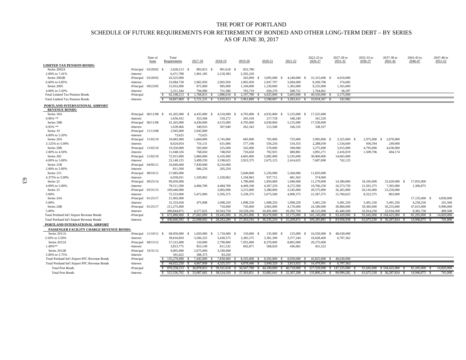### SCHEDULE OF FUTURE REQUIREMENTS FOR RETIREMENT OF BONDED AND OTHER LONG-TERM DEBT – BY SERIES AS OF JUNE 30, 2017

|                                                |                       | Date of<br>Issue         | Total<br>Requirements |         | 2017-18                                                 |      | 2018-19      |      | 2019-20           | 2020-21      |      | 2021-22       |     | 2022-23 to<br>2026-27                                                                                  | 2027-28 to<br>2031-32 | 2032-33 to<br>2036-37 | 2037-38 to<br>2041-42       |     | 2042-43 to<br>2046-47 | 2047-48 to<br>2051-52 |
|------------------------------------------------|-----------------------|--------------------------|-----------------------|---------|---------------------------------------------------------|------|--------------|------|-------------------|--------------|------|---------------|-----|--------------------------------------------------------------------------------------------------------|-----------------------|-----------------------|-----------------------------|-----|-----------------------|-----------------------|
| <b>LIMITED TAX PENSION BONDS:</b>              |                       |                          |                       |         |                                                         |      |              |      |                   |              |      |               |     |                                                                                                        |                       |                       |                             |     |                       |                       |
| Series 2002A                                   |                       | -Principal $03/28/02$ \$ | 2,628,213             |         | 893,815 \$<br>- \$                                      |      | 901,618      | - \$ | 832,780           |              |      |               |     |                                                                                                        |                       |                       |                             |     |                       |                       |
| 2.00% to 7.41%                                 | -Interest             |                          | 6,471,788             |         | 1,961,185                                               |      | 2,218,383    |      | 2,292,220         |              |      |               |     |                                                                                                        |                       |                       |                             |     |                       |                       |
| Series 2002B                                   | -Principal 03/28/02   |                          | 43,525,000            |         |                                                         |      |              |      | 265,000           | 3,695,000    | -S   | 4,240,000 \$  |     | 31,315,000 \$                                                                                          | 4,010,000             |                       |                             |     |                       |                       |
| 6,60% to 6,85%                                 | -Interest             |                          | 23,084,728            |         | 2,965,950                                               |      | 2,965,950    |      | 2,965,950         | 2,947,797    |      | 2,694,690     |     | 8,269,706                                                                                              | 274,685               |                       |                             |     |                       |                       |
| Series 2005                                    |                       | -Principal 09/23/05      | 15,955,000            |         | 875,000                                                 |      | 985,000      |      | 1,100,000         | 1,230,000    |      | 1,365,000     |     | 9,235,000                                                                                              | 1,165,000             |                       |                             |     |                       |                       |
| 4.00% to 5.50%                                 | -Interest             |                          | 5,311,344             |         | 794,096                                                 |      | 751.580      |      | 703,719           | 650,270      |      | 588,721       |     | 1.764.661                                                                                              | 58.297                |                       |                             |     |                       |                       |
| <b>Total Limited Tax Pension Bonds</b>         | -Principal            |                          | 62,108,213            |         | 1,768,815<br>-S                                         | -8   | 1,886,618    |      | 2,197,780<br>-8   | 4,925,000    |      | 5,605,000     |     | 40,550,000                                                                                             | 5,175,000             |                       |                             |     |                       |                       |
| <b>Total Limited Tax Pension Bonds</b>         | -Interest             |                          | 34,867,860            |         | 5,721,231<br>- S                                        | - S  | 5,935,913 \$ |      | 5,961,889 \$      | 3,598,067 \$ |      | 3,283,411     |     | 10,034,367                                                                                             | 332,982               |                       |                             |     |                       |                       |
| PORTLAND INTERNATIONAL AIRPORT                 |                       |                          |                       |         |                                                         |      |              |      |                   |              |      |               |     |                                                                                                        |                       |                       |                             |     |                       |                       |
| <b>REVENUE BONDS:</b>                          |                       |                          |                       |         |                                                         |      |              |      |                   |              |      |               |     |                                                                                                        |                       |                       |                             |     |                       |                       |
| Series 18A                                     |                       | -Principal $06/11/08$ \$ | 41,265,000            |         | -S<br>4,435,000                                         | -S   | 4,510,000    | -S   | 4,705,000<br>- \$ | 4,935,000    | - \$ | 5,155,000 \$  |     | 17,525,000                                                                                             |                       |                       |                             |     |                       |                       |
| $0.96\%$ **                                    | -Interest             |                          | 1,656,432             |         | 353,568                                                 |      | 310,272      |      | 265,104           | 217,728      |      | 168,240       |     | 341,520                                                                                                |                       |                       |                             |     |                       |                       |
| Series 18B                                     | -Principal 06/11/08   |                          | 41,265,000            |         | 4,430,000                                               |      | 4,515,000    |      | 4,705,000         | 4,930,000    |      | 5,155,000     |     | 17,530,000                                                                                             |                       |                       |                             |     |                       |                       |
| $0.95\%$ **                                    | -Interest             |                          | 1,639,466             |         | 349,933                                                 |      | 307,040      |      | 262,343           | 215,508      |      | 166,535       |     | 338,107                                                                                                |                       |                       |                             |     |                       |                       |
| Series 19                                      |                       | -Principal 11/13/08      | 2,945,000             |         | 2,945,000                                               |      |              |      |                   |              |      |               |     |                                                                                                        |                       |                       |                             |     |                       |                       |
| 4,00% to 5,50%                                 | -Interest             |                          |                       | 73,625  | 73,625                                                  |      |              |      |                   |              |      |               |     |                                                                                                        |                       |                       |                             |     |                       |                       |
| Series 20A                                     | -Principal 11/02/10   |                          | 18,685,000            |         | 1,660,000                                               |      | 1,745,000    |      | 685,000           | 705,000      |      | 725,000       |     | 3,995,000<br>- S                                                                                       | 3,325,000 \$          | 2,975,000             | 2,870,000<br><sup>\$</sup>  |     |                       |                       |
| 3.125% to 5.00%                                | -Interest             |                          | 8,024,054             |         | 716,131                                                 |      | 631,006      |      | 577,106           | 556,256      |      | 534,353       |     | 2,288,039                                                                                              | 1,534,669             | 936,594               | 249,900                     |     |                       |                       |
| Series 20B                                     | -Principal 11/02/10   |                          | 19,350,000            |         | 505,000                                                 |      | 525,000      |      | 545,000           | 570,000      |      | 590,000       |     | 3,275,000                                                                                              | 3,915,000             | 4,795,000             | 4,630,000                   |     |                       |                       |
| 2.00% to 4.50%                                 | -Interest             |                          | 11,048,326            |         | 768,650                                                 |      | 748,050      |      | 726,650           | 702,925      |      | 680,881       |     | 3,091,271                                                                                              | 2,416,019             | 1,509,706             | 404,174                     |     |                       |                       |
| Series 20C                                     | -Principal 11/02/10   |                          | 72,915,000            |         | 5,860,000                                               |      | 6,165,000    |      | 4,845,000         | 5,085,000    |      | 5,335,000     |     | 30,960,000                                                                                             | 14,665,000            |                       |                             |     |                       |                       |
| 4,00% to 5,00%                                 | -Interest             |                          | 23,140,125            |         | 3,499,250                                               |      | 3,198,625    |      | 2,923,375         | 2,675,125    |      | 2,414,625     |     | 7,687,000                                                                                              | 742,125               |                       |                             |     |                       |                       |
| Series 21B                                     | -Principal $04/05/11$ |                          | 16,040,000            |         | 7,830,000                                               |      | 8,210,000    |      |                   |              |      |               |     |                                                                                                        |                       |                       |                             |     |                       |                       |
| 2,00% to 5,00%                                 | -Interest             |                          |                       | 811,500 | 606,250                                                 |      | 205,250      |      |                   |              |      |               |     |                                                                                                        |                       |                       |                             |     |                       |                       |
| Series 21C                                     | -Principal 08/10/11   |                          | 27,685,000            |         |                                                         |      |              |      | 5,040,000         | 5,250,000    |      | 5,560,000     |     | 11,835,000                                                                                             |                       |                       |                             |     |                       |                       |
| 4.375% to 5.00%                                | -Interest             |                          | 6,030,031             |         | 1,320,962                                               |      | 1,320,962    |      | 1,194,963         | 937,712      |      | 681,363       |     | 574,069                                                                                                |                       |                       |                             |     |                       |                       |
| Series <sub>22</sub>                           | -Principal 09/25/14   |                          | 90,050,000            |         |                                                         |      |              |      | 1,780,000         | 1,850,000    |      | 1,940,000     |     | 11,270,000                                                                                             | 14,390,000            | 18,345,000            | 23,420,000 \$               |     | 17,055,000            |                       |
| 4,00% to 5,00%                                 | -Interest             |                          | 79,511,500            |         | 4,484,700                                               |      | 4,484,700    |      | 4,449,100         | 4,367,250    |      | 4,272,500     |     | 19,766,250                                                                                             | 16,573,750            | 12,501,375            | 7.305.000                   |     | 1,306,875             |                       |
| Series 23                                      |                       | -Principal 03/31/15      | 109,440,000           |         |                                                         |      | 3,065,000    |      | 3,215,000         | 3,380,000    |      | 3,545,000     |     | 20,575,000                                                                                             | 26,265,000            | 26,145,000            | 23,250,000                  |     |                       |                       |
| 5.00%                                          | -Interest             |                          | 72,553,000            |         | 5,472,000                                               |      | 5,395,375    |      | 5,238,375         | 5,073,500    |      | 4,900,375     |     | 21,587,375                                                                                             | 15,760,625            | 8,322,375             | 803,000                     |     |                       |                       |
| Series 24A                                     | -Principal 01/25/17   |                          | 21,965,000            |         |                                                         |      |              |      |                   |              |      |               |     |                                                                                                        |                       |                       |                             |     | 17,135,000<br>- \$    | 4,830,000             |
| 5.00%                                          | -Interest             |                          | 31,333,658            |         | 475,908                                                 |      | 1,098,250    |      | 1,098,250         | 1,098,250    |      | 1,098,250     |     | 5,491,250                                                                                              | 5,491,250             | 5,491,250             | 5,491,250                   |     | 4,258,250             | 241,500               |
| Series 24B                                     |                       | -Principal $01/25/17$    | 211,275,000           |         |                                                         |      | 710,000      |      | 745,000           | 3,965,000    |      | 4,170,000     |     | 24,180,000                                                                                             | 30,860,000            | 39,385,000            | 50,255,000                  |     | 47,015,000            | 9,990,000             |
| 5.00%                                          | -Interest             |                          | 200,844,875           |         | 4,577,625                                               |      | 10,563,750   |      | 10.528.250        | 10,491,000   |      | 10,292,750    |     | 48,121,000                                                                                             | 41,440,500            | 32,914,250            | 22,034,500                  |     | 9,381,750             | 499,500               |
| Total Portland Int'l Airport Revenue Bonds     | -Principal            |                          | 672,880,000<br>-S     |         | 27,665,000                                              | -S   | 29,445,000   |      | 26,265,000        | 30,670,000   |      | 32,175,000    |     | 141,145,000                                                                                            | 93,420,000            | 91,645,000            | \$104,425,000               |     | 81,205,000            | 14,820,000            |
| Total Portland Int'l Airport Revenue Bonds     | -Interest             |                          |                       |         |                                                         |      |              |      |                   |              |      |               |     | 436,666,592 \$ 22,698,602 \$ 28,263,280 \$ 27,263,516 \$ 26,335,254 \$ 25,209,872 \$ 109,285,881 \$    | 83,958,938 \$         |                       | 61,675,550 \$ 36,287,824 \$ |     | 14,946,875 \$         | 741,000               |
| PORTLAND INTERNATIONAL AIRPORT                 |                       |                          |                       |         |                                                         |      |              |      |                   |              |      |               |     |                                                                                                        |                       |                       |                             |     |                       |                       |
| PASSENGER FACILITY CHARGE REVENUE BONDS:       |                       |                          |                       |         |                                                         |      |              |      |                   |              |      |               |     |                                                                                                        |                       |                       |                             |     |                       |                       |
| Series 2011A                                   |                       | -Principal $11/10/11$ \$ | 68,950,000            |         | 1,650,000<br>- \$                                       | - \$ | 1,710,000    | -S   | 150,000<br>- \$   | 135,000      |      | 125,000       | - S | 16,550,000 \$                                                                                          | 48,630,000            |                       |                             |     |                       |                       |
| 2.50% to 5.50%                                 | -Interest             |                          | 39,816,850            |         | 3,506,325                                               |      | 3,430,575    |      | 3,385,575         | 3,381,300    |      | 3,377,244     |     | 16,028,469                                                                                             | 6,707,362             |                       |                             |     |                       |                       |
| Series 2012A                                   |                       | -Principal $08/15/12$    | 57,315,000            |         | 120,000                                                 |      | 2,790,000    |      | 7,955,000         | 8,370,000    |      | 8,805,000     |     | 29,275,000                                                                                             |                       |                       |                             |     |                       |                       |
| $1.49\%$ **                                    | -Interest             |                          | 3,813,775             |         | 853.149                                                 |      | 811,532      |      | 692.871           | 568,020      |      | 436,681       |     | 451,522                                                                                                |                       |                       |                             |     |                       |                       |
| Series 2012B                                   |                       | -Principal 10/31/12      | 9,005,000             |         | 5,675,000                                               |      | 3,330,000    |      |                   |              |      |               |     |                                                                                                        |                       |                       |                             |     |                       |                       |
| 5.00% to 5.75%                                 | -Interest             |                          |                       | 391.625 | 308,375                                                 |      | 83,250       |      |                   |              |      |               |     |                                                                                                        |                       |                       |                             |     |                       |                       |
| Total Portland Int'l Airport PFC Revenue Bonds | -Principal            |                          | 135,270,000<br>S.     |         | 7,445,000                                               |      | 7,830,000    |      | 8,105,000<br>- S  | 8,505,000    |      | 8,930,000     |     | 45,825,000                                                                                             | 48,630,000            |                       |                             |     |                       |                       |
| Total Portland Int'l Airport PFC Revenue Bonds | -Interest             |                          | 44,022,250            |         | 4,667,849<br>- S                                        |      | 4.325.357    | - \$ | 4,078,446<br>- S  | 3,949,320    | - S  | 3,813,925     | - S | 16,479,991 \$                                                                                          | 6,707,362             |                       |                             |     |                       |                       |
| <b>Total Port Bonds</b>                        | -Principal            |                          | 870.258.213<br>S      |         | \$ 36,878,815 \$ 39,161,618 \$ 36,567,780 \$ 44,100,000 |      |              |      |                   |              | -8   | 46,710,000 \$ |     | 227,520,000 \$ 147,225,000                                                                             |                       |                       | 91,645,000 \$ 104,425,000   | - 8 | 81,205,000            | 14,820,000            |
|                                                |                       |                          |                       |         |                                                         |      |              |      |                   |              |      |               |     |                                                                                                        |                       |                       |                             |     |                       |                       |
| <b>Total Port Bonds</b>                        | -Interest             |                          |                       |         |                                                         |      |              |      |                   |              |      |               |     | \$ 515,556,702 \$ 33,087,682 \$ 38,524,550 \$ 37,303,851 \$ 33,882,641 \$ 32,307,208 \$ 135,800,239 \$ | 90,999,282 \$         |                       | 61,675,550 \$ 36,287,824 \$ |     | 14,946,875 \$         | 741,000               |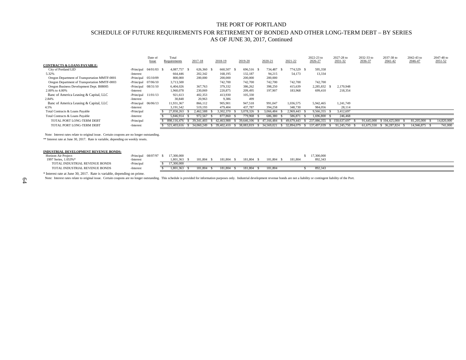### THE PORT OF PORTLAND

## SCHEDULE OF FUTURE REQUIREMENTS FOR RETIREMENT OF BONDED AND OTHER LONG-TERM DEBT – BY SERIES AS OF JUNE 30, 2017, Continued

|                                               |            | Date of<br><b>Issue</b> | Total<br>Requirements     | 2017-18    | 2018-19    | 2019-20       | 2020-21   | 2021-22    | 2022-23 to<br>2026-27 | 2027-28 to<br>2031-32 | 2032-33 to<br>2036-37 | 2037-38 to<br>2041-42 | 2042-43 to<br>2046-47 |  | 2047-48 to<br>2051-52 |
|-----------------------------------------------|------------|-------------------------|---------------------------|------------|------------|---------------|-----------|------------|-----------------------|-----------------------|-----------------------|-----------------------|-----------------------|--|-----------------------|
| <b>CONTRACTS &amp; LOANS PAYABLE:</b>         |            |                         |                           |            |            |               |           |            |                       |                       |                       |                       |                       |  |                       |
| City of Portland LID                          | -Principal | $04/01/03$ \$           | 4,087,757                 | 626,360    | 660,507    | 696,516 \$    | 734,487   | 774,529 \$ | 595,358               |                       |                       |                       |                       |  |                       |
| 5.32%                                         | -Interest  |                         | 664,446                   | 202.342    | 168.195    | 132.187       | 94.215    | 54,173     | 13,334                |                       |                       |                       |                       |  |                       |
| Oregon Department of Transportation MMTF-0001 | -Principal | 05/10/09                | 800,000                   | 200,000    | 200,000    | 200,000       | 200,000   |            |                       |                       |                       |                       |                       |  |                       |
| Oregon Department of Transportation MMTF-0003 | -Principal | 07/06/10                | 3,713,500                 |            | 742,700    | 742,700       | 742,700   | 742,700    | 742,700               |                       |                       |                       |                       |  |                       |
| Oregon Business Development Dept. B08005      | -Principal | 08/31/10                | 6,404,026                 | 367,763    | 379.332    | 386,262       | 398,250   | 415,639    | 2,285,832             | 2,170,948             |                       |                       |                       |  |                       |
| 2.00% to 4.00%                                | -Interest  |                         | 1.960.078                 | 230,069    | 220,875    | 209.495       | 197.907   | 183,968    | 699.410               | 218,354               |                       |                       |                       |  |                       |
| Banc of America Leasing & Capital, LLC        | -Principal | 11/01/13                | 921,613                   | 402.353    | 413.930    | 105,330       |           |            |                       |                       |                       |                       |                       |  |                       |
| 2.84%                                         | -Interest  |                         | 30,848                    | 20.963     | 9.386      | 499           |           |            |                       |                       |                       |                       |                       |  |                       |
| Banc of America Leasing & Capital, LLC        | -Principal | 06/06/13                | 11,931,367                | 866.112    | 905.901    | 947.518       | 991,047   | 1,036,575  | 5.942.465             | 1,241,749             |                       |                       |                       |  |                       |
| 4.5%                                          | -Interest  |                         | 3,191,542                 | 519,193    | 479,404    | 437,787       | 394,258   | 348,730    | 984,056               | 28,114                |                       |                       |                       |  |                       |
| Total Contracts & Loans Payable               | -Principal |                         | 27,858,263                | 2.462.588  | 3.302.370  | 3.078.326     | 3.066.484 | 2.969.443  | 9.566.355             | 3,412,697             |                       |                       |                       |  |                       |
| Total Contracts & Loans Payable               | -Interest  |                         | 5.846.914                 |            | 877,860    | 79.968        | 686,380   | 586,87     | .696.800              | 246,468               |                       |                       |                       |  |                       |
| TOTAL PORT LONG-TERM DEBT                     | -Principal |                         | 898.116.476 \$ 39.341,403 |            | 42.463.988 | \$ 39,646,106 | 166.484   |            | 237.086.355           | 150.637.697           |                       | \$104.425.000         |                       |  | 14,820,000            |
| TOTAL PORT LONG-TERM DEBT                     | -Interest  |                         | 521.403.616               | 34.060.249 | 39,402,41  |               |           |            |                       |                       |                       |                       |                       |  | 741,000               |
|                                               |            |                         |                           |            |            |               |           |            |                       |                       |                       |                       |                       |  |                       |

Note: Interest rates relate to original issue. Certain coupons are no longer outstanding.

\*\* Interest rate at June 30, 2017. Rate is variable, depending on weekly resets.

#### **INDUSTRIAL DEVELOPMENT REVENUE BONDS:**

| Horizon Air Project:                       | Principal<br>08/07/97 | 7,300,000 |         |         |         |         |         | 17,300,000 |  |
|--------------------------------------------|-----------------------|-----------|---------|---------|---------|---------|---------|------------|--|
| 1997 Series, 1.053%                        | <b>Interest</b>       | .801.363  | 181.804 | 181.804 | 181.804 | 181.804 | 181,804 | 892,347    |  |
| TOTAL INDUSTRIAL REVENUE BONDS             | Principal             | 7.300,000 |         |         |         |         |         |            |  |
| L INDUSTRIAL REVENUE BONDS<br><b>TOTAL</b> | -Interest             | ا8.       | 181,804 | 181.804 | 181,804 | 181,804 |         | 892,34     |  |

\* Interest rate at June 30, 2017. Rate is variable, depending on prime.

Note: Interest rates relate to original issue. Certain coupons are no longer outstanding. This schedule is provided for information purposes only. Industrial development revenue bonds are not a liability or contingent liab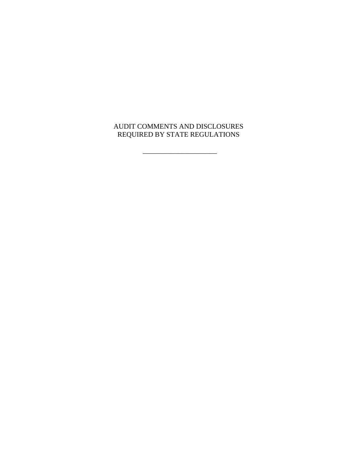AUDIT COMMENTS AND DISCLOSURES REQUIRED BY STATE REGULATIONS

 $\overline{\phantom{a}}$  , and the set of the set of the set of the set of the set of the set of the set of the set of the set of the set of the set of the set of the set of the set of the set of the set of the set of the set of the s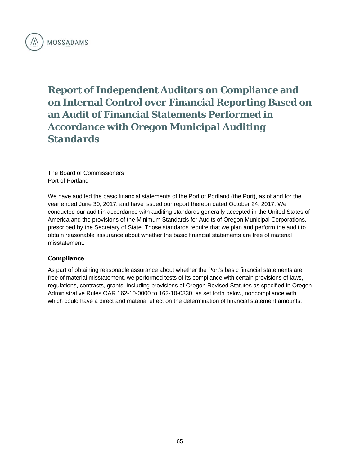

# **Report of Independent Auditors on Compliance and on Internal Control over Financial Reporting Based on an Audit of Financial Statements Performed in Accordance with** *Oregon Municipal Auditing Standards*

The Board of Commissioners Port of Portland

We have audited the basic financial statements of the Port of Portland (the Port), as of and for the year ended June 30, 2017, and have issued our report thereon dated October 24, 2017. We conducted our audit in accordance with auditing standards generally accepted in the United States of America and the provisions of the Minimum Standards for Audits of Oregon Municipal Corporations, prescribed by the Secretary of State. Those standards require that we plan and perform the audit to obtain reasonable assurance about whether the basic financial statements are free of material misstatement.

## **Compliance**

As part of obtaining reasonable assurance about whether the Port's basic financial statements are free of material misstatement, we performed tests of its compliance with certain provisions of laws, regulations, contracts, grants, including provisions of Oregon Revised Statutes as specified in Oregon Administrative Rules OAR 162-10-0000 to 162-10-0330, as set forth below, noncompliance with which could have a direct and material effect on the determination of financial statement amounts: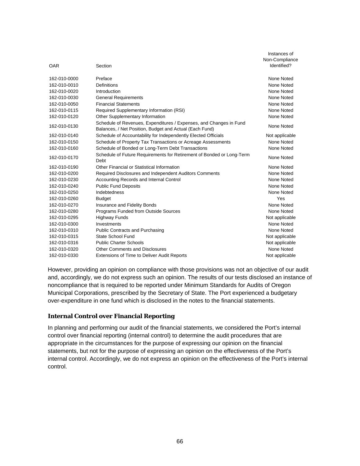|              |                                                                                                                               | Instances of<br>Non-Compliance |
|--------------|-------------------------------------------------------------------------------------------------------------------------------|--------------------------------|
| <b>OAR</b>   | Section                                                                                                                       | Identified?                    |
| 162-010-0000 | Preface                                                                                                                       | None Noted                     |
| 162-010-0010 | Definitions                                                                                                                   | None Noted                     |
| 162-010-0020 | Introduction                                                                                                                  | None Noted                     |
| 162-010-0030 | <b>General Requirements</b>                                                                                                   | None Noted                     |
| 162-010-0050 | <b>Financial Statements</b>                                                                                                   | None Noted                     |
| 162-010-0115 | Required Supplementary Information (RSI)                                                                                      | None Noted                     |
| 162-010-0120 | Other Supplementary Information                                                                                               | None Noted                     |
| 162-010-0130 | Schedule of Revenues, Expenditures / Expenses, and Changes in Fund<br>Balances, / Net Position, Budget and Actual (Each Fund) | None Noted                     |
| 162-010-0140 | Schedule of Accountability for Independently Elected Officials                                                                | Not applicable                 |
| 162-010-0150 | Schedule of Property Tax Transactions or Acreage Assessments                                                                  | None Noted                     |
| 162-010-0160 | Schedule of Bonded or Long-Term Debt Transactions                                                                             | None Noted                     |
| 162-010-0170 | Schedule of Future Requirements for Retirement of Bonded or Long-Term<br>Debt                                                 | None Noted                     |
| 162-010-0190 | Other Financial or Statistical Information                                                                                    | None Noted                     |
| 162-010-0200 | Required Disclosures and Independent Auditors Comments                                                                        | None Noted                     |
| 162-010-0230 | Accounting Records and Internal Control                                                                                       | None Noted                     |
| 162-010-0240 | <b>Public Fund Deposits</b>                                                                                                   | None Noted                     |
| 162-010-0250 | Indebtedness                                                                                                                  | None Noted                     |
| 162-010-0260 | <b>Budget</b>                                                                                                                 | Yes                            |
| 162-010-0270 | Insurance and Fidelity Bonds                                                                                                  | None Noted                     |
| 162-010-0280 | Programs Funded from Outside Sources                                                                                          | None Noted                     |
| 162-010-0295 | <b>Highway Funds</b>                                                                                                          | Not applicable                 |
| 162-010-0300 | Investments                                                                                                                   | None Noted                     |
| 162-010-0310 | <b>Public Contracts and Purchasing</b>                                                                                        | None Noted                     |
| 162-010-0315 | <b>State School Fund</b>                                                                                                      | Not applicable                 |
| 162-010-0316 | <b>Public Charter Schools</b>                                                                                                 | Not applicable                 |
| 162-010-0320 | <b>Other Comments and Disclosures</b>                                                                                         | None Noted                     |
| 162-010-0330 | Extensions of Time to Deliver Audit Reports                                                                                   | Not applicable                 |

However, providing an opinion on compliance with those provisions was not an objective of our audit and, accordingly, we do not express such an opinion. The results of our tests disclosed an instance of noncompliance that is required to be reported under Minimum Standards for Audits of Oregon Municipal Corporations, prescribed by the Secretary of State. The Port experienced a budgetary over-expenditure in one fund which is disclosed in the notes to the financial statements.

## **Internal Control over Financial Reporting**

In planning and performing our audit of the financial statements, we considered the Port's internal control over financial reporting (internal control) to determine the audit procedures that are appropriate in the circumstances for the purpose of expressing our opinion on the financial statements, but not for the purpose of expressing an opinion on the effectiveness of the Port's internal control. Accordingly, we do not express an opinion on the effectiveness of the Port's internal control.